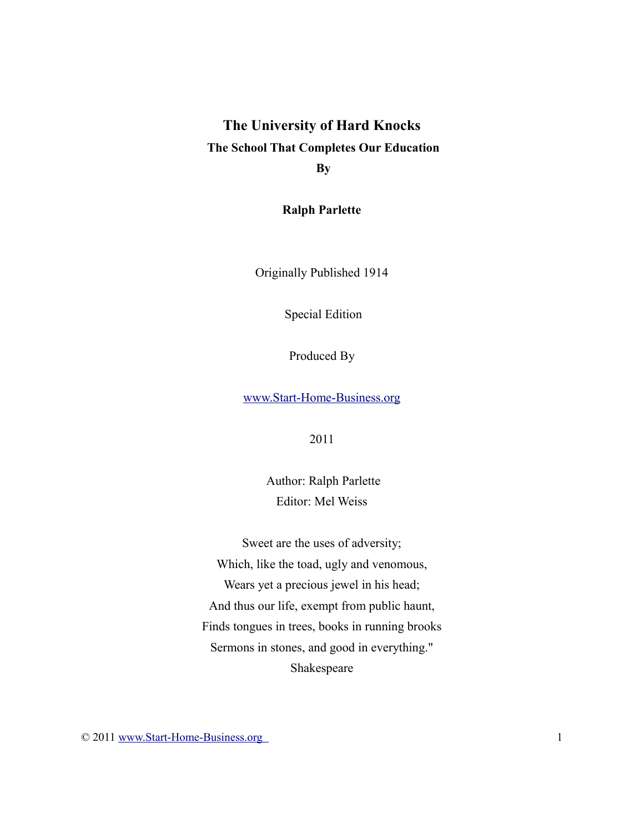# **The University of Hard Knocks The School That Completes Our Education By**

**Ralph Parlette**

Originally Published 1914

Special Edition

Produced By

[www.Start-Home-Business.org](http://www.start-home-business.org/)

2011

Author: Ralph Parlette Editor: Mel Weiss

Sweet are the uses of adversity; Which, like the toad, ugly and venomous, Wears yet a precious jewel in his head; And thus our life, exempt from public haunt, Finds tongues in trees, books in running brooks Sermons in stones, and good in everything." Shakespeare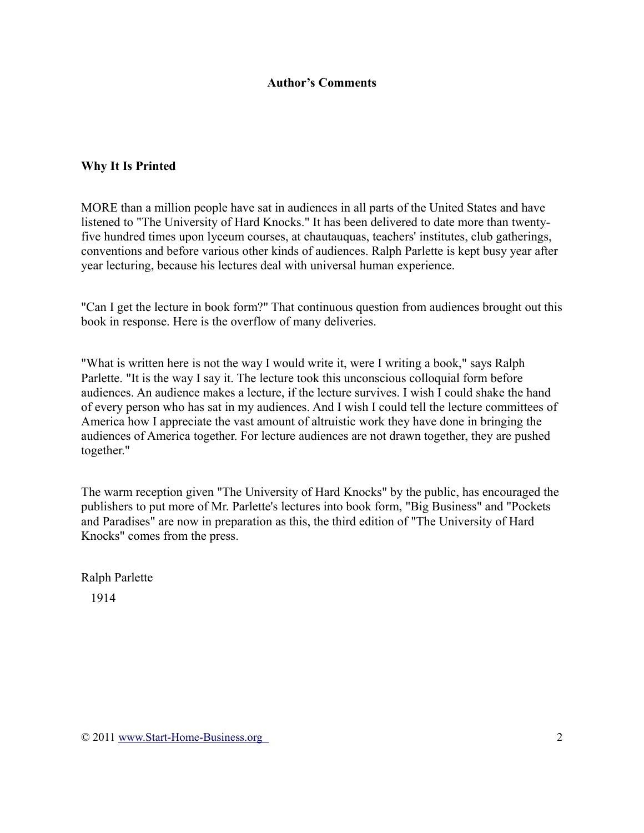#### **Author's Comments**

#### **Why It Is Printed**

MORE than a million people have sat in audiences in all parts of the United States and have listened to "The University of Hard Knocks." It has been delivered to date more than twentyfive hundred times upon lyceum courses, at chautauquas, teachers' institutes, club gatherings, conventions and before various other kinds of audiences. Ralph Parlette is kept busy year after year lecturing, because his lectures deal with universal human experience.

"Can I get the lecture in book form?" That continuous question from audiences brought out this book in response. Here is the overflow of many deliveries.

"What is written here is not the way I would write it, were I writing a book," says Ralph Parlette. "It is the way I say it. The lecture took this unconscious colloquial form before audiences. An audience makes a lecture, if the lecture survives. I wish I could shake the hand of every person who has sat in my audiences. And I wish I could tell the lecture committees of America how I appreciate the vast amount of altruistic work they have done in bringing the audiences of America together. For lecture audiences are not drawn together, they are pushed together."

The warm reception given "The University of Hard Knocks" by the public, has encouraged the publishers to put more of Mr. Parlette's lectures into book form, "Big Business" and "Pockets and Paradises" are now in preparation as this, the third edition of "The University of Hard Knocks" comes from the press.

Ralph Parlette 1914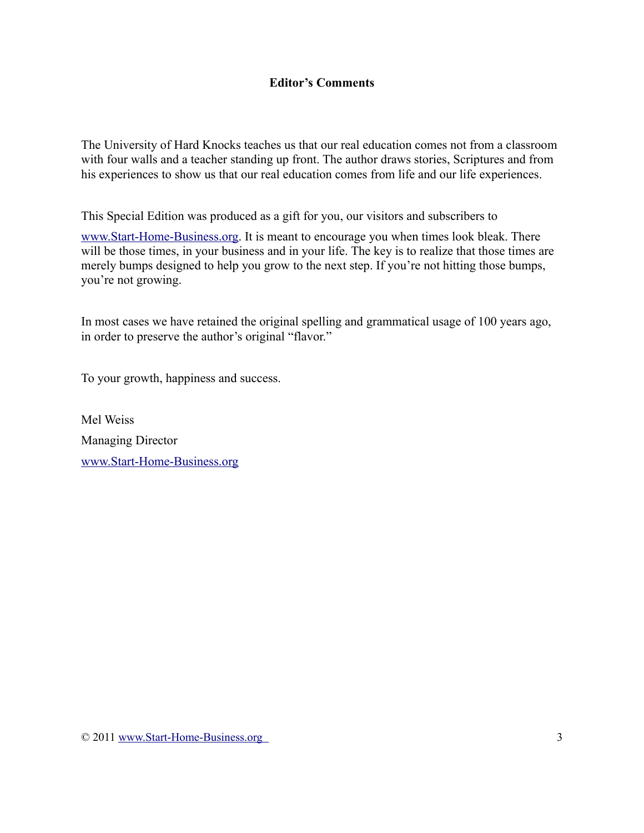### **Editor's Comments**

The University of Hard Knocks teaches us that our real education comes not from a classroom with four walls and a teacher standing up front. The author draws stories, Scriptures and from his experiences to show us that our real education comes from life and our life experiences.

This Special Edition was produced as a gift for you, our visitors and subscribers to

[www.Start-Home-Business.org.](http://www.starthomebusiness.org/) It is meant to encourage you when times look bleak. There will be those times, in your business and in your life. The key is to realize that those times are merely bumps designed to help you grow to the next step. If you're not hitting those bumps, you're not growing.

In most cases we have retained the original spelling and grammatical usage of 100 years ago, in order to preserve the author's original "flavor."

To your growth, happiness and success.

Mel Weiss Managing Director [www.Start-Home-Business.org](http://www.start-home-business.org/)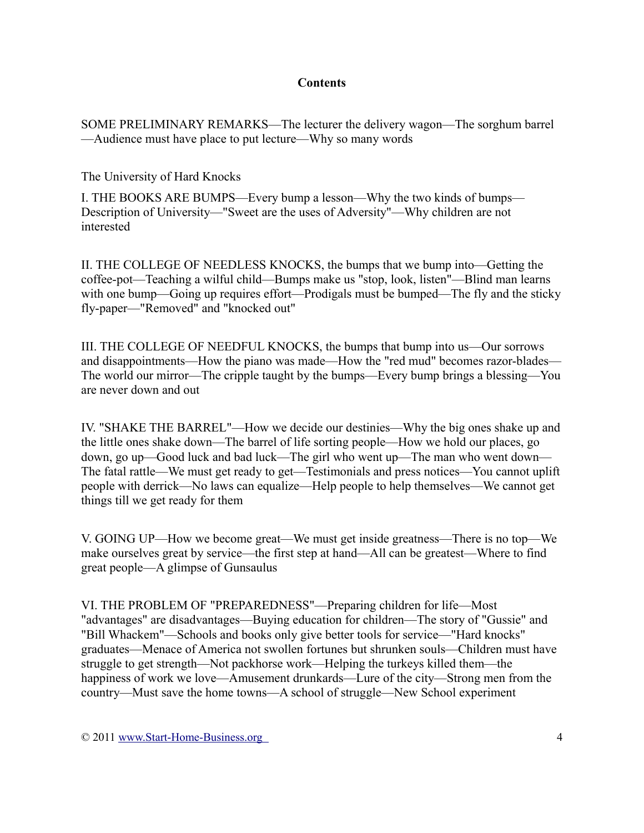#### **Contents**

SOME PRELIMINARY REMARKS—The lecturer the delivery wagon—The sorghum barrel —Audience must have place to put lecture—Why so many words

The University of Hard Knocks

I. THE BOOKS ARE BUMPS—Every bump a lesson—Why the two kinds of bumps— Description of University—"Sweet are the uses of Adversity"—Why children are not interested

II. THE COLLEGE OF NEEDLESS KNOCKS, the bumps that we bump into—Getting the coffee-pot—Teaching a wilful child—Bumps make us "stop, look, listen"—Blind man learns with one bump—Going up requires effort—Prodigals must be bumped—The fly and the sticky fly-paper—"Removed" and "knocked out"

III. THE COLLEGE OF NEEDFUL KNOCKS, the bumps that bump into us—Our sorrows and disappointments—How the piano was made—How the "red mud" becomes razor-blades— The world our mirror—The cripple taught by the bumps—Every bump brings a blessing—You are never down and out

IV. "SHAKE THE BARREL"—How we decide our destinies—Why the big ones shake up and the little ones shake down—The barrel of life sorting people—How we hold our places, go down, go up—Good luck and bad luck—The girl who went up—The man who went down— The fatal rattle—We must get ready to get—Testimonials and press notices—You cannot uplift people with derrick—No laws can equalize—Help people to help themselves—We cannot get things till we get ready for them

V. GOING UP—How we become great—We must get inside greatness—There is no top—We make ourselves great by service—the first step at hand—All can be greatest—Where to find great people—A glimpse of Gunsaulus

VI. THE PROBLEM OF "PREPAREDNESS"—Preparing children for life—Most "advantages" are disadvantages—Buying education for children—The story of "Gussie" and "Bill Whackem"—Schools and books only give better tools for service—"Hard knocks" graduates—Menace of America not swollen fortunes but shrunken souls—Children must have struggle to get strength—Not packhorse work—Helping the turkeys killed them—the happiness of work we love—Amusement drunkards—Lure of the city—Strong men from the country—Must save the home towns—A school of struggle—New School experiment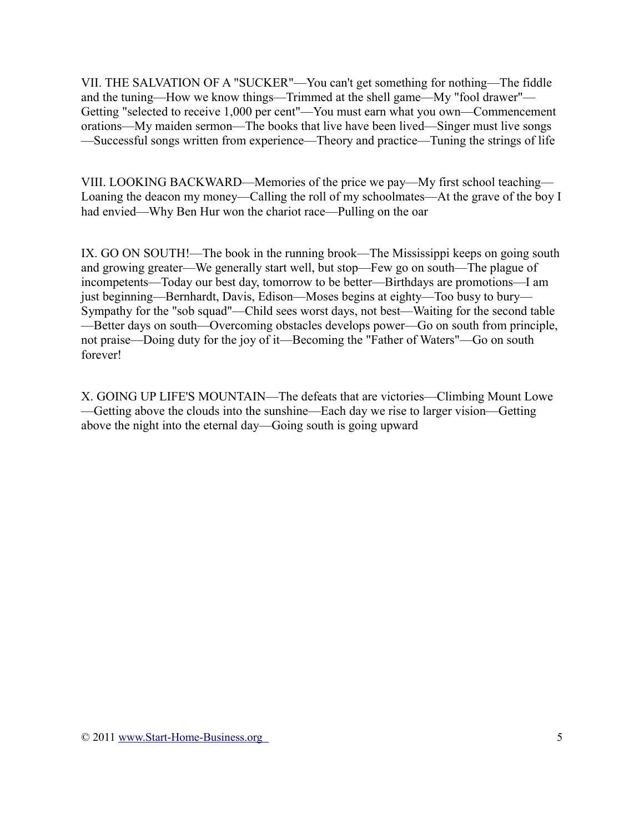VII. THE SALVATION OF A "SUCKER"—You can't get something for nothing—The fiddle and the tuning—How we know things—Trimmed at the shell game—My "fool drawer"— Getting "selected to receive 1,000 per cent"—You must earn what you own—Commencement orations—My maiden sermon—The books that live have been lived—Singer must live songs —Successful songs written from experience—Theory and practice—Tuning the strings of life

VIII. LOOKING BACKWARD—Memories of the price we pay—My first school teaching— Loaning the deacon my money—Calling the roll of my schoolmates—At the grave of the boy I had envied—Why Ben Hur won the chariot race—Pulling on the oar

IX. GO ON SOUTH!—The book in the running brook—The Mississippi keeps on going south and growing greater—We generally start well, but stop—Few go on south—The plague of incompetents—Today our best day, tomorrow to be better—Birthdays are promotions—I am just beginning—Bernhardt, Davis, Edison—Moses begins at eighty—Too busy to bury— Sympathy for the "sob squad"—Child sees worst days, not best—Waiting for the second table —Better days on south—Overcoming obstacles develops power—Go on south from principle, not praise—Doing duty for the joy of it—Becoming the "Father of Waters"—Go on south forever!

X. GOING UP LIFE'S MOUNTAIN—The defeats that are victories—Climbing Mount Lowe —Getting above the clouds into the sunshine—Each day we rise to larger vision—Getting above the night into the eternal day—Going south is going upward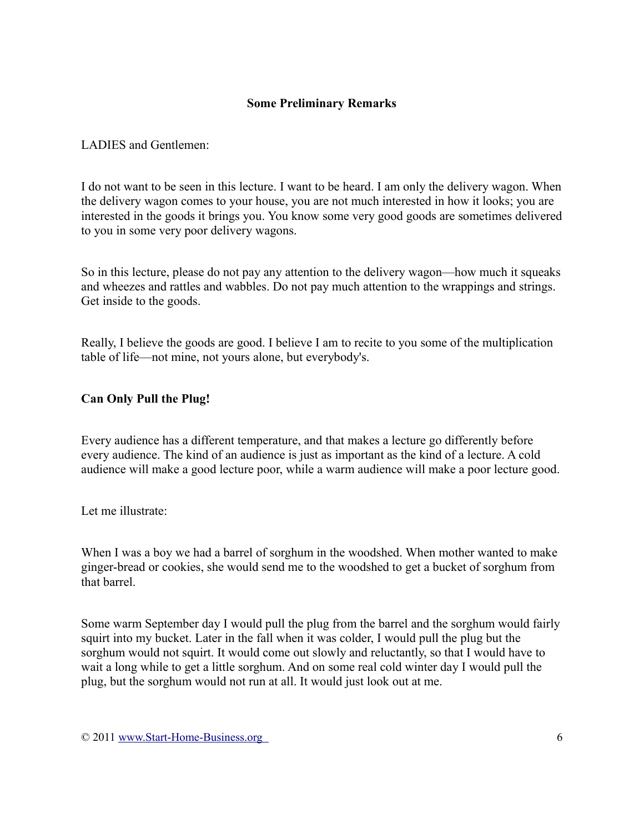### **Some Preliminary Remarks**

### LADIES and Gentlemen:

I do not want to be seen in this lecture. I want to be heard. I am only the delivery wagon. When the delivery wagon comes to your house, you are not much interested in how it looks; you are interested in the goods it brings you. You know some very good goods are sometimes delivered to you in some very poor delivery wagons.

So in this lecture, please do not pay any attention to the delivery wagon—how much it squeaks and wheezes and rattles and wabbles. Do not pay much attention to the wrappings and strings. Get inside to the goods.

Really, I believe the goods are good. I believe I am to recite to you some of the multiplication table of life—not mine, not yours alone, but everybody's.

### **Can Only Pull the Plug!**

Every audience has a different temperature, and that makes a lecture go differently before every audience. The kind of an audience is just as important as the kind of a lecture. A cold audience will make a good lecture poor, while a warm audience will make a poor lecture good.

Let me illustrate:

When I was a boy we had a barrel of sorghum in the woodshed. When mother wanted to make ginger-bread or cookies, she would send me to the woodshed to get a bucket of sorghum from that barrel.

Some warm September day I would pull the plug from the barrel and the sorghum would fairly squirt into my bucket. Later in the fall when it was colder, I would pull the plug but the sorghum would not squirt. It would come out slowly and reluctantly, so that I would have to wait a long while to get a little sorghum. And on some real cold winter day I would pull the plug, but the sorghum would not run at all. It would just look out at me.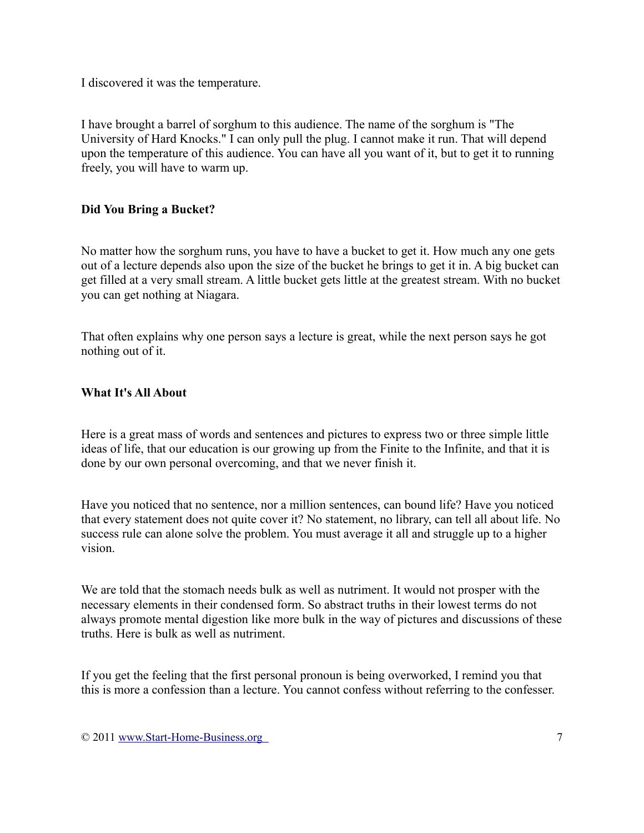I discovered it was the temperature.

I have brought a barrel of sorghum to this audience. The name of the sorghum is "The University of Hard Knocks." I can only pull the plug. I cannot make it run. That will depend upon the temperature of this audience. You can have all you want of it, but to get it to running freely, you will have to warm up.

## **Did You Bring a Bucket?**

No matter how the sorghum runs, you have to have a bucket to get it. How much any one gets out of a lecture depends also upon the size of the bucket he brings to get it in. A big bucket can get filled at a very small stream. A little bucket gets little at the greatest stream. With no bucket you can get nothing at Niagara.

That often explains why one person says a lecture is great, while the next person says he got nothing out of it.

### **What It's All About**

Here is a great mass of words and sentences and pictures to express two or three simple little ideas of life, that our education is our growing up from the Finite to the Infinite, and that it is done by our own personal overcoming, and that we never finish it.

Have you noticed that no sentence, nor a million sentences, can bound life? Have you noticed that every statement does not quite cover it? No statement, no library, can tell all about life. No success rule can alone solve the problem. You must average it all and struggle up to a higher vision.

We are told that the stomach needs bulk as well as nutriment. It would not prosper with the necessary elements in their condensed form. So abstract truths in their lowest terms do not always promote mental digestion like more bulk in the way of pictures and discussions of these truths. Here is bulk as well as nutriment.

If you get the feeling that the first personal pronoun is being overworked, I remind you that this is more a confession than a lecture. You cannot confess without referring to the confesser.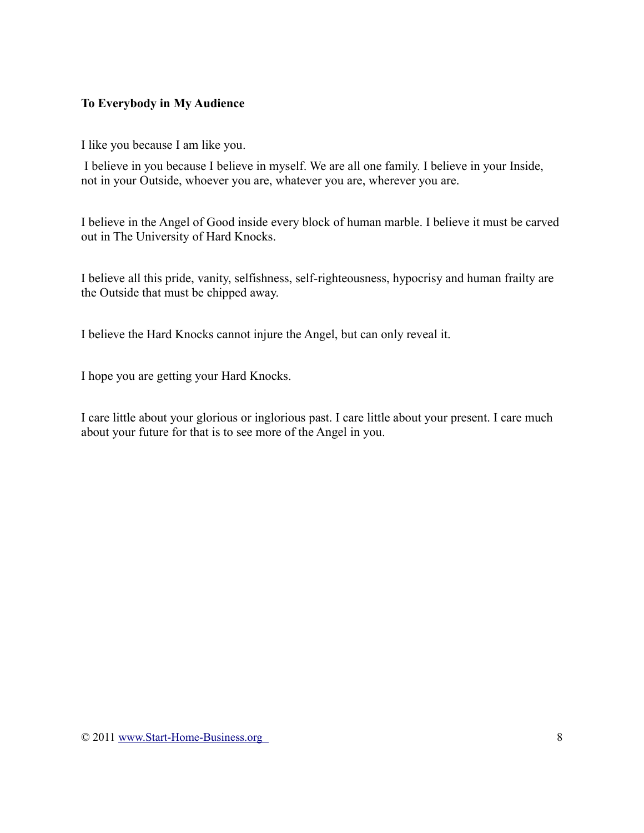### **To Everybody in My Audience**

I like you because I am like you.

I believe in you because I believe in myself. We are all one family. I believe in your Inside, not in your Outside, whoever you are, whatever you are, wherever you are.

I believe in the Angel of Good inside every block of human marble. I believe it must be carved out in The University of Hard Knocks.

I believe all this pride, vanity, selfishness, self-righteousness, hypocrisy and human frailty are the Outside that must be chipped away.

I believe the Hard Knocks cannot injure the Angel, but can only reveal it.

I hope you are getting your Hard Knocks.

I care little about your glorious or inglorious past. I care little about your present. I care much about your future for that is to see more of the Angel in you.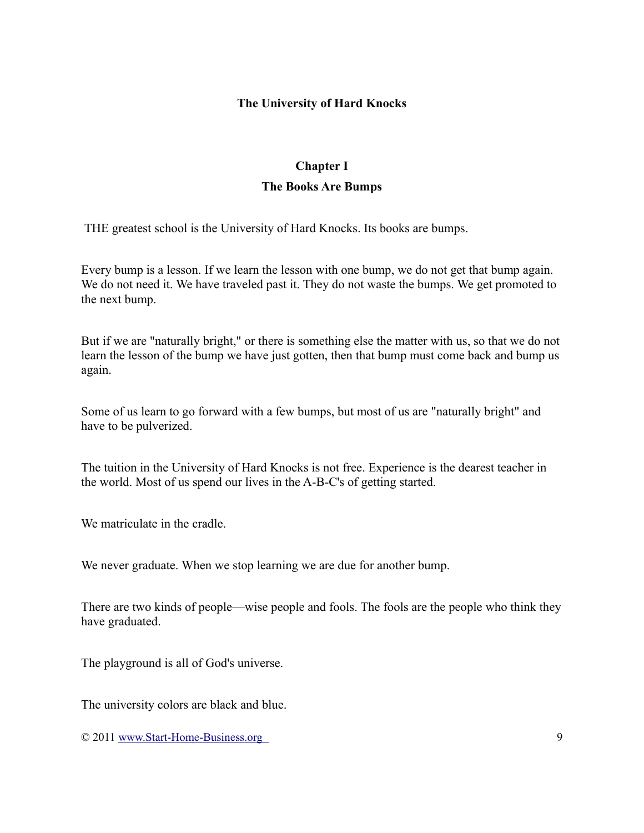#### **The University of Hard Knocks**

# **Chapter I The Books Are Bumps**

THE greatest school is the University of Hard Knocks. Its books are bumps.

Every bump is a lesson. If we learn the lesson with one bump, we do not get that bump again. We do not need it. We have traveled past it. They do not waste the bumps. We get promoted to the next bump.

But if we are "naturally bright," or there is something else the matter with us, so that we do not learn the lesson of the bump we have just gotten, then that bump must come back and bump us again.

Some of us learn to go forward with a few bumps, but most of us are "naturally bright" and have to be pulverized.

The tuition in the University of Hard Knocks is not free. Experience is the dearest teacher in the world. Most of us spend our lives in the A-B-C's of getting started.

We matriculate in the cradle.

We never graduate. When we stop learning we are due for another bump.

There are two kinds of people—wise people and fools. The fools are the people who think they have graduated.

The playground is all of God's universe.

The university colors are black and blue.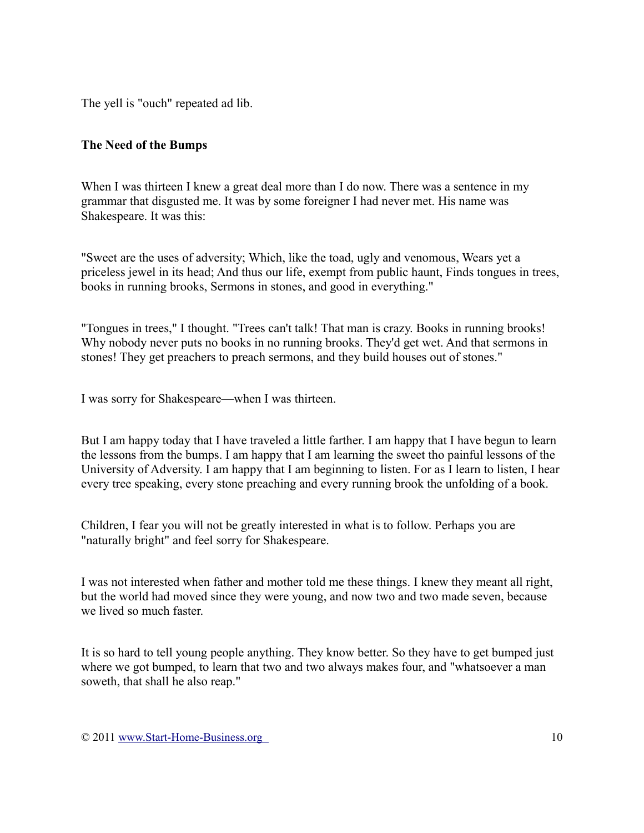The yell is "ouch" repeated ad lib.

#### **The Need of the Bumps**

When I was thirteen I knew a great deal more than I do now. There was a sentence in my grammar that disgusted me. It was by some foreigner I had never met. His name was Shakespeare. It was this:

"Sweet are the uses of adversity; Which, like the toad, ugly and venomous, Wears yet a priceless jewel in its head; And thus our life, exempt from public haunt, Finds tongues in trees, books in running brooks, Sermons in stones, and good in everything."

"Tongues in trees," I thought. "Trees can't talk! That man is crazy. Books in running brooks! Why nobody never puts no books in no running brooks. They'd get wet. And that sermons in stones! They get preachers to preach sermons, and they build houses out of stones."

I was sorry for Shakespeare—when I was thirteen.

But I am happy today that I have traveled a little farther. I am happy that I have begun to learn the lessons from the bumps. I am happy that I am learning the sweet tho painful lessons of the University of Adversity. I am happy that I am beginning to listen. For as I learn to listen, I hear every tree speaking, every stone preaching and every running brook the unfolding of a book.

Children, I fear you will not be greatly interested in what is to follow. Perhaps you are "naturally bright" and feel sorry for Shakespeare.

I was not interested when father and mother told me these things. I knew they meant all right, but the world had moved since they were young, and now two and two made seven, because we lived so much faster.

It is so hard to tell young people anything. They know better. So they have to get bumped just where we got bumped, to learn that two and two always makes four, and "whatsoever a man soweth, that shall he also reap."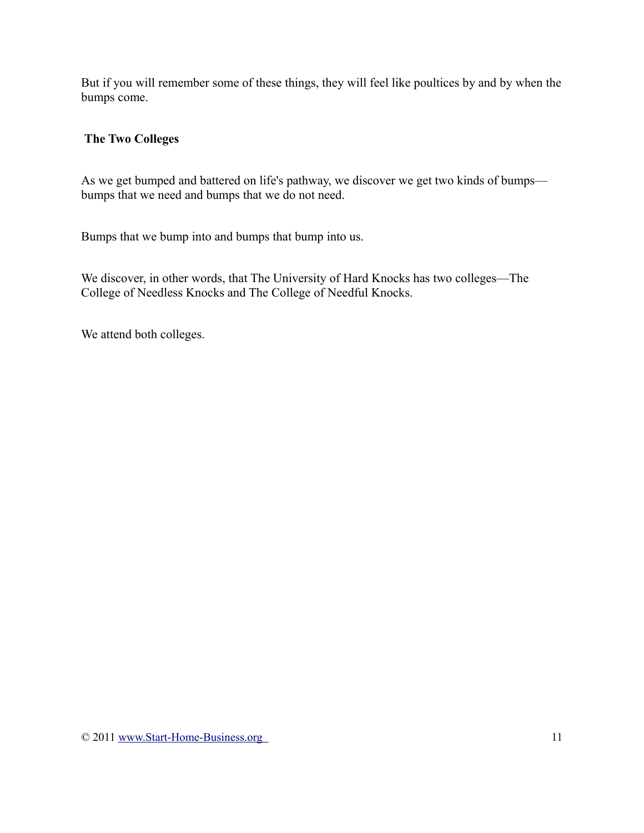But if you will remember some of these things, they will feel like poultices by and by when the bumps come.

## **The Two Colleges**

As we get bumped and battered on life's pathway, we discover we get two kinds of bumps bumps that we need and bumps that we do not need.

Bumps that we bump into and bumps that bump into us.

We discover, in other words, that The University of Hard Knocks has two colleges—The College of Needless Knocks and The College of Needful Knocks.

We attend both colleges.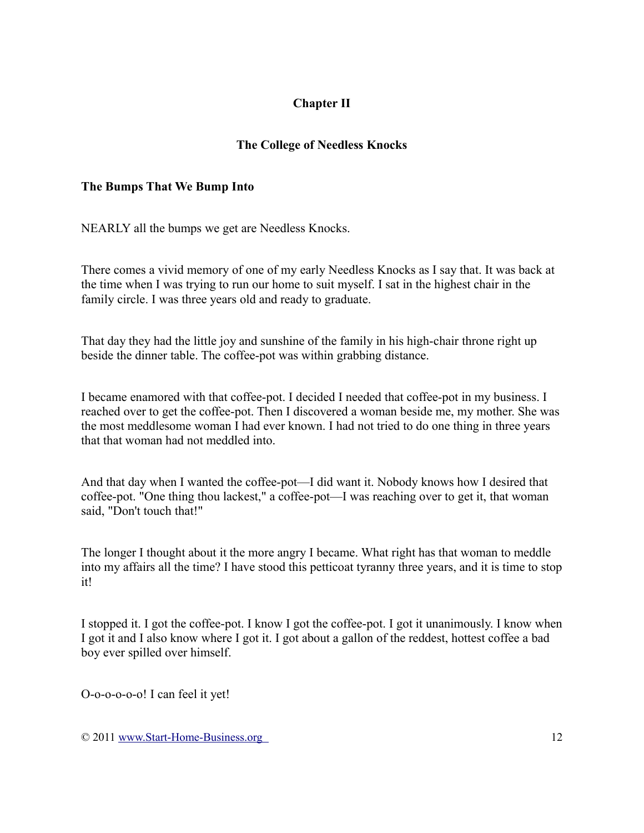# **Chapter II**

## **The College of Needless Knocks**

#### **The Bumps That We Bump Into**

NEARLY all the bumps we get are Needless Knocks.

There comes a vivid memory of one of my early Needless Knocks as I say that. It was back at the time when I was trying to run our home to suit myself. I sat in the highest chair in the family circle. I was three years old and ready to graduate.

That day they had the little joy and sunshine of the family in his high-chair throne right up beside the dinner table. The coffee-pot was within grabbing distance.

I became enamored with that coffee-pot. I decided I needed that coffee-pot in my business. I reached over to get the coffee-pot. Then I discovered a woman beside me, my mother. She was the most meddlesome woman I had ever known. I had not tried to do one thing in three years that that woman had not meddled into.

And that day when I wanted the coffee-pot—I did want it. Nobody knows how I desired that coffee-pot. "One thing thou lackest," a coffee-pot—I was reaching over to get it, that woman said, "Don't touch that!"

The longer I thought about it the more angry I became. What right has that woman to meddle into my affairs all the time? I have stood this petticoat tyranny three years, and it is time to stop it!

I stopped it. I got the coffee-pot. I know I got the coffee-pot. I got it unanimously. I know when I got it and I also know where I got it. I got about a gallon of the reddest, hottest coffee a bad boy ever spilled over himself.

O-o-o-o-o-o! I can feel it yet!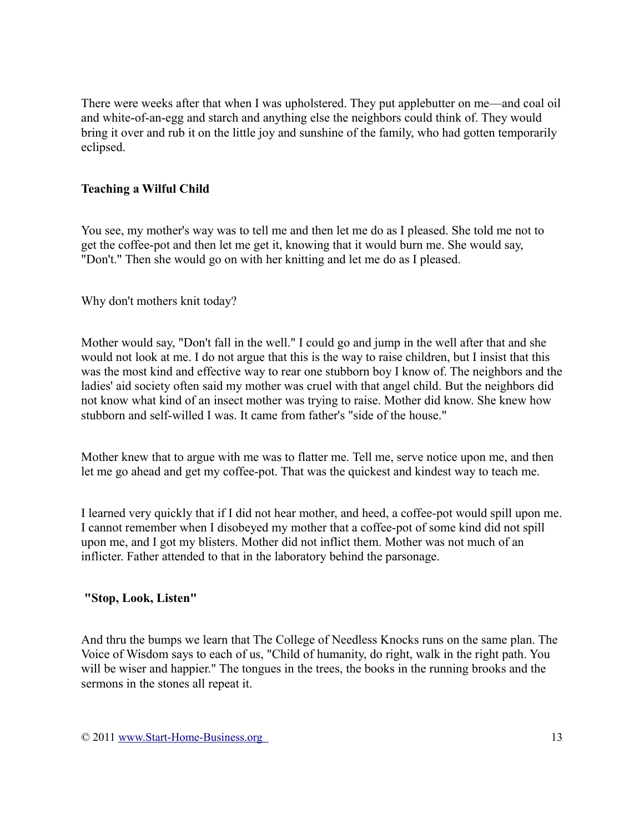There were weeks after that when I was upholstered. They put applebutter on me—and coal oil and white-of-an-egg and starch and anything else the neighbors could think of. They would bring it over and rub it on the little joy and sunshine of the family, who had gotten temporarily eclipsed.

#### **Teaching a Wilful Child**

You see, my mother's way was to tell me and then let me do as I pleased. She told me not to get the coffee-pot and then let me get it, knowing that it would burn me. She would say, "Don't." Then she would go on with her knitting and let me do as I pleased.

Why don't mothers knit today?

Mother would say, "Don't fall in the well." I could go and jump in the well after that and she would not look at me. I do not argue that this is the way to raise children, but I insist that this was the most kind and effective way to rear one stubborn boy I know of. The neighbors and the ladies' aid society often said my mother was cruel with that angel child. But the neighbors did not know what kind of an insect mother was trying to raise. Mother did know. She knew how stubborn and self-willed I was. It came from father's "side of the house."

Mother knew that to argue with me was to flatter me. Tell me, serve notice upon me, and then let me go ahead and get my coffee-pot. That was the quickest and kindest way to teach me.

I learned very quickly that if I did not hear mother, and heed, a coffee-pot would spill upon me. I cannot remember when I disobeyed my mother that a coffee-pot of some kind did not spill upon me, and I got my blisters. Mother did not inflict them. Mother was not much of an inflicter. Father attended to that in the laboratory behind the parsonage.

#### **"Stop, Look, Listen"**

And thru the bumps we learn that The College of Needless Knocks runs on the same plan. The Voice of Wisdom says to each of us, "Child of humanity, do right, walk in the right path. You will be wiser and happier." The tongues in the trees, the books in the running brooks and the sermons in the stones all repeat it.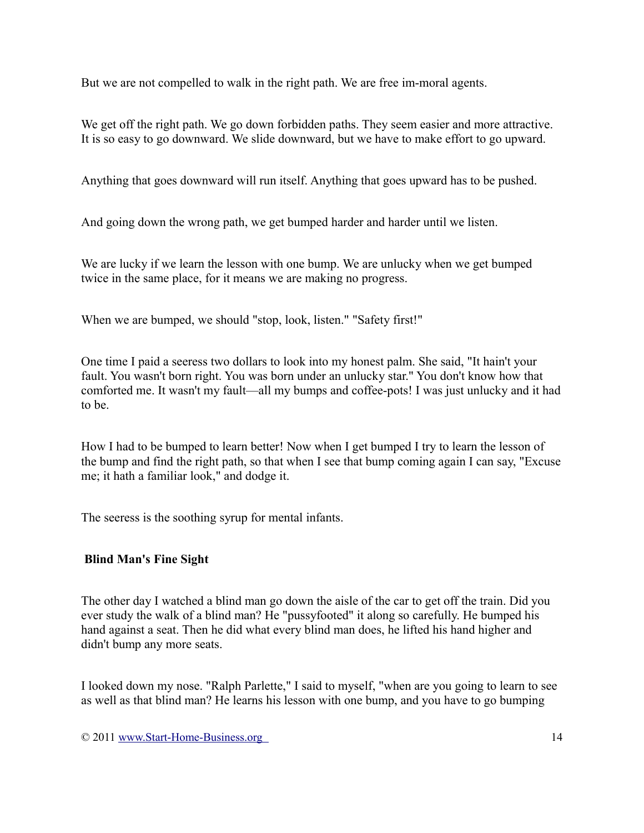But we are not compelled to walk in the right path. We are free im-moral agents.

We get off the right path. We go down forbidden paths. They seem easier and more attractive. It is so easy to go downward. We slide downward, but we have to make effort to go upward.

Anything that goes downward will run itself. Anything that goes upward has to be pushed.

And going down the wrong path, we get bumped harder and harder until we listen.

We are lucky if we learn the lesson with one bump. We are unlucky when we get bumped twice in the same place, for it means we are making no progress.

When we are bumped, we should "stop, look, listen." "Safety first!"

One time I paid a seeress two dollars to look into my honest palm. She said, "It hain't your fault. You wasn't born right. You was born under an unlucky star." You don't know how that comforted me. It wasn't my fault—all my bumps and coffee-pots! I was just unlucky and it had to be.

How I had to be bumped to learn better! Now when I get bumped I try to learn the lesson of the bump and find the right path, so that when I see that bump coming again I can say, "Excuse me; it hath a familiar look," and dodge it.

The seeress is the soothing syrup for mental infants.

### **Blind Man's Fine Sight**

The other day I watched a blind man go down the aisle of the car to get off the train. Did you ever study the walk of a blind man? He "pussyfooted" it along so carefully. He bumped his hand against a seat. Then he did what every blind man does, he lifted his hand higher and didn't bump any more seats.

I looked down my nose. "Ralph Parlette," I said to myself, "when are you going to learn to see as well as that blind man? He learns his lesson with one bump, and you have to go bumping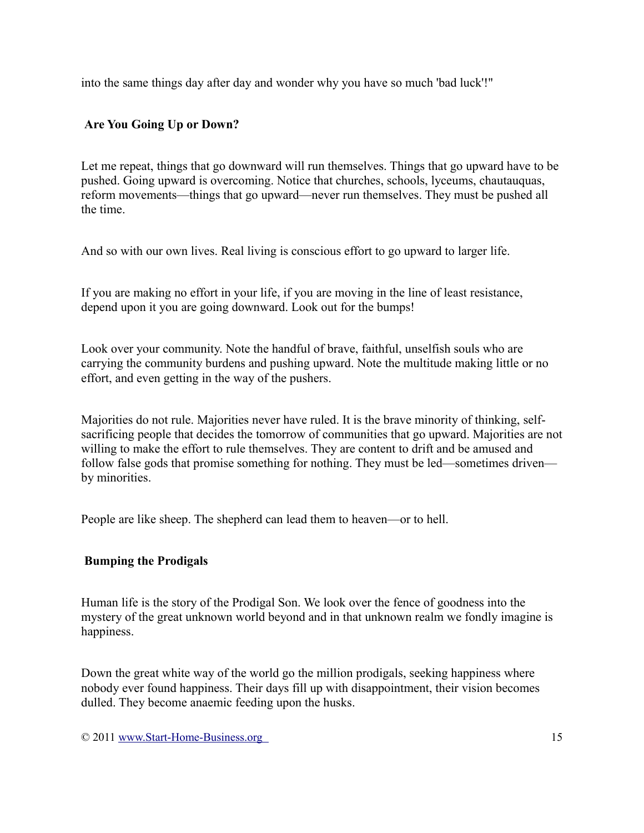into the same things day after day and wonder why you have so much 'bad luck'!"

# **Are You Going Up or Down?**

Let me repeat, things that go downward will run themselves. Things that go upward have to be pushed. Going upward is overcoming. Notice that churches, schools, lyceums, chautauquas, reform movements—things that go upward—never run themselves. They must be pushed all the time.

And so with our own lives. Real living is conscious effort to go upward to larger life.

If you are making no effort in your life, if you are moving in the line of least resistance, depend upon it you are going downward. Look out for the bumps!

Look over your community. Note the handful of brave, faithful, unselfish souls who are carrying the community burdens and pushing upward. Note the multitude making little or no effort, and even getting in the way of the pushers.

Majorities do not rule. Majorities never have ruled. It is the brave minority of thinking, selfsacrificing people that decides the tomorrow of communities that go upward. Majorities are not willing to make the effort to rule themselves. They are content to drift and be amused and follow false gods that promise something for nothing. They must be led—sometimes driven by minorities.

People are like sheep. The shepherd can lead them to heaven—or to hell.

### **Bumping the Prodigals**

Human life is the story of the Prodigal Son. We look over the fence of goodness into the mystery of the great unknown world beyond and in that unknown realm we fondly imagine is happiness.

Down the great white way of the world go the million prodigals, seeking happiness where nobody ever found happiness. Their days fill up with disappointment, their vision becomes dulled. They become anaemic feeding upon the husks.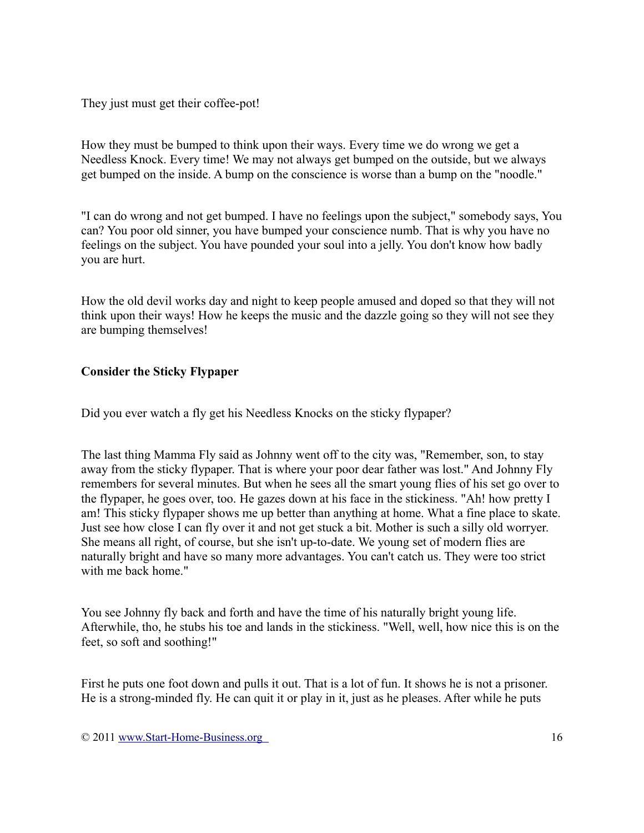They just must get their coffee-pot!

How they must be bumped to think upon their ways. Every time we do wrong we get a Needless Knock. Every time! We may not always get bumped on the outside, but we always get bumped on the inside. A bump on the conscience is worse than a bump on the "noodle."

"I can do wrong and not get bumped. I have no feelings upon the subject," somebody says, You can? You poor old sinner, you have bumped your conscience numb. That is why you have no feelings on the subject. You have pounded your soul into a jelly. You don't know how badly you are hurt.

How the old devil works day and night to keep people amused and doped so that they will not think upon their ways! How he keeps the music and the dazzle going so they will not see they are bumping themselves!

## **Consider the Sticky Flypaper**

Did you ever watch a fly get his Needless Knocks on the sticky flypaper?

The last thing Mamma Fly said as Johnny went off to the city was, "Remember, son, to stay away from the sticky flypaper. That is where your poor dear father was lost." And Johnny Fly remembers for several minutes. But when he sees all the smart young flies of his set go over to the flypaper, he goes over, too. He gazes down at his face in the stickiness. "Ah! how pretty I am! This sticky flypaper shows me up better than anything at home. What a fine place to skate. Just see how close I can fly over it and not get stuck a bit. Mother is such a silly old worryer. She means all right, of course, but she isn't up-to-date. We young set of modern flies are naturally bright and have so many more advantages. You can't catch us. They were too strict with me back home."

You see Johnny fly back and forth and have the time of his naturally bright young life. Afterwhile, tho, he stubs his toe and lands in the stickiness. "Well, well, how nice this is on the feet, so soft and soothing!"

First he puts one foot down and pulls it out. That is a lot of fun. It shows he is not a prisoner. He is a strong-minded fly. He can quit it or play in it, just as he pleases. After while he puts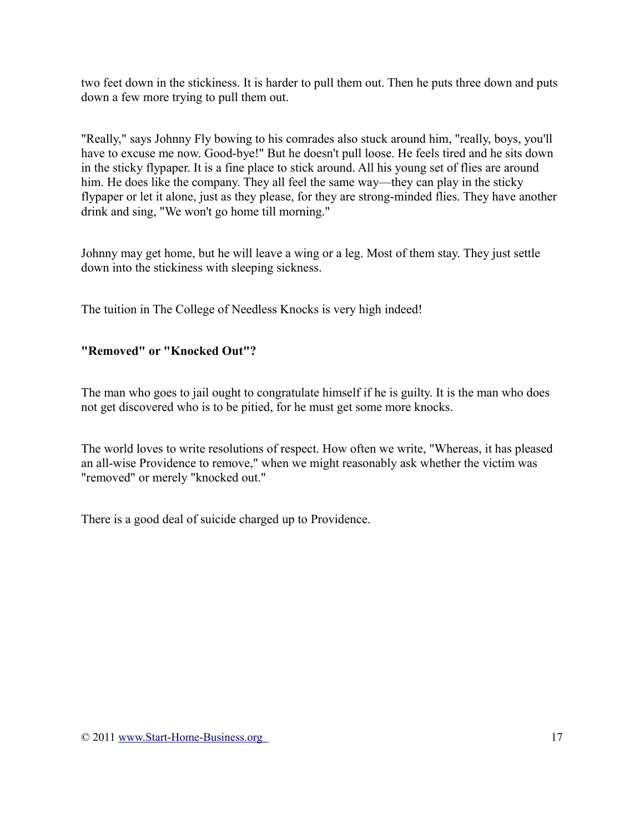two feet down in the stickiness. It is harder to pull them out. Then he puts three down and puts down a few more trying to pull them out.

"Really," says Johnny Fly bowing to his comrades also stuck around him, "really, boys, you'll have to excuse me now. Good-bye!" But he doesn't pull loose. He feels tired and he sits down in the sticky flypaper. It is a fine place to stick around. All his young set of flies are around him. He does like the company. They all feel the same way—they can play in the sticky flypaper or let it alone, just as they please, for they are strong-minded flies. They have another drink and sing, "We won't go home till morning."

Johnny may get home, but he will leave a wing or a leg. Most of them stay. They just settle down into the stickiness with sleeping sickness.

The tuition in The College of Needless Knocks is very high indeed!

## **"Removed" or "Knocked Out"?**

The man who goes to jail ought to congratulate himself if he is guilty. It is the man who does not get discovered who is to be pitied, for he must get some more knocks.

The world loves to write resolutions of respect. How often we write, "Whereas, it has pleased an all-wise Providence to remove," when we might reasonably ask whether the victim was "removed" or merely "knocked out."

There is a good deal of suicide charged up to Providence.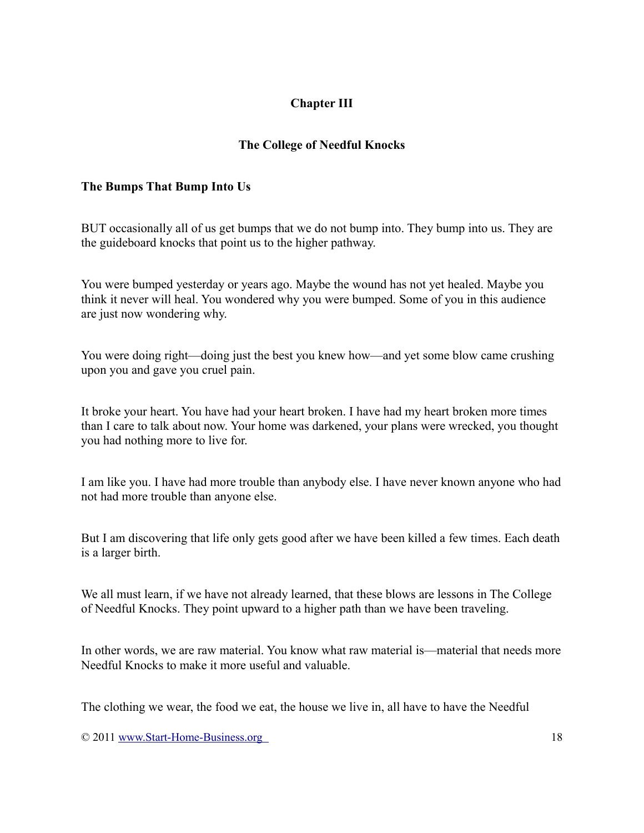# **Chapter III**

## **The College of Needful Knocks**

#### **The Bumps That Bump Into Us**

BUT occasionally all of us get bumps that we do not bump into. They bump into us. They are the guideboard knocks that point us to the higher pathway.

You were bumped yesterday or years ago. Maybe the wound has not yet healed. Maybe you think it never will heal. You wondered why you were bumped. Some of you in this audience are just now wondering why.

You were doing right—doing just the best you knew how—and yet some blow came crushing upon you and gave you cruel pain.

It broke your heart. You have had your heart broken. I have had my heart broken more times than I care to talk about now. Your home was darkened, your plans were wrecked, you thought you had nothing more to live for.

I am like you. I have had more trouble than anybody else. I have never known anyone who had not had more trouble than anyone else.

But I am discovering that life only gets good after we have been killed a few times. Each death is a larger birth.

We all must learn, if we have not already learned, that these blows are lessons in The College of Needful Knocks. They point upward to a higher path than we have been traveling.

In other words, we are raw material. You know what raw material is—material that needs more Needful Knocks to make it more useful and valuable.

The clothing we wear, the food we eat, the house we live in, all have to have the Needful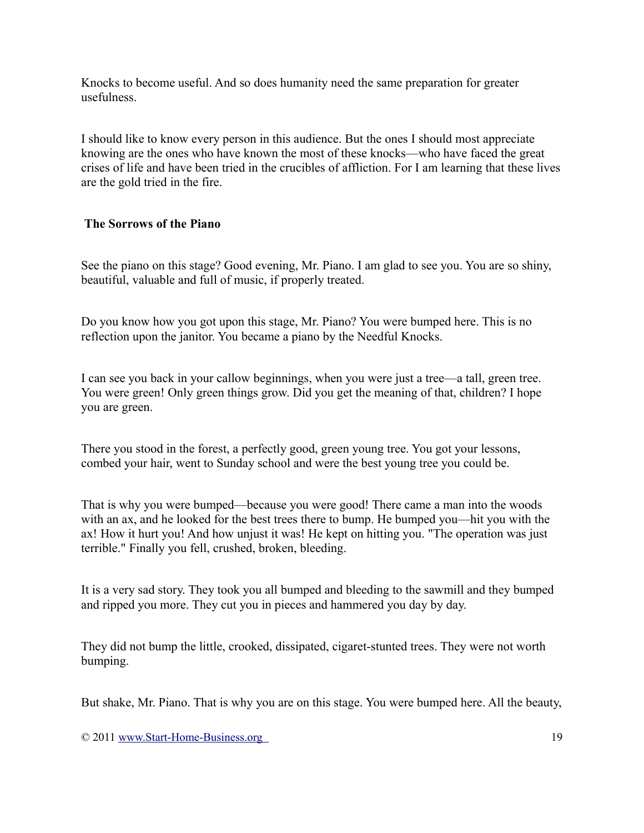Knocks to become useful. And so does humanity need the same preparation for greater usefulness.

I should like to know every person in this audience. But the ones I should most appreciate knowing are the ones who have known the most of these knocks—who have faced the great crises of life and have been tried in the crucibles of affliction. For I am learning that these lives are the gold tried in the fire.

#### **The Sorrows of the Piano**

See the piano on this stage? Good evening, Mr. Piano. I am glad to see you. You are so shiny, beautiful, valuable and full of music, if properly treated.

Do you know how you got upon this stage, Mr. Piano? You were bumped here. This is no reflection upon the janitor. You became a piano by the Needful Knocks.

I can see you back in your callow beginnings, when you were just a tree—a tall, green tree. You were green! Only green things grow. Did you get the meaning of that, children? I hope you are green.

There you stood in the forest, a perfectly good, green young tree. You got your lessons, combed your hair, went to Sunday school and were the best young tree you could be.

That is why you were bumped—because you were good! There came a man into the woods with an ax, and he looked for the best trees there to bump. He bumped you—hit you with the ax! How it hurt you! And how unjust it was! He kept on hitting you. "The operation was just terrible." Finally you fell, crushed, broken, bleeding.

It is a very sad story. They took you all bumped and bleeding to the sawmill and they bumped and ripped you more. They cut you in pieces and hammered you day by day.

They did not bump the little, crooked, dissipated, cigaret-stunted trees. They were not worth bumping.

But shake, Mr. Piano. That is why you are on this stage. You were bumped here. All the beauty,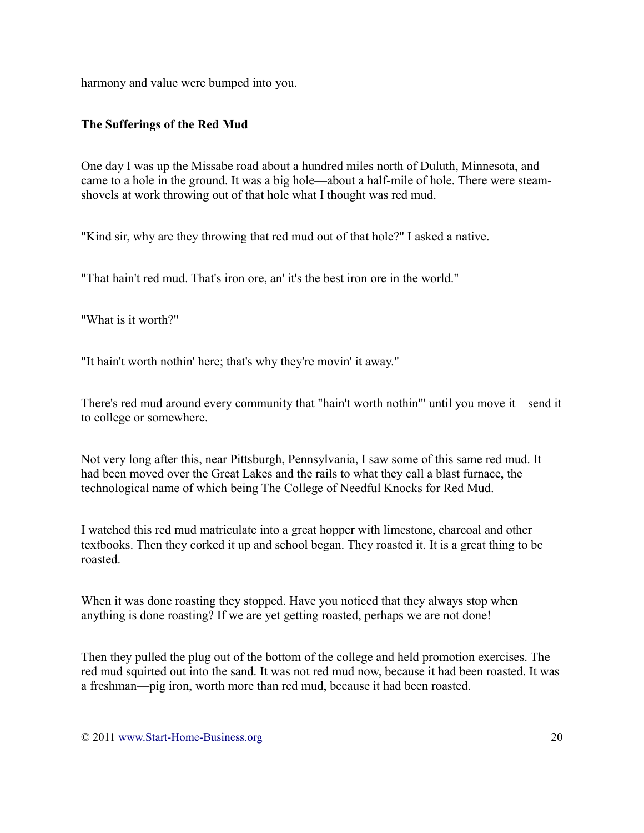harmony and value were bumped into you.

# **The Sufferings of the Red Mud**

One day I was up the Missabe road about a hundred miles north of Duluth, Minnesota, and came to a hole in the ground. It was a big hole—about a half-mile of hole. There were steamshovels at work throwing out of that hole what I thought was red mud.

"Kind sir, why are they throwing that red mud out of that hole?" I asked a native.

"That hain't red mud. That's iron ore, an' it's the best iron ore in the world."

"What is it worth?"

"It hain't worth nothin' here; that's why they're movin' it away."

There's red mud around every community that "hain't worth nothin'" until you move it—send it to college or somewhere.

Not very long after this, near Pittsburgh, Pennsylvania, I saw some of this same red mud. It had been moved over the Great Lakes and the rails to what they call a blast furnace, the technological name of which being The College of Needful Knocks for Red Mud.

I watched this red mud matriculate into a great hopper with limestone, charcoal and other textbooks. Then they corked it up and school began. They roasted it. It is a great thing to be roasted.

When it was done roasting they stopped. Have you noticed that they always stop when anything is done roasting? If we are yet getting roasted, perhaps we are not done!

Then they pulled the plug out of the bottom of the college and held promotion exercises. The red mud squirted out into the sand. It was not red mud now, because it had been roasted. It was a freshman—pig iron, worth more than red mud, because it had been roasted.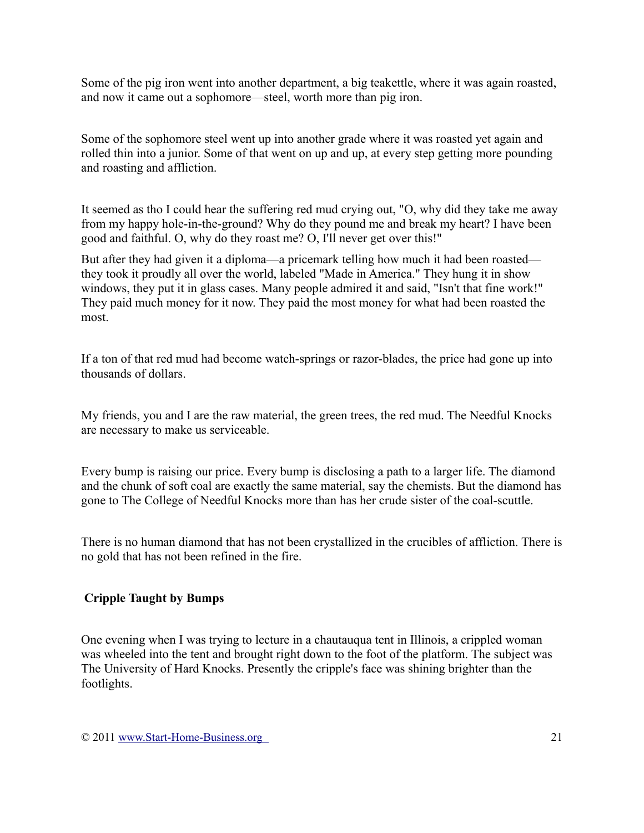Some of the pig iron went into another department, a big teakettle, where it was again roasted, and now it came out a sophomore—steel, worth more than pig iron.

Some of the sophomore steel went up into another grade where it was roasted yet again and rolled thin into a junior. Some of that went on up and up, at every step getting more pounding and roasting and affliction.

It seemed as tho I could hear the suffering red mud crying out, "O, why did they take me away from my happy hole-in-the-ground? Why do they pound me and break my heart? I have been good and faithful. O, why do they roast me? O, I'll never get over this!"

But after they had given it a diploma—a pricemark telling how much it had been roasted they took it proudly all over the world, labeled "Made in America." They hung it in show windows, they put it in glass cases. Many people admired it and said, "Isn't that fine work!" They paid much money for it now. They paid the most money for what had been roasted the most.

If a ton of that red mud had become watch-springs or razor-blades, the price had gone up into thousands of dollars.

My friends, you and I are the raw material, the green trees, the red mud. The Needful Knocks are necessary to make us serviceable.

Every bump is raising our price. Every bump is disclosing a path to a larger life. The diamond and the chunk of soft coal are exactly the same material, say the chemists. But the diamond has gone to The College of Needful Knocks more than has her crude sister of the coal-scuttle.

There is no human diamond that has not been crystallized in the crucibles of affliction. There is no gold that has not been refined in the fire.

# **Cripple Taught by Bumps**

One evening when I was trying to lecture in a chautauqua tent in Illinois, a crippled woman was wheeled into the tent and brought right down to the foot of the platform. The subject was The University of Hard Knocks. Presently the cripple's face was shining brighter than the footlights.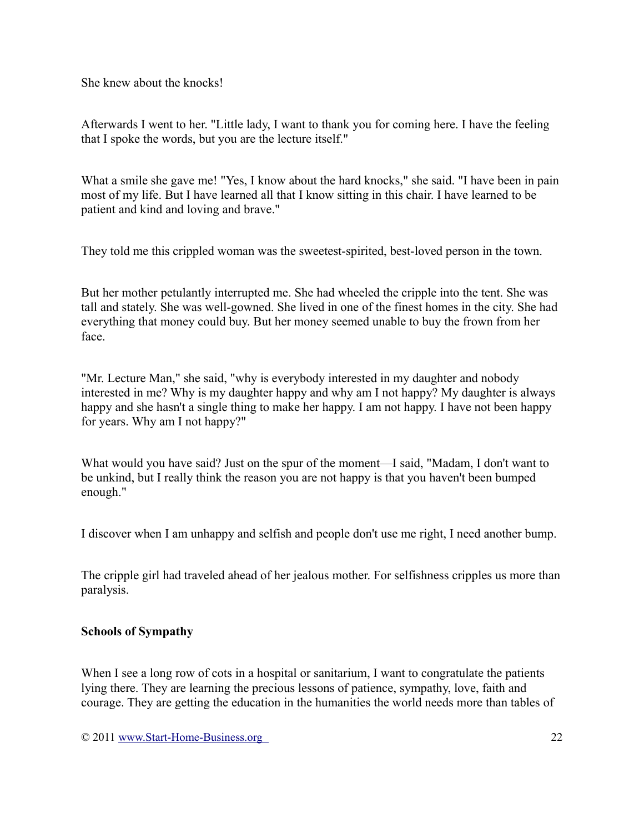She knew about the knocks!

Afterwards I went to her. "Little lady, I want to thank you for coming here. I have the feeling that I spoke the words, but you are the lecture itself."

What a smile she gave me! "Yes, I know about the hard knocks," she said. "I have been in pain most of my life. But I have learned all that I know sitting in this chair. I have learned to be patient and kind and loving and brave."

They told me this crippled woman was the sweetest-spirited, best-loved person in the town.

But her mother petulantly interrupted me. She had wheeled the cripple into the tent. She was tall and stately. She was well-gowned. She lived in one of the finest homes in the city. She had everything that money could buy. But her money seemed unable to buy the frown from her face.

"Mr. Lecture Man," she said, "why is everybody interested in my daughter and nobody interested in me? Why is my daughter happy and why am I not happy? My daughter is always happy and she hasn't a single thing to make her happy. I am not happy. I have not been happy for years. Why am I not happy?"

What would you have said? Just on the spur of the moment—I said, "Madam, I don't want to be unkind, but I really think the reason you are not happy is that you haven't been bumped enough."

I discover when I am unhappy and selfish and people don't use me right, I need another bump.

The cripple girl had traveled ahead of her jealous mother. For selfishness cripples us more than paralysis.

### **Schools of Sympathy**

When I see a long row of cots in a hospital or sanitarium, I want to congratulate the patients lying there. They are learning the precious lessons of patience, sympathy, love, faith and courage. They are getting the education in the humanities the world needs more than tables of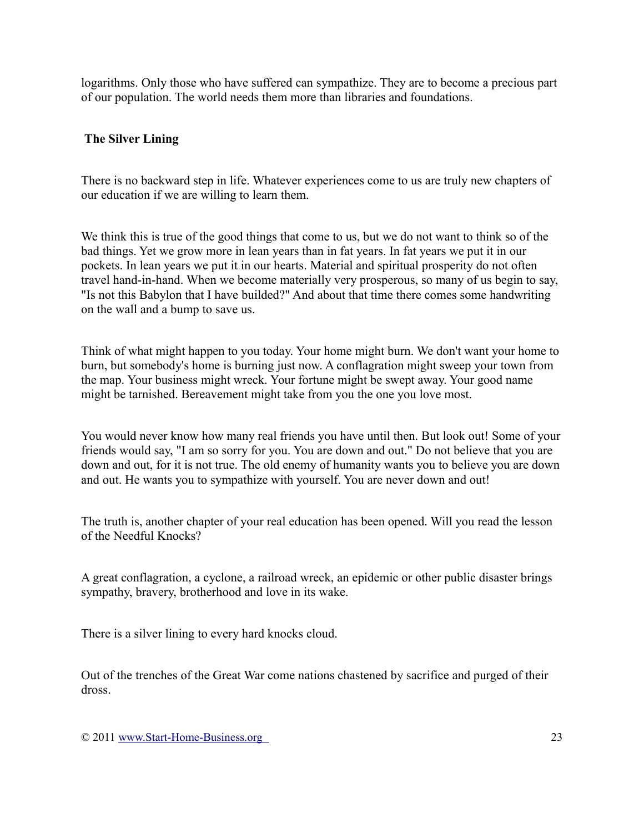logarithms. Only those who have suffered can sympathize. They are to become a precious part of our population. The world needs them more than libraries and foundations.

#### **The Silver Lining**

There is no backward step in life. Whatever experiences come to us are truly new chapters of our education if we are willing to learn them.

We think this is true of the good things that come to us, but we do not want to think so of the bad things. Yet we grow more in lean years than in fat years. In fat years we put it in our pockets. In lean years we put it in our hearts. Material and spiritual prosperity do not often travel hand-in-hand. When we become materially very prosperous, so many of us begin to say, "Is not this Babylon that I have builded?" And about that time there comes some handwriting on the wall and a bump to save us.

Think of what might happen to you today. Your home might burn. We don't want your home to burn, but somebody's home is burning just now. A conflagration might sweep your town from the map. Your business might wreck. Your fortune might be swept away. Your good name might be tarnished. Bereavement might take from you the one you love most.

You would never know how many real friends you have until then. But look out! Some of your friends would say, "I am so sorry for you. You are down and out." Do not believe that you are down and out, for it is not true. The old enemy of humanity wants you to believe you are down and out. He wants you to sympathize with yourself. You are never down and out!

The truth is, another chapter of your real education has been opened. Will you read the lesson of the Needful Knocks?

A great conflagration, a cyclone, a railroad wreck, an epidemic or other public disaster brings sympathy, bravery, brotherhood and love in its wake.

There is a silver lining to every hard knocks cloud.

Out of the trenches of the Great War come nations chastened by sacrifice and purged of their dross.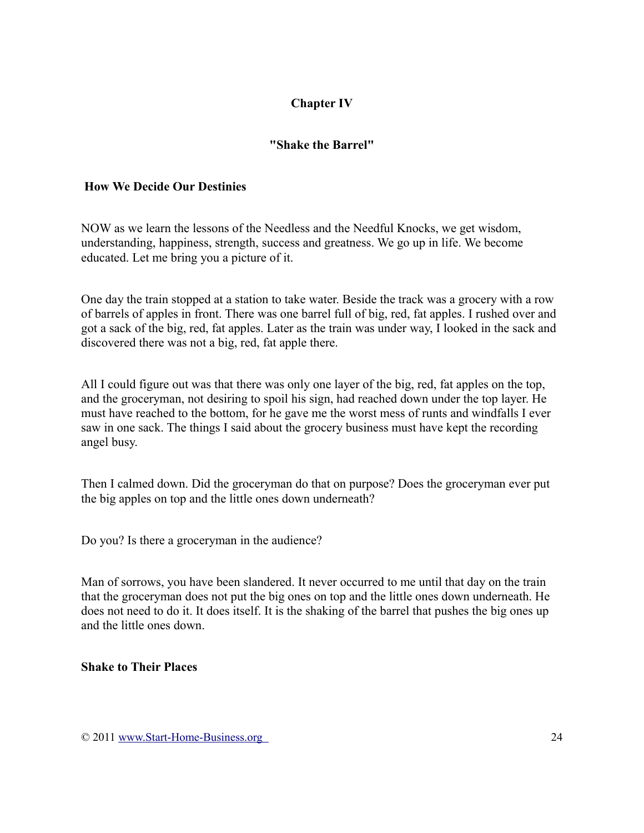# **Chapter IV**

## **"Shake the Barrel"**

#### **How We Decide Our Destinies**

NOW as we learn the lessons of the Needless and the Needful Knocks, we get wisdom, understanding, happiness, strength, success and greatness. We go up in life. We become educated. Let me bring you a picture of it.

One day the train stopped at a station to take water. Beside the track was a grocery with a row of barrels of apples in front. There was one barrel full of big, red, fat apples. I rushed over and got a sack of the big, red, fat apples. Later as the train was under way, I looked in the sack and discovered there was not a big, red, fat apple there.

All I could figure out was that there was only one layer of the big, red, fat apples on the top, and the groceryman, not desiring to spoil his sign, had reached down under the top layer. He must have reached to the bottom, for he gave me the worst mess of runts and windfalls I ever saw in one sack. The things I said about the grocery business must have kept the recording angel busy.

Then I calmed down. Did the groceryman do that on purpose? Does the groceryman ever put the big apples on top and the little ones down underneath?

Do you? Is there a groceryman in the audience?

Man of sorrows, you have been slandered. It never occurred to me until that day on the train that the groceryman does not put the big ones on top and the little ones down underneath. He does not need to do it. It does itself. It is the shaking of the barrel that pushes the big ones up and the little ones down.

#### **Shake to Their Places**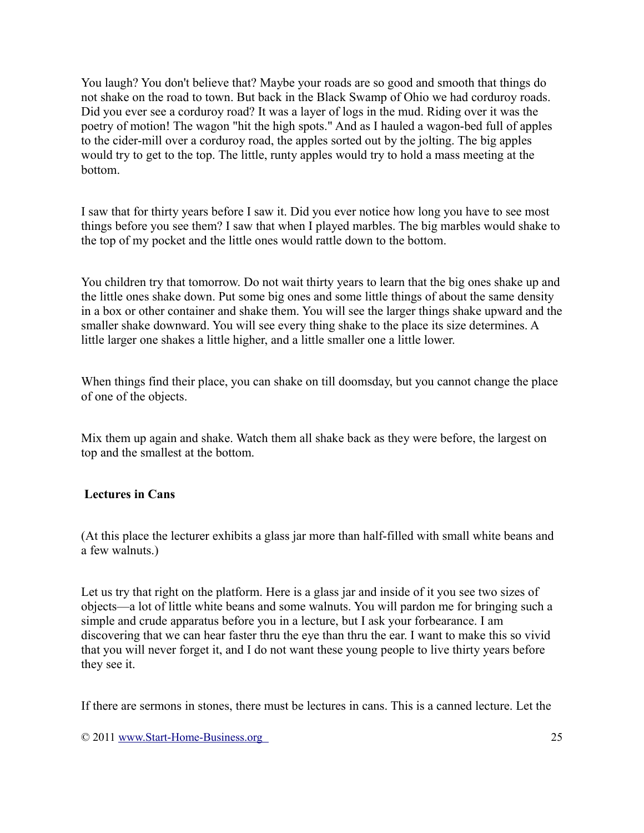You laugh? You don't believe that? Maybe your roads are so good and smooth that things do not shake on the road to town. But back in the Black Swamp of Ohio we had corduroy roads. Did you ever see a corduroy road? It was a layer of logs in the mud. Riding over it was the poetry of motion! The wagon "hit the high spots." And as I hauled a wagon-bed full of apples to the cider-mill over a corduroy road, the apples sorted out by the jolting. The big apples would try to get to the top. The little, runty apples would try to hold a mass meeting at the bottom.

I saw that for thirty years before I saw it. Did you ever notice how long you have to see most things before you see them? I saw that when I played marbles. The big marbles would shake to the top of my pocket and the little ones would rattle down to the bottom.

You children try that tomorrow. Do not wait thirty years to learn that the big ones shake up and the little ones shake down. Put some big ones and some little things of about the same density in a box or other container and shake them. You will see the larger things shake upward and the smaller shake downward. You will see every thing shake to the place its size determines. A little larger one shakes a little higher, and a little smaller one a little lower.

When things find their place, you can shake on till doomsday, but you cannot change the place of one of the objects.

Mix them up again and shake. Watch them all shake back as they were before, the largest on top and the smallest at the bottom.

### **Lectures in Cans**

(At this place the lecturer exhibits a glass jar more than half-filled with small white beans and a few walnuts.)

Let us try that right on the platform. Here is a glass jar and inside of it you see two sizes of objects—a lot of little white beans and some walnuts. You will pardon me for bringing such a simple and crude apparatus before you in a lecture, but I ask your forbearance. I am discovering that we can hear faster thru the eye than thru the ear. I want to make this so vivid that you will never forget it, and I do not want these young people to live thirty years before they see it.

If there are sermons in stones, there must be lectures in cans. This is a canned lecture. Let the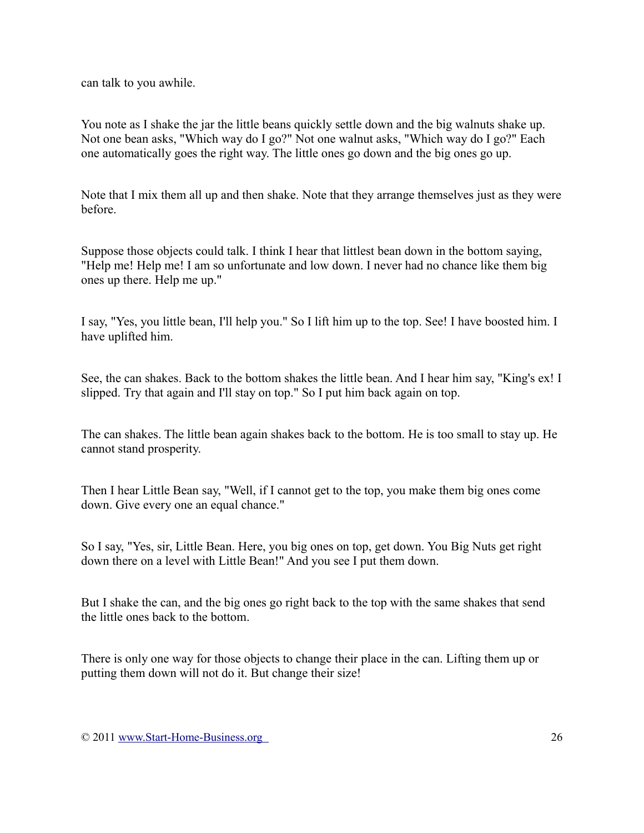can talk to you awhile.

You note as I shake the jar the little beans quickly settle down and the big walnuts shake up. Not one bean asks, "Which way do I go?" Not one walnut asks, "Which way do I go?" Each one automatically goes the right way. The little ones go down and the big ones go up.

Note that I mix them all up and then shake. Note that they arrange themselves just as they were before.

Suppose those objects could talk. I think I hear that littlest bean down in the bottom saying, "Help me! Help me! I am so unfortunate and low down. I never had no chance like them big ones up there. Help me up."

I say, "Yes, you little bean, I'll help you." So I lift him up to the top. See! I have boosted him. I have uplifted him.

See, the can shakes. Back to the bottom shakes the little bean. And I hear him say, "King's ex! I slipped. Try that again and I'll stay on top." So I put him back again on top.

The can shakes. The little bean again shakes back to the bottom. He is too small to stay up. He cannot stand prosperity.

Then I hear Little Bean say, "Well, if I cannot get to the top, you make them big ones come down. Give every one an equal chance."

So I say, "Yes, sir, Little Bean. Here, you big ones on top, get down. You Big Nuts get right down there on a level with Little Bean!" And you see I put them down.

But I shake the can, and the big ones go right back to the top with the same shakes that send the little ones back to the bottom.

There is only one way for those objects to change their place in the can. Lifting them up or putting them down will not do it. But change their size!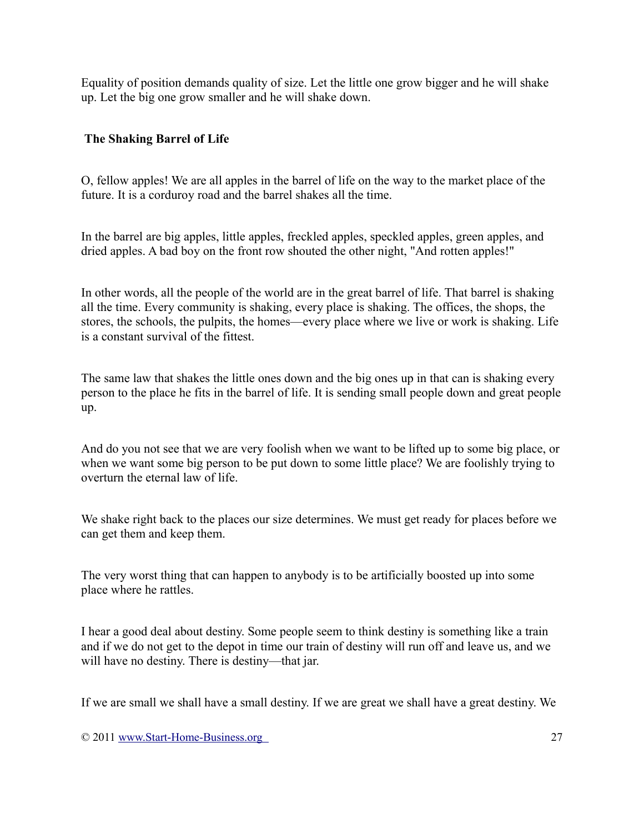Equality of position demands quality of size. Let the little one grow bigger and he will shake up. Let the big one grow smaller and he will shake down.

#### **The Shaking Barrel of Life**

O, fellow apples! We are all apples in the barrel of life on the way to the market place of the future. It is a corduroy road and the barrel shakes all the time.

In the barrel are big apples, little apples, freckled apples, speckled apples, green apples, and dried apples. A bad boy on the front row shouted the other night, "And rotten apples!"

In other words, all the people of the world are in the great barrel of life. That barrel is shaking all the time. Every community is shaking, every place is shaking. The offices, the shops, the stores, the schools, the pulpits, the homes—every place where we live or work is shaking. Life is a constant survival of the fittest.

The same law that shakes the little ones down and the big ones up in that can is shaking every person to the place he fits in the barrel of life. It is sending small people down and great people up.

And do you not see that we are very foolish when we want to be lifted up to some big place, or when we want some big person to be put down to some little place? We are foolishly trying to overturn the eternal law of life.

We shake right back to the places our size determines. We must get ready for places before we can get them and keep them.

The very worst thing that can happen to anybody is to be artificially boosted up into some place where he rattles.

I hear a good deal about destiny. Some people seem to think destiny is something like a train and if we do not get to the depot in time our train of destiny will run off and leave us, and we will have no destiny. There is destiny—that jar.

If we are small we shall have a small destiny. If we are great we shall have a great destiny. We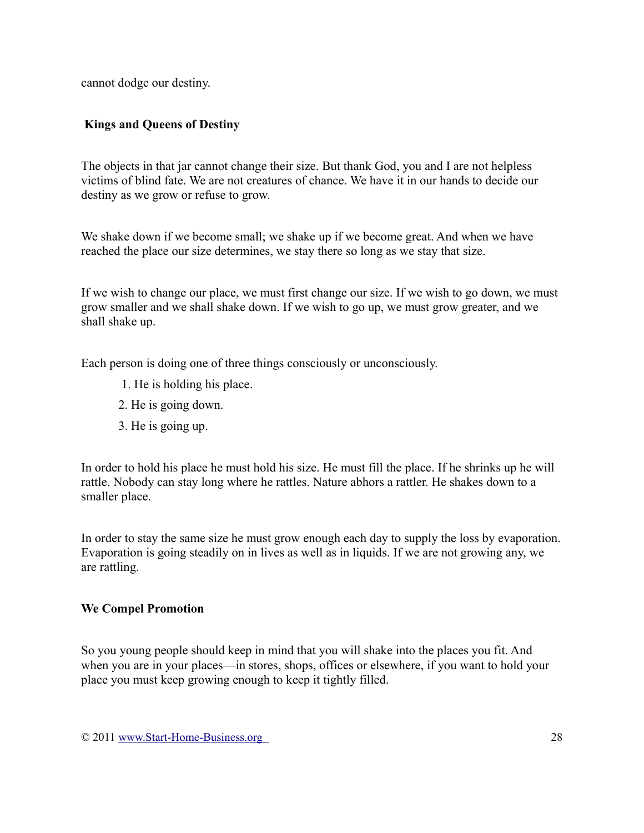cannot dodge our destiny.

## **Kings and Queens of Destiny**

The objects in that jar cannot change their size. But thank God, you and I are not helpless victims of blind fate. We are not creatures of chance. We have it in our hands to decide our destiny as we grow or refuse to grow.

We shake down if we become small; we shake up if we become great. And when we have reached the place our size determines, we stay there so long as we stay that size.

If we wish to change our place, we must first change our size. If we wish to go down, we must grow smaller and we shall shake down. If we wish to go up, we must grow greater, and we shall shake up.

Each person is doing one of three things consciously or unconsciously.

- 1. He is holding his place.
- 2. He is going down.
- 3. He is going up.

In order to hold his place he must hold his size. He must fill the place. If he shrinks up he will rattle. Nobody can stay long where he rattles. Nature abhors a rattler. He shakes down to a smaller place.

In order to stay the same size he must grow enough each day to supply the loss by evaporation. Evaporation is going steadily on in lives as well as in liquids. If we are not growing any, we are rattling.

### **We Compel Promotion**

So you young people should keep in mind that you will shake into the places you fit. And when you are in your places—in stores, shops, offices or elsewhere, if you want to hold your place you must keep growing enough to keep it tightly filled.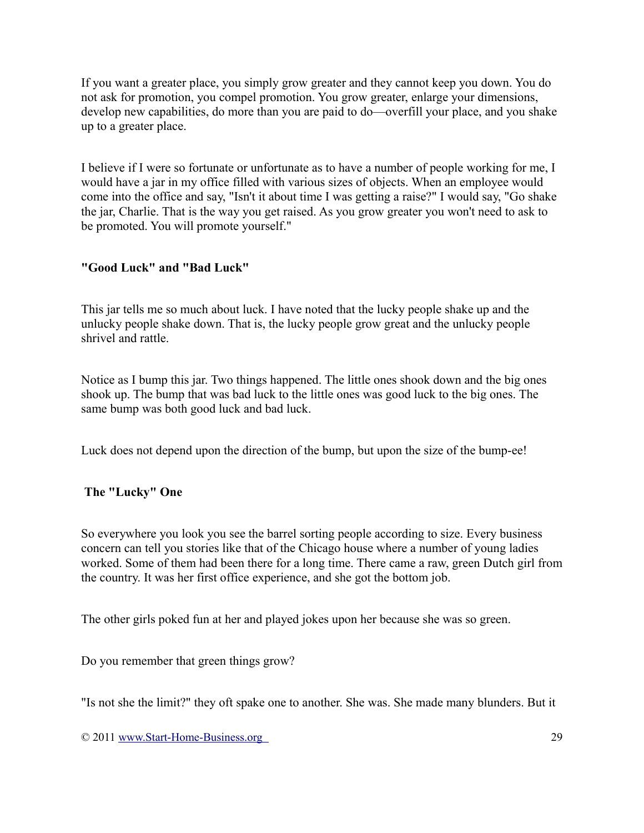If you want a greater place, you simply grow greater and they cannot keep you down. You do not ask for promotion, you compel promotion. You grow greater, enlarge your dimensions, develop new capabilities, do more than you are paid to do—overfill your place, and you shake up to a greater place.

I believe if I were so fortunate or unfortunate as to have a number of people working for me, I would have a jar in my office filled with various sizes of objects. When an employee would come into the office and say, "Isn't it about time I was getting a raise?" I would say, "Go shake the jar, Charlie. That is the way you get raised. As you grow greater you won't need to ask to be promoted. You will promote yourself."

## **"Good Luck" and "Bad Luck"**

This jar tells me so much about luck. I have noted that the lucky people shake up and the unlucky people shake down. That is, the lucky people grow great and the unlucky people shrivel and rattle.

Notice as I bump this jar. Two things happened. The little ones shook down and the big ones shook up. The bump that was bad luck to the little ones was good luck to the big ones. The same bump was both good luck and bad luck.

Luck does not depend upon the direction of the bump, but upon the size of the bump-ee!

### **The "Lucky" One**

So everywhere you look you see the barrel sorting people according to size. Every business concern can tell you stories like that of the Chicago house where a number of young ladies worked. Some of them had been there for a long time. There came a raw, green Dutch girl from the country. It was her first office experience, and she got the bottom job.

The other girls poked fun at her and played jokes upon her because she was so green.

Do you remember that green things grow?

"Is not she the limit?" they oft spake one to another. She was. She made many blunders. But it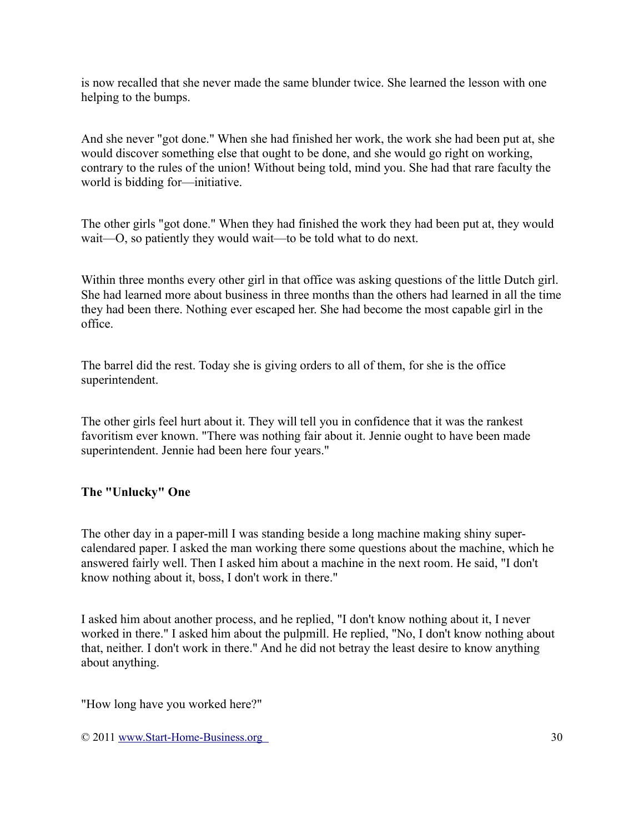is now recalled that she never made the same blunder twice. She learned the lesson with one helping to the bumps.

And she never "got done." When she had finished her work, the work she had been put at, she would discover something else that ought to be done, and she would go right on working, contrary to the rules of the union! Without being told, mind you. She had that rare faculty the world is bidding for—initiative.

The other girls "got done." When they had finished the work they had been put at, they would wait—O, so patiently they would wait—to be told what to do next.

Within three months every other girl in that office was asking questions of the little Dutch girl. She had learned more about business in three months than the others had learned in all the time they had been there. Nothing ever escaped her. She had become the most capable girl in the office.

The barrel did the rest. Today she is giving orders to all of them, for she is the office superintendent.

The other girls feel hurt about it. They will tell you in confidence that it was the rankest favoritism ever known. "There was nothing fair about it. Jennie ought to have been made superintendent. Jennie had been here four years."

### **The "Unlucky" One**

The other day in a paper-mill I was standing beside a long machine making shiny supercalendared paper. I asked the man working there some questions about the machine, which he answered fairly well. Then I asked him about a machine in the next room. He said, "I don't know nothing about it, boss, I don't work in there."

I asked him about another process, and he replied, "I don't know nothing about it, I never worked in there." I asked him about the pulpmill. He replied, "No, I don't know nothing about that, neither. I don't work in there." And he did not betray the least desire to know anything about anything.

"How long have you worked here?"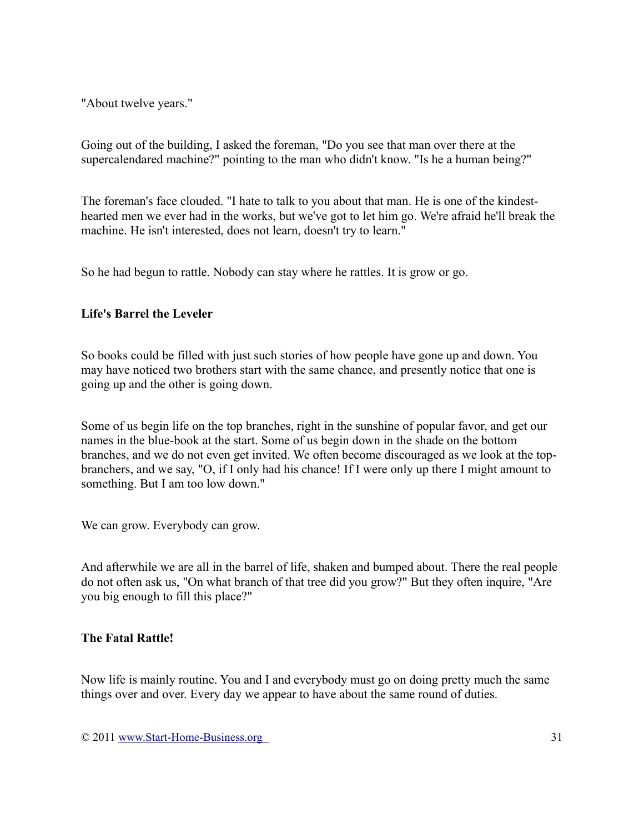"About twelve years."

Going out of the building, I asked the foreman, "Do you see that man over there at the supercalendared machine?" pointing to the man who didn't know. "Is he a human being?"

The foreman's face clouded. "I hate to talk to you about that man. He is one of the kindesthearted men we ever had in the works, but we've got to let him go. We're afraid he'll break the machine. He isn't interested, does not learn, doesn't try to learn."

So he had begun to rattle. Nobody can stay where he rattles. It is grow or go.

### **Life's Barrel the Leveler**

So books could be filled with just such stories of how people have gone up and down. You may have noticed two brothers start with the same chance, and presently notice that one is going up and the other is going down.

Some of us begin life on the top branches, right in the sunshine of popular favor, and get our names in the blue-book at the start. Some of us begin down in the shade on the bottom branches, and we do not even get invited. We often become discouraged as we look at the topbranchers, and we say, "O, if I only had his chance! If I were only up there I might amount to something. But I am too low down."

We can grow. Everybody can grow.

And afterwhile we are all in the barrel of life, shaken and bumped about. There the real people do not often ask us, "On what branch of that tree did you grow?" But they often inquire, "Are you big enough to fill this place?"

### **The Fatal Rattle!**

Now life is mainly routine. You and I and everybody must go on doing pretty much the same things over and over. Every day we appear to have about the same round of duties.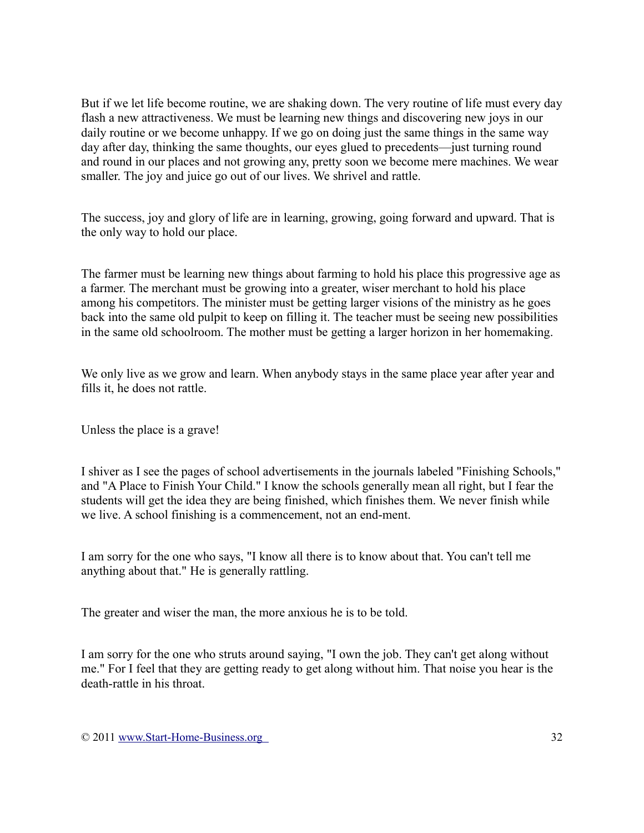But if we let life become routine, we are shaking down. The very routine of life must every day flash a new attractiveness. We must be learning new things and discovering new joys in our daily routine or we become unhappy. If we go on doing just the same things in the same way day after day, thinking the same thoughts, our eyes glued to precedents—just turning round and round in our places and not growing any, pretty soon we become mere machines. We wear smaller. The joy and juice go out of our lives. We shrivel and rattle.

The success, joy and glory of life are in learning, growing, going forward and upward. That is the only way to hold our place.

The farmer must be learning new things about farming to hold his place this progressive age as a farmer. The merchant must be growing into a greater, wiser merchant to hold his place among his competitors. The minister must be getting larger visions of the ministry as he goes back into the same old pulpit to keep on filling it. The teacher must be seeing new possibilities in the same old schoolroom. The mother must be getting a larger horizon in her homemaking.

We only live as we grow and learn. When anybody stays in the same place year after year and fills it, he does not rattle.

Unless the place is a grave!

I shiver as I see the pages of school advertisements in the journals labeled "Finishing Schools," and "A Place to Finish Your Child." I know the schools generally mean all right, but I fear the students will get the idea they are being finished, which finishes them. We never finish while we live. A school finishing is a commencement, not an end-ment.

I am sorry for the one who says, "I know all there is to know about that. You can't tell me anything about that." He is generally rattling.

The greater and wiser the man, the more anxious he is to be told.

I am sorry for the one who struts around saying, "I own the job. They can't get along without me." For I feel that they are getting ready to get along without him. That noise you hear is the death-rattle in his throat.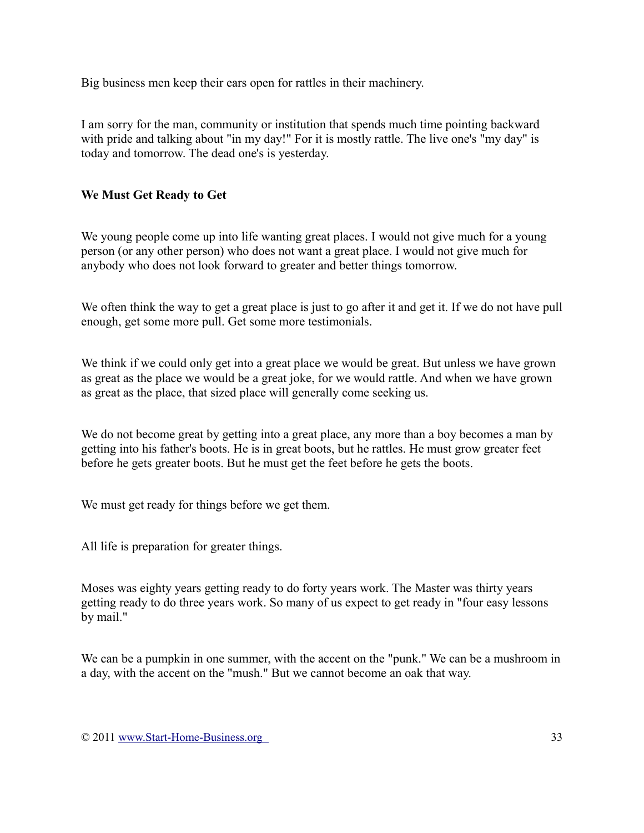Big business men keep their ears open for rattles in their machinery.

I am sorry for the man, community or institution that spends much time pointing backward with pride and talking about "in my day!" For it is mostly rattle. The live one's "my day" is today and tomorrow. The dead one's is yesterday.

## **We Must Get Ready to Get**

We young people come up into life wanting great places. I would not give much for a young person (or any other person) who does not want a great place. I would not give much for anybody who does not look forward to greater and better things tomorrow.

We often think the way to get a great place is just to go after it and get it. If we do not have pull enough, get some more pull. Get some more testimonials.

We think if we could only get into a great place we would be great. But unless we have grown as great as the place we would be a great joke, for we would rattle. And when we have grown as great as the place, that sized place will generally come seeking us.

We do not become great by getting into a great place, any more than a boy becomes a man by getting into his father's boots. He is in great boots, but he rattles. He must grow greater feet before he gets greater boots. But he must get the feet before he gets the boots.

We must get ready for things before we get them.

All life is preparation for greater things.

Moses was eighty years getting ready to do forty years work. The Master was thirty years getting ready to do three years work. So many of us expect to get ready in "four easy lessons by mail."

We can be a pumpkin in one summer, with the accent on the "punk." We can be a mushroom in a day, with the accent on the "mush." But we cannot become an oak that way.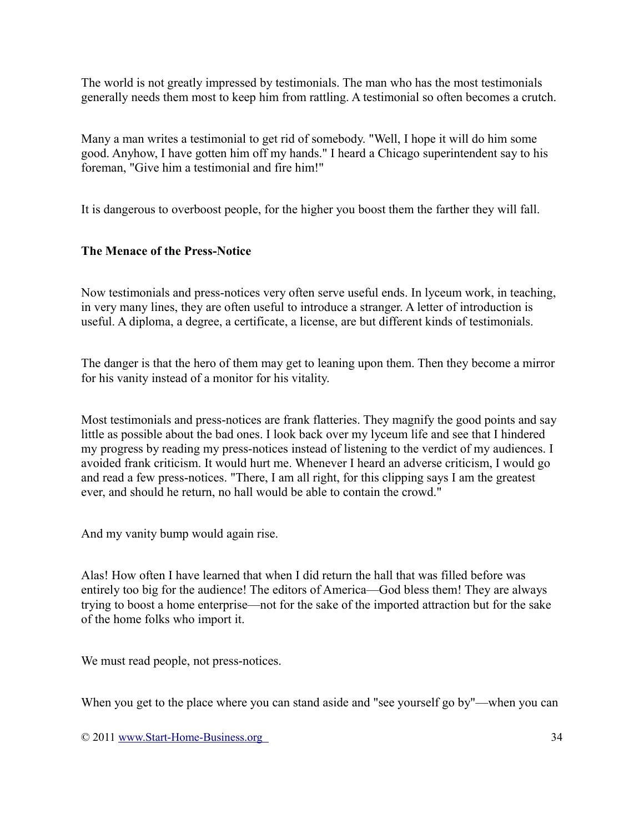The world is not greatly impressed by testimonials. The man who has the most testimonials generally needs them most to keep him from rattling. A testimonial so often becomes a crutch.

Many a man writes a testimonial to get rid of somebody. "Well, I hope it will do him some good. Anyhow, I have gotten him off my hands." I heard a Chicago superintendent say to his foreman, "Give him a testimonial and fire him!"

It is dangerous to overboost people, for the higher you boost them the farther they will fall.

### **The Menace of the Press-Notice**

Now testimonials and press-notices very often serve useful ends. In lyceum work, in teaching, in very many lines, they are often useful to introduce a stranger. A letter of introduction is useful. A diploma, a degree, a certificate, a license, are but different kinds of testimonials.

The danger is that the hero of them may get to leaning upon them. Then they become a mirror for his vanity instead of a monitor for his vitality.

Most testimonials and press-notices are frank flatteries. They magnify the good points and say little as possible about the bad ones. I look back over my lyceum life and see that I hindered my progress by reading my press-notices instead of listening to the verdict of my audiences. I avoided frank criticism. It would hurt me. Whenever I heard an adverse criticism, I would go and read a few press-notices. "There, I am all right, for this clipping says I am the greatest ever, and should he return, no hall would be able to contain the crowd."

And my vanity bump would again rise.

Alas! How often I have learned that when I did return the hall that was filled before was entirely too big for the audience! The editors of America—God bless them! They are always trying to boost a home enterprise—not for the sake of the imported attraction but for the sake of the home folks who import it.

We must read people, not press-notices.

When you get to the place where you can stand aside and "see yourself go by"—when you can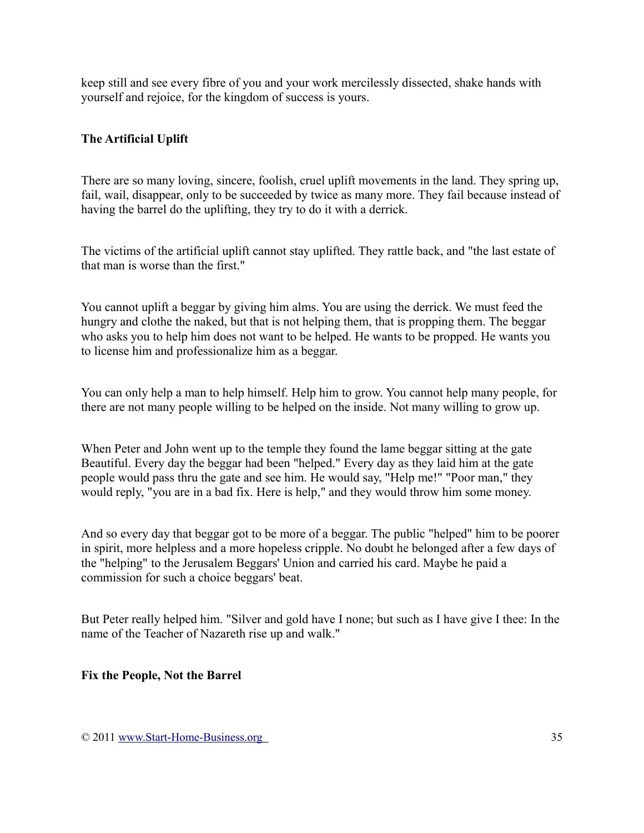keep still and see every fibre of you and your work mercilessly dissected, shake hands with yourself and rejoice, for the kingdom of success is yours.

## **The Artificial Uplift**

There are so many loving, sincere, foolish, cruel uplift movements in the land. They spring up, fail, wail, disappear, only to be succeeded by twice as many more. They fail because instead of having the barrel do the uplifting, they try to do it with a derrick.

The victims of the artificial uplift cannot stay uplifted. They rattle back, and "the last estate of that man is worse than the first."

You cannot uplift a beggar by giving him alms. You are using the derrick. We must feed the hungry and clothe the naked, but that is not helping them, that is propping them. The beggar who asks you to help him does not want to be helped. He wants to be propped. He wants you to license him and professionalize him as a beggar.

You can only help a man to help himself. Help him to grow. You cannot help many people, for there are not many people willing to be helped on the inside. Not many willing to grow up.

When Peter and John went up to the temple they found the lame beggar sitting at the gate Beautiful. Every day the beggar had been "helped." Every day as they laid him at the gate people would pass thru the gate and see him. He would say, "Help me!" "Poor man," they would reply, "you are in a bad fix. Here is help," and they would throw him some money.

And so every day that beggar got to be more of a beggar. The public "helped" him to be poorer in spirit, more helpless and a more hopeless cripple. No doubt he belonged after a few days of the "helping" to the Jerusalem Beggars' Union and carried his card. Maybe he paid a commission for such a choice beggars' beat.

But Peter really helped him. "Silver and gold have I none; but such as I have give I thee: In the name of the Teacher of Nazareth rise up and walk."

#### **Fix the People, Not the Barrel**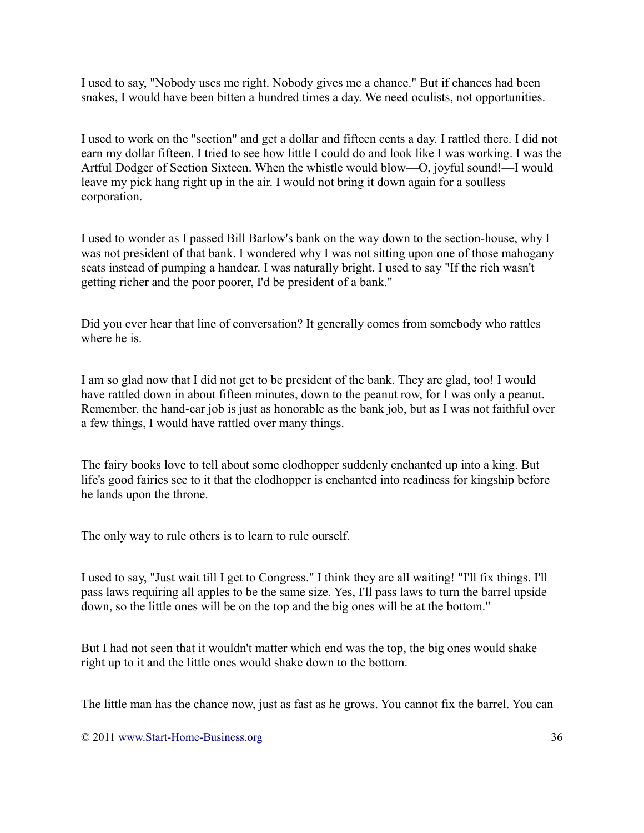I used to say, "Nobody uses me right. Nobody gives me a chance." But if chances had been snakes, I would have been bitten a hundred times a day. We need oculists, not opportunities.

I used to work on the "section" and get a dollar and fifteen cents a day. I rattled there. I did not earn my dollar fifteen. I tried to see how little I could do and look like I was working. I was the Artful Dodger of Section Sixteen. When the whistle would blow—O, joyful sound!—I would leave my pick hang right up in the air. I would not bring it down again for a soulless corporation.

I used to wonder as I passed Bill Barlow's bank on the way down to the section-house, why I was not president of that bank. I wondered why I was not sitting upon one of those mahogany seats instead of pumping a handcar. I was naturally bright. I used to say "If the rich wasn't getting richer and the poor poorer, I'd be president of a bank."

Did you ever hear that line of conversation? It generally comes from somebody who rattles where he is.

I am so glad now that I did not get to be president of the bank. They are glad, too! I would have rattled down in about fifteen minutes, down to the peanut row, for I was only a peanut. Remember, the hand-car job is just as honorable as the bank job, but as I was not faithful over a few things, I would have rattled over many things.

The fairy books love to tell about some clodhopper suddenly enchanted up into a king. But life's good fairies see to it that the clodhopper is enchanted into readiness for kingship before he lands upon the throne.

The only way to rule others is to learn to rule ourself.

I used to say, "Just wait till I get to Congress." I think they are all waiting! "I'll fix things. I'll pass laws requiring all apples to be the same size. Yes, I'll pass laws to turn the barrel upside down, so the little ones will be on the top and the big ones will be at the bottom."

But I had not seen that it wouldn't matter which end was the top, the big ones would shake right up to it and the little ones would shake down to the bottom.

The little man has the chance now, just as fast as he grows. You cannot fix the barrel. You can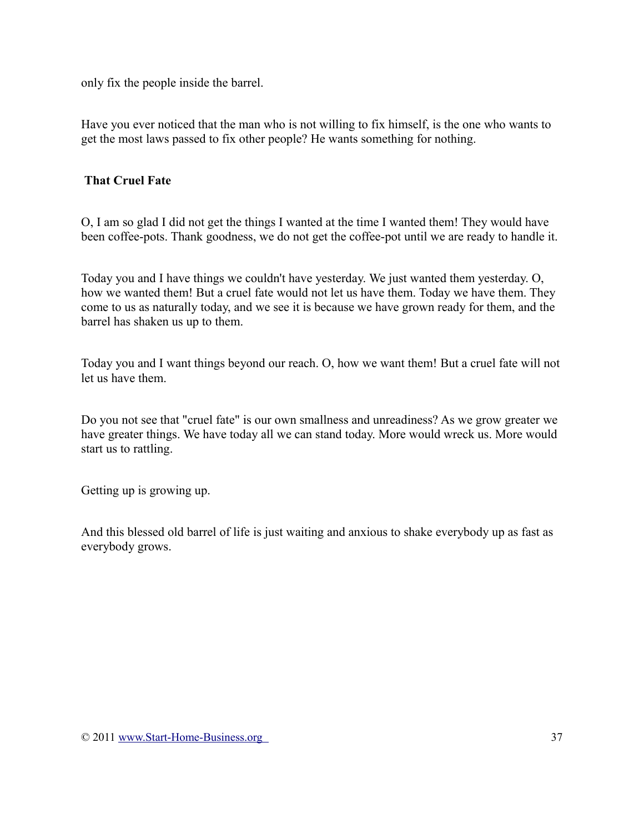only fix the people inside the barrel.

Have you ever noticed that the man who is not willing to fix himself, is the one who wants to get the most laws passed to fix other people? He wants something for nothing.

## **That Cruel Fate**

O, I am so glad I did not get the things I wanted at the time I wanted them! They would have been coffee-pots. Thank goodness, we do not get the coffee-pot until we are ready to handle it.

Today you and I have things we couldn't have yesterday. We just wanted them yesterday. O, how we wanted them! But a cruel fate would not let us have them. Today we have them. They come to us as naturally today, and we see it is because we have grown ready for them, and the barrel has shaken us up to them.

Today you and I want things beyond our reach. O, how we want them! But a cruel fate will not let us have them.

Do you not see that "cruel fate" is our own smallness and unreadiness? As we grow greater we have greater things. We have today all we can stand today. More would wreck us. More would start us to rattling.

Getting up is growing up.

And this blessed old barrel of life is just waiting and anxious to shake everybody up as fast as everybody grows.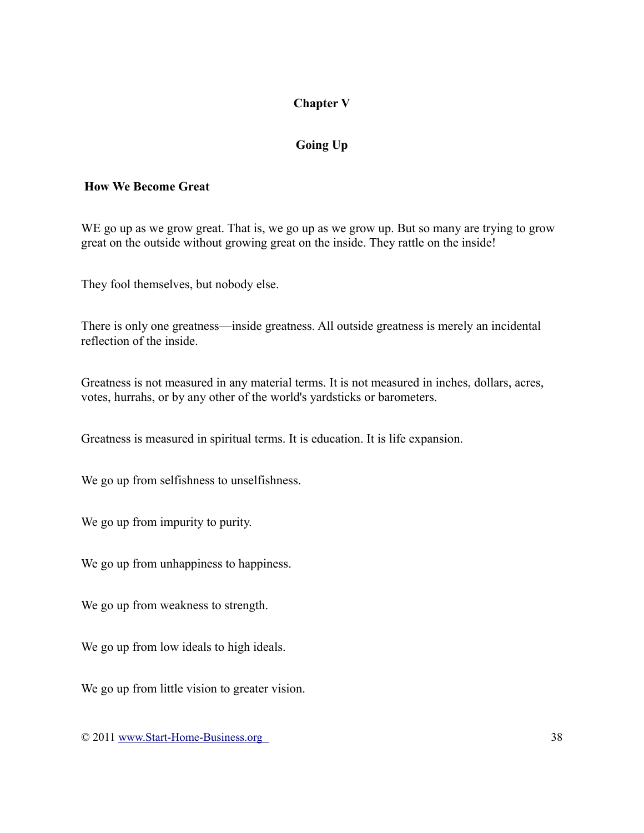# **Chapter V**

# **Going Up**

#### **How We Become Great**

WE go up as we grow great. That is, we go up as we grow up. But so many are trying to grow great on the outside without growing great on the inside. They rattle on the inside!

They fool themselves, but nobody else.

There is only one greatness—inside greatness. All outside greatness is merely an incidental reflection of the inside.

Greatness is not measured in any material terms. It is not measured in inches, dollars, acres, votes, hurrahs, or by any other of the world's yardsticks or barometers.

Greatness is measured in spiritual terms. It is education. It is life expansion.

We go up from selfishness to unselfishness.

We go up from impurity to purity.

We go up from unhappiness to happiness.

We go up from weakness to strength.

We go up from low ideals to high ideals.

We go up from little vision to greater vision.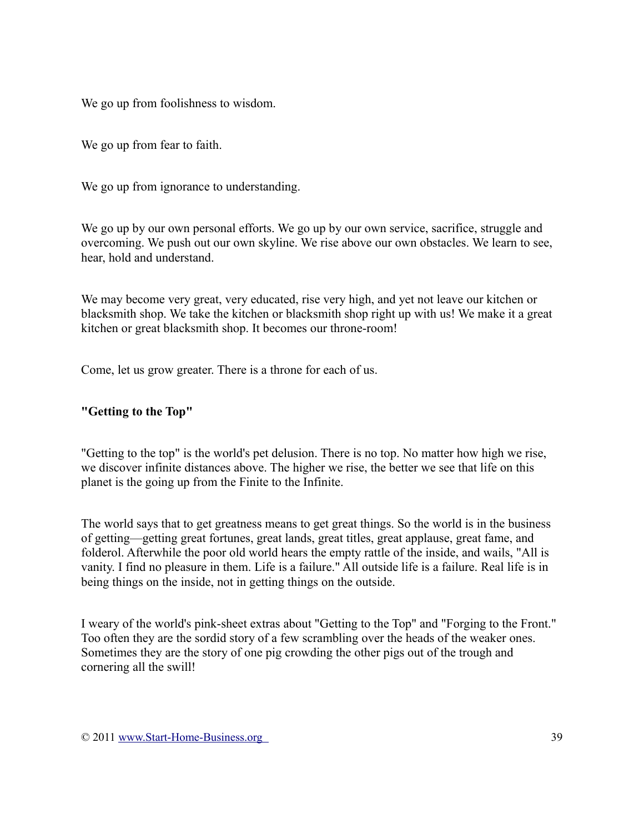We go up from foolishness to wisdom.

We go up from fear to faith.

We go up from ignorance to understanding.

We go up by our own personal efforts. We go up by our own service, sacrifice, struggle and overcoming. We push out our own skyline. We rise above our own obstacles. We learn to see, hear, hold and understand.

We may become very great, very educated, rise very high, and yet not leave our kitchen or blacksmith shop. We take the kitchen or blacksmith shop right up with us! We make it a great kitchen or great blacksmith shop. It becomes our throne-room!

Come, let us grow greater. There is a throne for each of us.

#### **"Getting to the Top"**

"Getting to the top" is the world's pet delusion. There is no top. No matter how high we rise, we discover infinite distances above. The higher we rise, the better we see that life on this planet is the going up from the Finite to the Infinite.

The world says that to get greatness means to get great things. So the world is in the business of getting—getting great fortunes, great lands, great titles, great applause, great fame, and folderol. Afterwhile the poor old world hears the empty rattle of the inside, and wails, "All is vanity. I find no pleasure in them. Life is a failure." All outside life is a failure. Real life is in being things on the inside, not in getting things on the outside.

I weary of the world's pink-sheet extras about "Getting to the Top" and "Forging to the Front." Too often they are the sordid story of a few scrambling over the heads of the weaker ones. Sometimes they are the story of one pig crowding the other pigs out of the trough and cornering all the swill!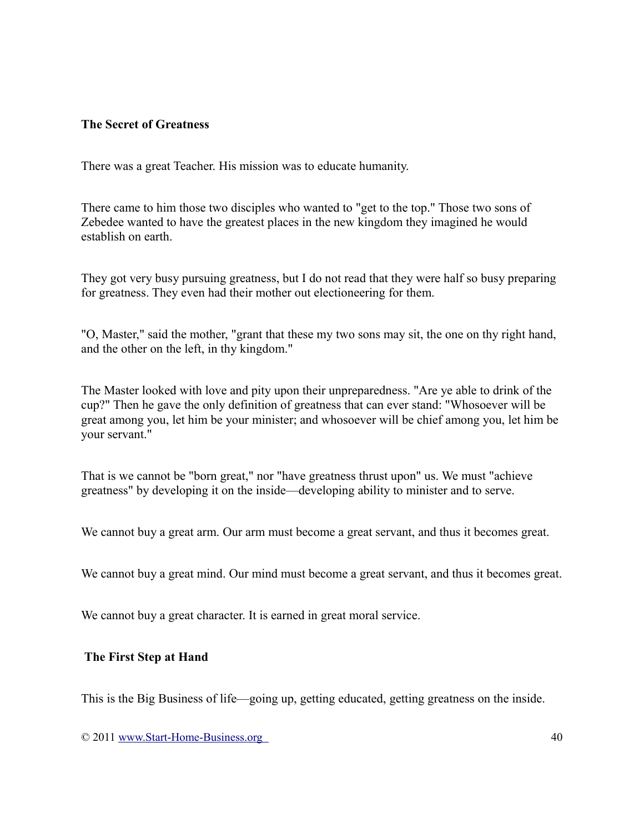#### **The Secret of Greatness**

There was a great Teacher. His mission was to educate humanity.

There came to him those two disciples who wanted to "get to the top." Those two sons of Zebedee wanted to have the greatest places in the new kingdom they imagined he would establish on earth.

They got very busy pursuing greatness, but I do not read that they were half so busy preparing for greatness. They even had their mother out electioneering for them.

"O, Master," said the mother, "grant that these my two sons may sit, the one on thy right hand, and the other on the left, in thy kingdom."

The Master looked with love and pity upon their unpreparedness. "Are ye able to drink of the cup?" Then he gave the only definition of greatness that can ever stand: "Whosoever will be great among you, let him be your minister; and whosoever will be chief among you, let him be your servant."

That is we cannot be "born great," nor "have greatness thrust upon" us. We must "achieve greatness" by developing it on the inside—developing ability to minister and to serve.

We cannot buy a great arm. Our arm must become a great servant, and thus it becomes great.

We cannot buy a great mind. Our mind must become a great servant, and thus it becomes great.

We cannot buy a great character. It is earned in great moral service.

#### **The First Step at Hand**

This is the Big Business of life—going up, getting educated, getting greatness on the inside.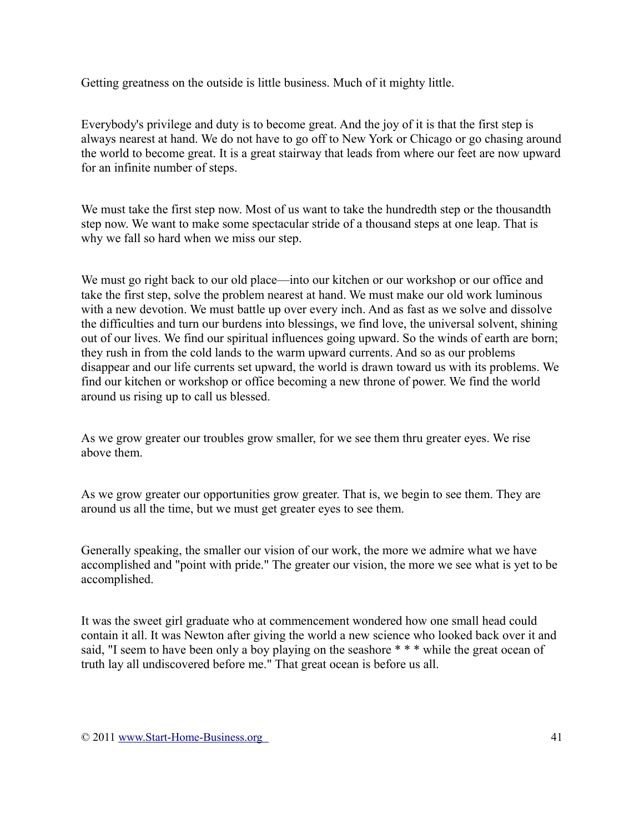Getting greatness on the outside is little business. Much of it mighty little.

Everybody's privilege and duty is to become great. And the joy of it is that the first step is always nearest at hand. We do not have to go off to New York or Chicago or go chasing around the world to become great. It is a great stairway that leads from where our feet are now upward for an infinite number of steps.

We must take the first step now. Most of us want to take the hundredth step or the thousandth step now. We want to make some spectacular stride of a thousand steps at one leap. That is why we fall so hard when we miss our step.

We must go right back to our old place—into our kitchen or our workshop or our office and take the first step, solve the problem nearest at hand. We must make our old work luminous with a new devotion. We must battle up over every inch. And as fast as we solve and dissolve the difficulties and turn our burdens into blessings, we find love, the universal solvent, shining out of our lives. We find our spiritual influences going upward. So the winds of earth are born; they rush in from the cold lands to the warm upward currents. And so as our problems disappear and our life currents set upward, the world is drawn toward us with its problems. We find our kitchen or workshop or office becoming a new throne of power. We find the world around us rising up to call us blessed.

As we grow greater our troubles grow smaller, for we see them thru greater eyes. We rise above them.

As we grow greater our opportunities grow greater. That is, we begin to see them. They are around us all the time, but we must get greater eyes to see them.

Generally speaking, the smaller our vision of our work, the more we admire what we have accomplished and "point with pride." The greater our vision, the more we see what is yet to be accomplished.

It was the sweet girl graduate who at commencement wondered how one small head could contain it all. It was Newton after giving the world a new science who looked back over it and said, "I seem to have been only a boy playing on the seashore \* \* \* while the great ocean of truth lay all undiscovered before me." That great ocean is before us all.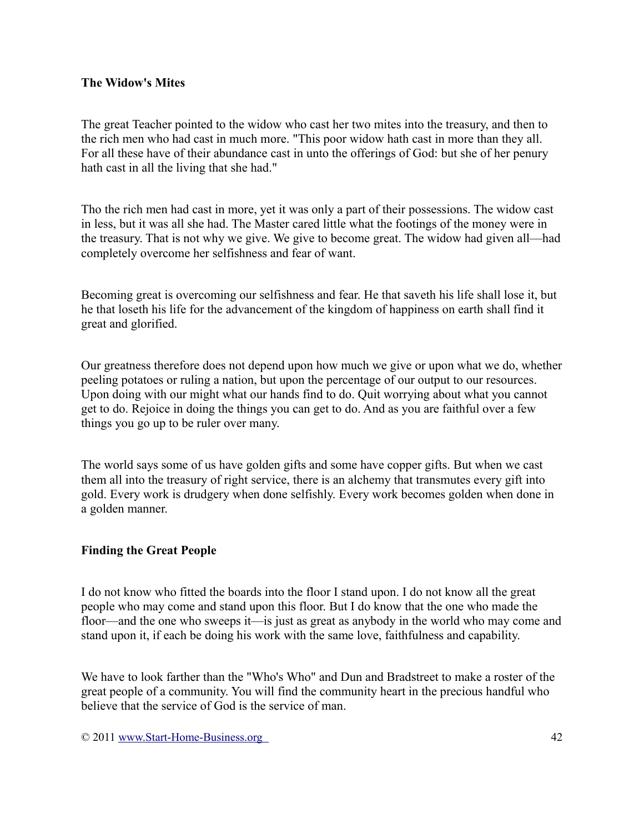#### **The Widow's Mites**

The great Teacher pointed to the widow who cast her two mites into the treasury, and then to the rich men who had cast in much more. "This poor widow hath cast in more than they all. For all these have of their abundance cast in unto the offerings of God: but she of her penury hath cast in all the living that she had."

Tho the rich men had cast in more, yet it was only a part of their possessions. The widow cast in less, but it was all she had. The Master cared little what the footings of the money were in the treasury. That is not why we give. We give to become great. The widow had given all—had completely overcome her selfishness and fear of want.

Becoming great is overcoming our selfishness and fear. He that saveth his life shall lose it, but he that loseth his life for the advancement of the kingdom of happiness on earth shall find it great and glorified.

Our greatness therefore does not depend upon how much we give or upon what we do, whether peeling potatoes or ruling a nation, but upon the percentage of our output to our resources. Upon doing with our might what our hands find to do. Quit worrying about what you cannot get to do. Rejoice in doing the things you can get to do. And as you are faithful over a few things you go up to be ruler over many.

The world says some of us have golden gifts and some have copper gifts. But when we cast them all into the treasury of right service, there is an alchemy that transmutes every gift into gold. Every work is drudgery when done selfishly. Every work becomes golden when done in a golden manner.

#### **Finding the Great People**

I do not know who fitted the boards into the floor I stand upon. I do not know all the great people who may come and stand upon this floor. But I do know that the one who made the floor—and the one who sweeps it—is just as great as anybody in the world who may come and stand upon it, if each be doing his work with the same love, faithfulness and capability.

We have to look farther than the "Who's Who" and Dun and Bradstreet to make a roster of the great people of a community. You will find the community heart in the precious handful who believe that the service of God is the service of man.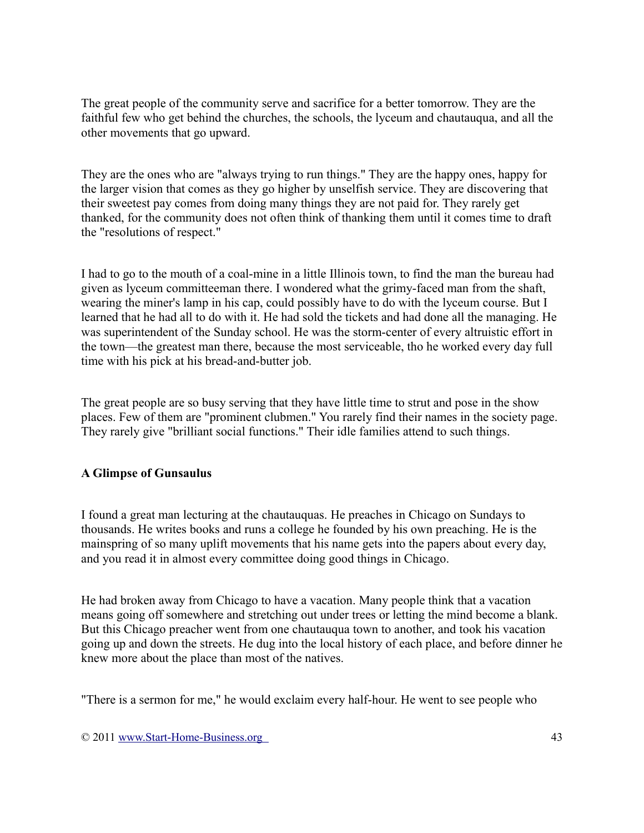The great people of the community serve and sacrifice for a better tomorrow. They are the faithful few who get behind the churches, the schools, the lyceum and chautauqua, and all the other movements that go upward.

They are the ones who are "always trying to run things." They are the happy ones, happy for the larger vision that comes as they go higher by unselfish service. They are discovering that their sweetest pay comes from doing many things they are not paid for. They rarely get thanked, for the community does not often think of thanking them until it comes time to draft the "resolutions of respect."

I had to go to the mouth of a coal-mine in a little Illinois town, to find the man the bureau had given as lyceum committeeman there. I wondered what the grimy-faced man from the shaft, wearing the miner's lamp in his cap, could possibly have to do with the lyceum course. But I learned that he had all to do with it. He had sold the tickets and had done all the managing. He was superintendent of the Sunday school. He was the storm-center of every altruistic effort in the town—the greatest man there, because the most serviceable, tho he worked every day full time with his pick at his bread-and-butter job.

The great people are so busy serving that they have little time to strut and pose in the show places. Few of them are "prominent clubmen." You rarely find their names in the society page. They rarely give "brilliant social functions." Their idle families attend to such things.

### **A Glimpse of Gunsaulus**

I found a great man lecturing at the chautauquas. He preaches in Chicago on Sundays to thousands. He writes books and runs a college he founded by his own preaching. He is the mainspring of so many uplift movements that his name gets into the papers about every day, and you read it in almost every committee doing good things in Chicago.

He had broken away from Chicago to have a vacation. Many people think that a vacation means going off somewhere and stretching out under trees or letting the mind become a blank. But this Chicago preacher went from one chautauqua town to another, and took his vacation going up and down the streets. He dug into the local history of each place, and before dinner he knew more about the place than most of the natives.

"There is a sermon for me," he would exclaim every half-hour. He went to see people who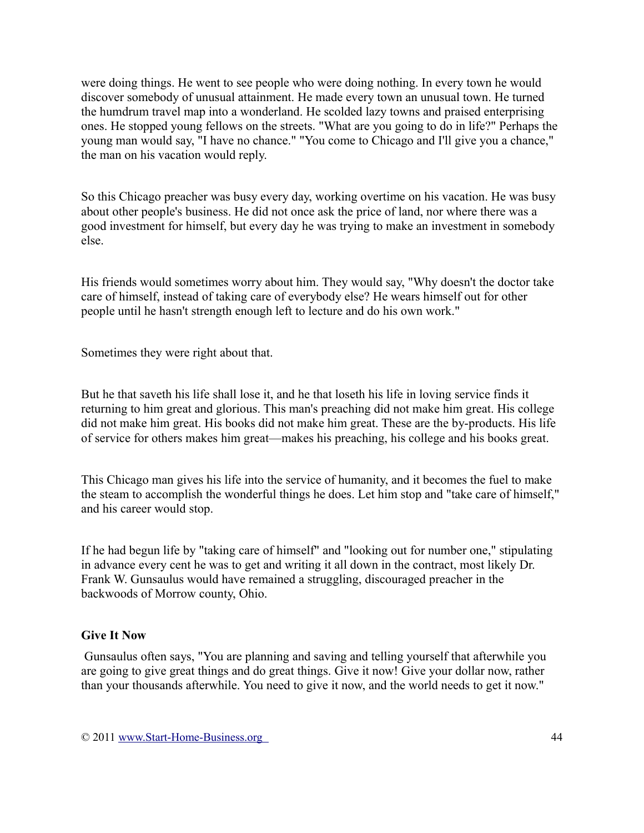were doing things. He went to see people who were doing nothing. In every town he would discover somebody of unusual attainment. He made every town an unusual town. He turned the humdrum travel map into a wonderland. He scolded lazy towns and praised enterprising ones. He stopped young fellows on the streets. "What are you going to do in life?" Perhaps the young man would say, "I have no chance." "You come to Chicago and I'll give you a chance," the man on his vacation would reply.

So this Chicago preacher was busy every day, working overtime on his vacation. He was busy about other people's business. He did not once ask the price of land, nor where there was a good investment for himself, but every day he was trying to make an investment in somebody else.

His friends would sometimes worry about him. They would say, "Why doesn't the doctor take care of himself, instead of taking care of everybody else? He wears himself out for other people until he hasn't strength enough left to lecture and do his own work."

Sometimes they were right about that.

But he that saveth his life shall lose it, and he that loseth his life in loving service finds it returning to him great and glorious. This man's preaching did not make him great. His college did not make him great. His books did not make him great. These are the by-products. His life of service for others makes him great—makes his preaching, his college and his books great.

This Chicago man gives his life into the service of humanity, and it becomes the fuel to make the steam to accomplish the wonderful things he does. Let him stop and "take care of himself," and his career would stop.

If he had begun life by "taking care of himself" and "looking out for number one," stipulating in advance every cent he was to get and writing it all down in the contract, most likely Dr. Frank W. Gunsaulus would have remained a struggling, discouraged preacher in the backwoods of Morrow county, Ohio.

#### **Give It Now**

Gunsaulus often says, "You are planning and saving and telling yourself that afterwhile you are going to give great things and do great things. Give it now! Give your dollar now, rather than your thousands afterwhile. You need to give it now, and the world needs to get it now."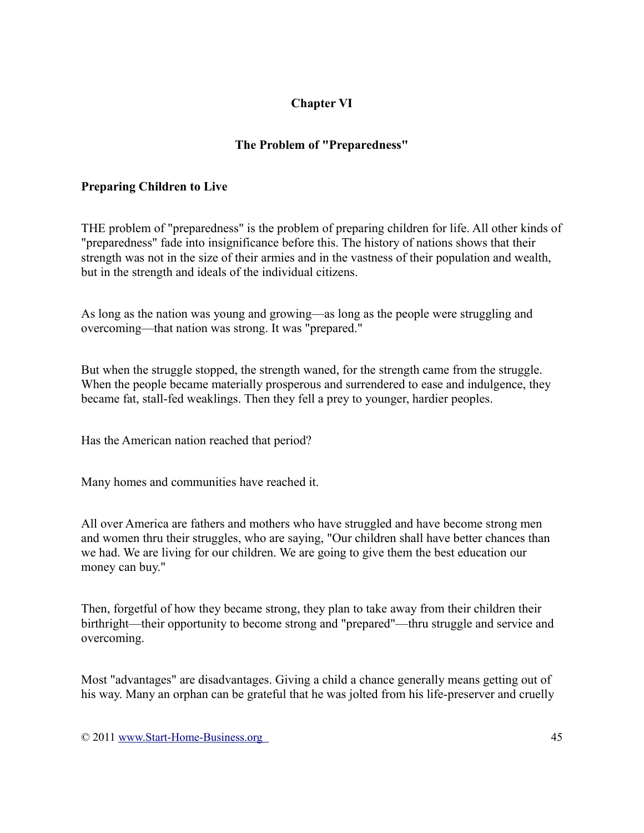# **Chapter VI**

# **The Problem of "Preparedness"**

# **Preparing Children to Live**

THE problem of "preparedness" is the problem of preparing children for life. All other kinds of "preparedness" fade into insignificance before this. The history of nations shows that their strength was not in the size of their armies and in the vastness of their population and wealth, but in the strength and ideals of the individual citizens.

As long as the nation was young and growing—as long as the people were struggling and overcoming—that nation was strong. It was "prepared."

But when the struggle stopped, the strength waned, for the strength came from the struggle. When the people became materially prosperous and surrendered to ease and indulgence, they became fat, stall-fed weaklings. Then they fell a prey to younger, hardier peoples.

Has the American nation reached that period?

Many homes and communities have reached it.

All over America are fathers and mothers who have struggled and have become strong men and women thru their struggles, who are saying, "Our children shall have better chances than we had. We are living for our children. We are going to give them the best education our money can buy."

Then, forgetful of how they became strong, they plan to take away from their children their birthright—their opportunity to become strong and "prepared"—thru struggle and service and overcoming.

Most "advantages" are disadvantages. Giving a child a chance generally means getting out of his way. Many an orphan can be grateful that he was jolted from his life-preserver and cruelly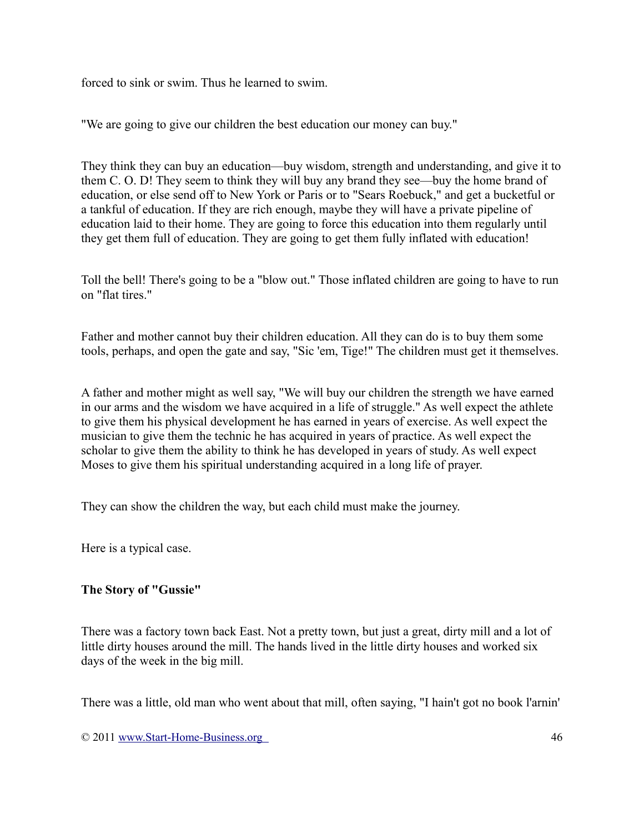forced to sink or swim. Thus he learned to swim.

"We are going to give our children the best education our money can buy."

They think they can buy an education—buy wisdom, strength and understanding, and give it to them C. O. D! They seem to think they will buy any brand they see—buy the home brand of education, or else send off to New York or Paris or to "Sears Roebuck," and get a bucketful or a tankful of education. If they are rich enough, maybe they will have a private pipeline of education laid to their home. They are going to force this education into them regularly until they get them full of education. They are going to get them fully inflated with education!

Toll the bell! There's going to be a "blow out." Those inflated children are going to have to run on "flat tires."

Father and mother cannot buy their children education. All they can do is to buy them some tools, perhaps, and open the gate and say, "Sic 'em, Tige!" The children must get it themselves.

A father and mother might as well say, "We will buy our children the strength we have earned in our arms and the wisdom we have acquired in a life of struggle." As well expect the athlete to give them his physical development he has earned in years of exercise. As well expect the musician to give them the technic he has acquired in years of practice. As well expect the scholar to give them the ability to think he has developed in years of study. As well expect Moses to give them his spiritual understanding acquired in a long life of prayer.

They can show the children the way, but each child must make the journey.

Here is a typical case.

### **The Story of "Gussie"**

There was a factory town back East. Not a pretty town, but just a great, dirty mill and a lot of little dirty houses around the mill. The hands lived in the little dirty houses and worked six days of the week in the big mill.

There was a little, old man who went about that mill, often saying, "I hain't got no book l'arnin'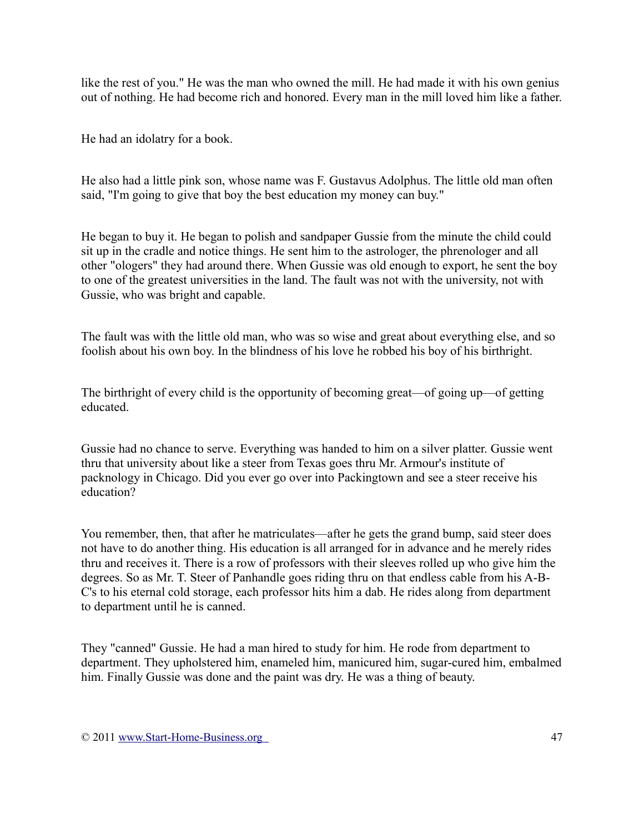like the rest of you." He was the man who owned the mill. He had made it with his own genius out of nothing. He had become rich and honored. Every man in the mill loved him like a father.

He had an idolatry for a book.

He also had a little pink son, whose name was F. Gustavus Adolphus. The little old man often said, "I'm going to give that boy the best education my money can buy."

He began to buy it. He began to polish and sandpaper Gussie from the minute the child could sit up in the cradle and notice things. He sent him to the astrologer, the phrenologer and all other "ologers" they had around there. When Gussie was old enough to export, he sent the boy to one of the greatest universities in the land. The fault was not with the university, not with Gussie, who was bright and capable.

The fault was with the little old man, who was so wise and great about everything else, and so foolish about his own boy. In the blindness of his love he robbed his boy of his birthright.

The birthright of every child is the opportunity of becoming great—of going up—of getting educated.

Gussie had no chance to serve. Everything was handed to him on a silver platter. Gussie went thru that university about like a steer from Texas goes thru Mr. Armour's institute of packnology in Chicago. Did you ever go over into Packingtown and see a steer receive his education?

You remember, then, that after he matriculates—after he gets the grand bump, said steer does not have to do another thing. His education is all arranged for in advance and he merely rides thru and receives it. There is a row of professors with their sleeves rolled up who give him the degrees. So as Mr. T. Steer of Panhandle goes riding thru on that endless cable from his A-B-C's to his eternal cold storage, each professor hits him a dab. He rides along from department to department until he is canned.

They "canned" Gussie. He had a man hired to study for him. He rode from department to department. They upholstered him, enameled him, manicured him, sugar-cured him, embalmed him. Finally Gussie was done and the paint was dry. He was a thing of beauty.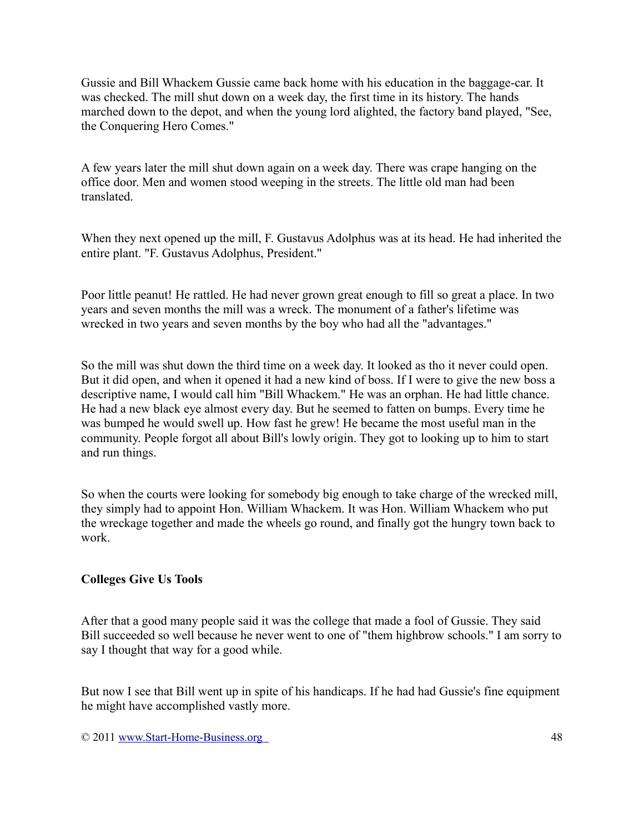Gussie and Bill Whackem Gussie came back home with his education in the baggage-car. It was checked. The mill shut down on a week day, the first time in its history. The hands marched down to the depot, and when the young lord alighted, the factory band played, "See, the Conquering Hero Comes."

A few years later the mill shut down again on a week day. There was crape hanging on the office door. Men and women stood weeping in the streets. The little old man had been translated.

When they next opened up the mill, F. Gustavus Adolphus was at its head. He had inherited the entire plant. "F. Gustavus Adolphus, President."

Poor little peanut! He rattled. He had never grown great enough to fill so great a place. In two years and seven months the mill was a wreck. The monument of a father's lifetime was wrecked in two years and seven months by the boy who had all the "advantages."

So the mill was shut down the third time on a week day. It looked as tho it never could open. But it did open, and when it opened it had a new kind of boss. If I were to give the new boss a descriptive name, I would call him "Bill Whackem." He was an orphan. He had little chance. He had a new black eye almost every day. But he seemed to fatten on bumps. Every time he was bumped he would swell up. How fast he grew! He became the most useful man in the community. People forgot all about Bill's lowly origin. They got to looking up to him to start and run things.

So when the courts were looking for somebody big enough to take charge of the wrecked mill, they simply had to appoint Hon. William Whackem. It was Hon. William Whackem who put the wreckage together and made the wheels go round, and finally got the hungry town back to work.

### **Colleges Give Us Tools**

After that a good many people said it was the college that made a fool of Gussie. They said Bill succeeded so well because he never went to one of "them highbrow schools." I am sorry to say I thought that way for a good while.

But now I see that Bill went up in spite of his handicaps. If he had had Gussie's fine equipment he might have accomplished vastly more.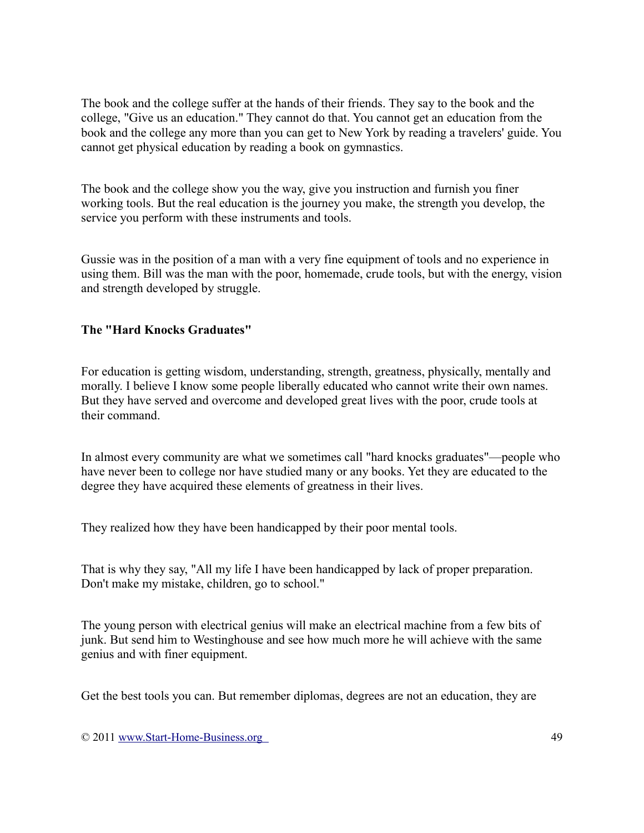The book and the college suffer at the hands of their friends. They say to the book and the college, "Give us an education." They cannot do that. You cannot get an education from the book and the college any more than you can get to New York by reading a travelers' guide. You cannot get physical education by reading a book on gymnastics.

The book and the college show you the way, give you instruction and furnish you finer working tools. But the real education is the journey you make, the strength you develop, the service you perform with these instruments and tools.

Gussie was in the position of a man with a very fine equipment of tools and no experience in using them. Bill was the man with the poor, homemade, crude tools, but with the energy, vision and strength developed by struggle.

### **The "Hard Knocks Graduates"**

For education is getting wisdom, understanding, strength, greatness, physically, mentally and morally. I believe I know some people liberally educated who cannot write their own names. But they have served and overcome and developed great lives with the poor, crude tools at their command.

In almost every community are what we sometimes call "hard knocks graduates"—people who have never been to college nor have studied many or any books. Yet they are educated to the degree they have acquired these elements of greatness in their lives.

They realized how they have been handicapped by their poor mental tools.

That is why they say, "All my life I have been handicapped by lack of proper preparation. Don't make my mistake, children, go to school."

The young person with electrical genius will make an electrical machine from a few bits of junk. But send him to Westinghouse and see how much more he will achieve with the same genius and with finer equipment.

Get the best tools you can. But remember diplomas, degrees are not an education, they are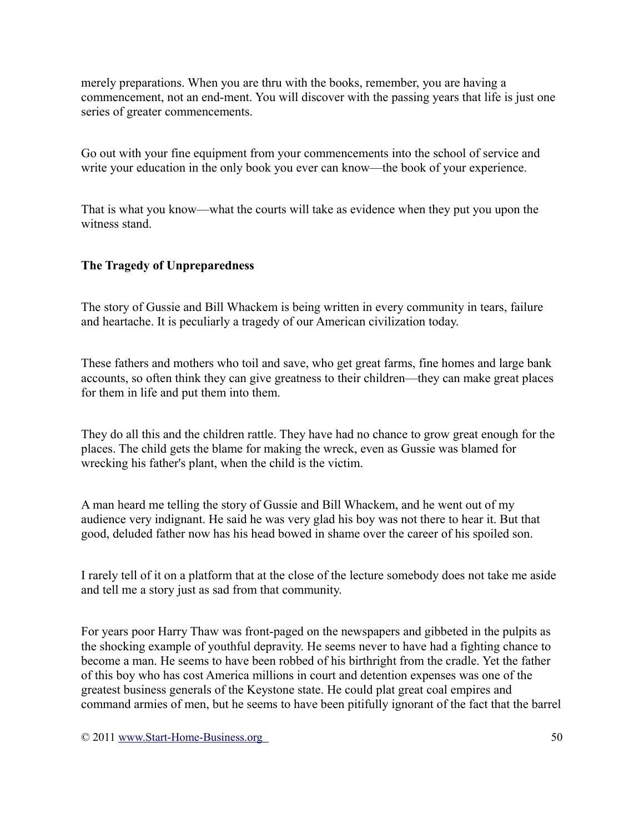merely preparations. When you are thru with the books, remember, you are having a commencement, not an end-ment. You will discover with the passing years that life is just one series of greater commencements.

Go out with your fine equipment from your commencements into the school of service and write your education in the only book you ever can know—the book of your experience.

That is what you know—what the courts will take as evidence when they put you upon the witness stand.

### **The Tragedy of Unpreparedness**

The story of Gussie and Bill Whackem is being written in every community in tears, failure and heartache. It is peculiarly a tragedy of our American civilization today.

These fathers and mothers who toil and save, who get great farms, fine homes and large bank accounts, so often think they can give greatness to their children—they can make great places for them in life and put them into them.

They do all this and the children rattle. They have had no chance to grow great enough for the places. The child gets the blame for making the wreck, even as Gussie was blamed for wrecking his father's plant, when the child is the victim.

A man heard me telling the story of Gussie and Bill Whackem, and he went out of my audience very indignant. He said he was very glad his boy was not there to hear it. But that good, deluded father now has his head bowed in shame over the career of his spoiled son.

I rarely tell of it on a platform that at the close of the lecture somebody does not take me aside and tell me a story just as sad from that community.

For years poor Harry Thaw was front-paged on the newspapers and gibbeted in the pulpits as the shocking example of youthful depravity. He seems never to have had a fighting chance to become a man. He seems to have been robbed of his birthright from the cradle. Yet the father of this boy who has cost America millions in court and detention expenses was one of the greatest business generals of the Keystone state. He could plat great coal empires and command armies of men, but he seems to have been pitifully ignorant of the fact that the barrel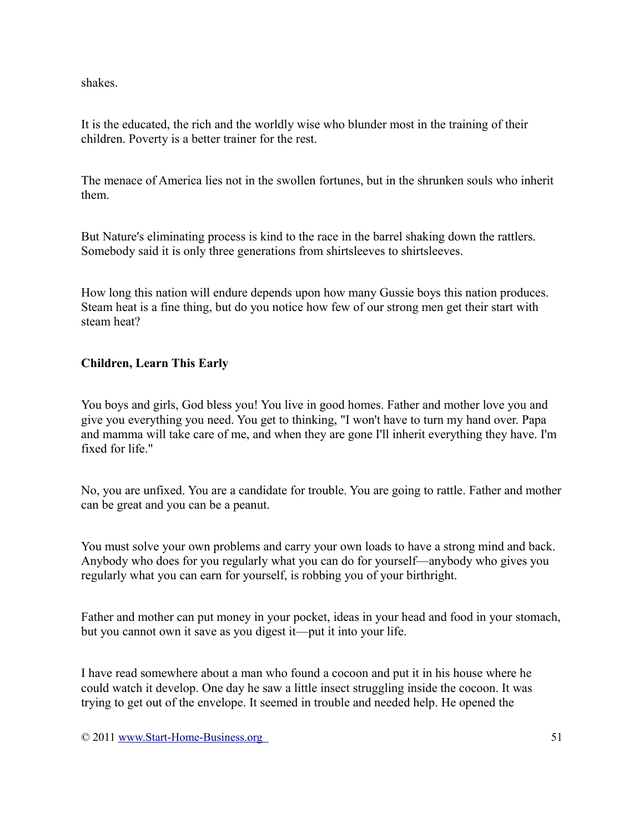shakes.

It is the educated, the rich and the worldly wise who blunder most in the training of their children. Poverty is a better trainer for the rest.

The menace of America lies not in the swollen fortunes, but in the shrunken souls who inherit them.

But Nature's eliminating process is kind to the race in the barrel shaking down the rattlers. Somebody said it is only three generations from shirtsleeves to shirtsleeves.

How long this nation will endure depends upon how many Gussie boys this nation produces. Steam heat is a fine thing, but do you notice how few of our strong men get their start with steam heat?

## **Children, Learn This Early**

You boys and girls, God bless you! You live in good homes. Father and mother love you and give you everything you need. You get to thinking, "I won't have to turn my hand over. Papa and mamma will take care of me, and when they are gone I'll inherit everything they have. I'm fixed for life."

No, you are unfixed. You are a candidate for trouble. You are going to rattle. Father and mother can be great and you can be a peanut.

You must solve your own problems and carry your own loads to have a strong mind and back. Anybody who does for you regularly what you can do for yourself—anybody who gives you regularly what you can earn for yourself, is robbing you of your birthright.

Father and mother can put money in your pocket, ideas in your head and food in your stomach, but you cannot own it save as you digest it—put it into your life.

I have read somewhere about a man who found a cocoon and put it in his house where he could watch it develop. One day he saw a little insect struggling inside the cocoon. It was trying to get out of the envelope. It seemed in trouble and needed help. He opened the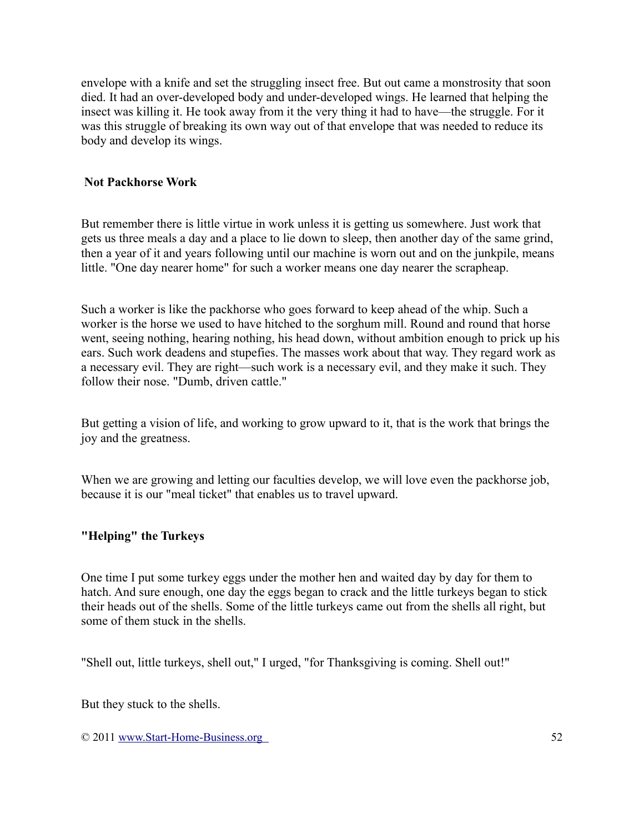envelope with a knife and set the struggling insect free. But out came a monstrosity that soon died. It had an over-developed body and under-developed wings. He learned that helping the insect was killing it. He took away from it the very thing it had to have—the struggle. For it was this struggle of breaking its own way out of that envelope that was needed to reduce its body and develop its wings.

#### **Not Packhorse Work**

But remember there is little virtue in work unless it is getting us somewhere. Just work that gets us three meals a day and a place to lie down to sleep, then another day of the same grind, then a year of it and years following until our machine is worn out and on the junkpile, means little. "One day nearer home" for such a worker means one day nearer the scrapheap.

Such a worker is like the packhorse who goes forward to keep ahead of the whip. Such a worker is the horse we used to have hitched to the sorghum mill. Round and round that horse went, seeing nothing, hearing nothing, his head down, without ambition enough to prick up his ears. Such work deadens and stupefies. The masses work about that way. They regard work as a necessary evil. They are right—such work is a necessary evil, and they make it such. They follow their nose. "Dumb, driven cattle."

But getting a vision of life, and working to grow upward to it, that is the work that brings the joy and the greatness.

When we are growing and letting our faculties develop, we will love even the packhorse job, because it is our "meal ticket" that enables us to travel upward.

### **"Helping" the Turkeys**

One time I put some turkey eggs under the mother hen and waited day by day for them to hatch. And sure enough, one day the eggs began to crack and the little turkeys began to stick their heads out of the shells. Some of the little turkeys came out from the shells all right, but some of them stuck in the shells.

"Shell out, little turkeys, shell out," I urged, "for Thanksgiving is coming. Shell out!"

But they stuck to the shells.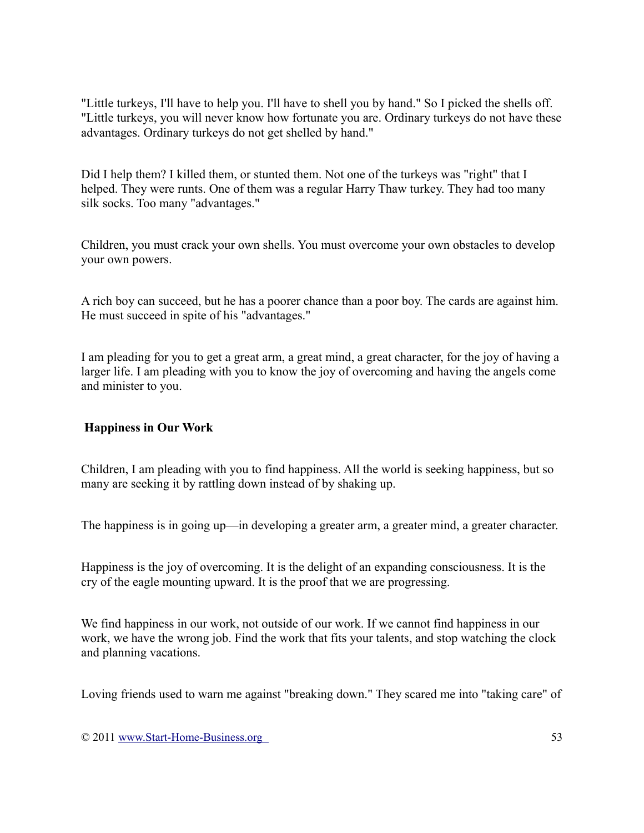"Little turkeys, I'll have to help you. I'll have to shell you by hand." So I picked the shells off. "Little turkeys, you will never know how fortunate you are. Ordinary turkeys do not have these advantages. Ordinary turkeys do not get shelled by hand."

Did I help them? I killed them, or stunted them. Not one of the turkeys was "right" that I helped. They were runts. One of them was a regular Harry Thaw turkey. They had too many silk socks. Too many "advantages."

Children, you must crack your own shells. You must overcome your own obstacles to develop your own powers.

A rich boy can succeed, but he has a poorer chance than a poor boy. The cards are against him. He must succeed in spite of his "advantages."

I am pleading for you to get a great arm, a great mind, a great character, for the joy of having a larger life. I am pleading with you to know the joy of overcoming and having the angels come and minister to you.

### **Happiness in Our Work**

Children, I am pleading with you to find happiness. All the world is seeking happiness, but so many are seeking it by rattling down instead of by shaking up.

The happiness is in going up—in developing a greater arm, a greater mind, a greater character.

Happiness is the joy of overcoming. It is the delight of an expanding consciousness. It is the cry of the eagle mounting upward. It is the proof that we are progressing.

We find happiness in our work, not outside of our work. If we cannot find happiness in our work, we have the wrong job. Find the work that fits your talents, and stop watching the clock and planning vacations.

Loving friends used to warn me against "breaking down." They scared me into "taking care" of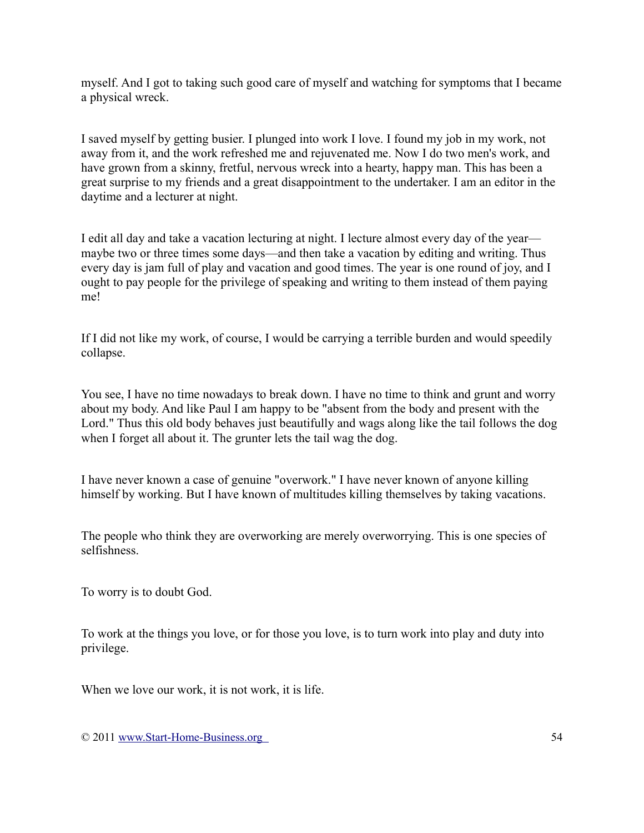myself. And I got to taking such good care of myself and watching for symptoms that I became a physical wreck.

I saved myself by getting busier. I plunged into work I love. I found my job in my work, not away from it, and the work refreshed me and rejuvenated me. Now I do two men's work, and have grown from a skinny, fretful, nervous wreck into a hearty, happy man. This has been a great surprise to my friends and a great disappointment to the undertaker. I am an editor in the daytime and a lecturer at night.

I edit all day and take a vacation lecturing at night. I lecture almost every day of the year maybe two or three times some days—and then take a vacation by editing and writing. Thus every day is jam full of play and vacation and good times. The year is one round of joy, and I ought to pay people for the privilege of speaking and writing to them instead of them paying me!

If I did not like my work, of course, I would be carrying a terrible burden and would speedily collapse.

You see, I have no time nowadays to break down. I have no time to think and grunt and worry about my body. And like Paul I am happy to be "absent from the body and present with the Lord." Thus this old body behaves just beautifully and wags along like the tail follows the dog when I forget all about it. The grunter lets the tail wag the dog.

I have never known a case of genuine "overwork." I have never known of anyone killing himself by working. But I have known of multitudes killing themselves by taking vacations.

The people who think they are overworking are merely overworrying. This is one species of selfishness.

To worry is to doubt God.

To work at the things you love, or for those you love, is to turn work into play and duty into privilege.

When we love our work, it is not work, it is life.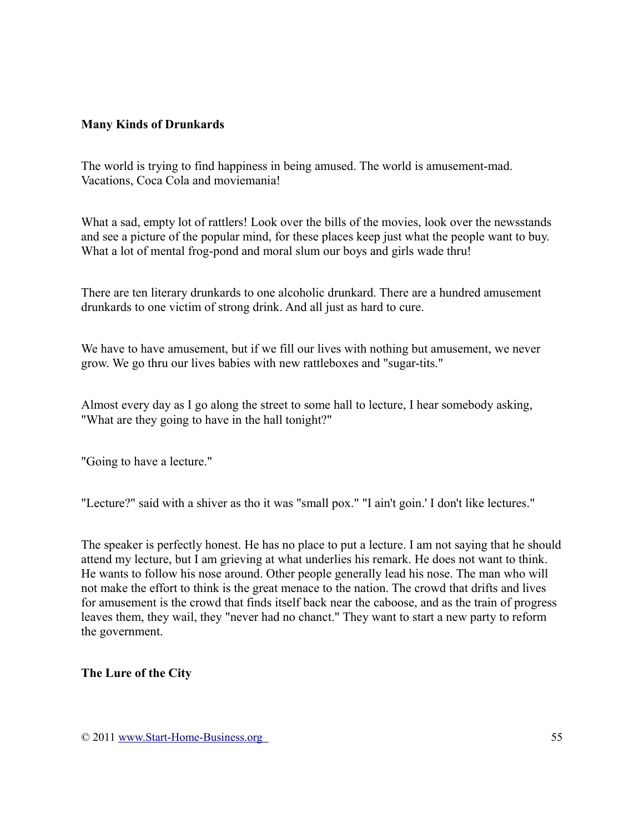#### **Many Kinds of Drunkards**

The world is trying to find happiness in being amused. The world is amusement-mad. Vacations, Coca Cola and moviemania!

What a sad, empty lot of rattlers! Look over the bills of the movies, look over the newsstands and see a picture of the popular mind, for these places keep just what the people want to buy. What a lot of mental frog-pond and moral slum our boys and girls wade thru!

There are ten literary drunkards to one alcoholic drunkard. There are a hundred amusement drunkards to one victim of strong drink. And all just as hard to cure.

We have to have amusement, but if we fill our lives with nothing but amusement, we never grow. We go thru our lives babies with new rattleboxes and "sugar-tits."

Almost every day as I go along the street to some hall to lecture, I hear somebody asking, "What are they going to have in the hall tonight?"

"Going to have a lecture."

"Lecture?" said with a shiver as tho it was "small pox." "I ain't goin.' I don't like lectures."

The speaker is perfectly honest. He has no place to put a lecture. I am not saying that he should attend my lecture, but I am grieving at what underlies his remark. He does not want to think. He wants to follow his nose around. Other people generally lead his nose. The man who will not make the effort to think is the great menace to the nation. The crowd that drifts and lives for amusement is the crowd that finds itself back near the caboose, and as the train of progress leaves them, they wail, they "never had no chanct." They want to start a new party to reform the government.

### **The Lure of the City**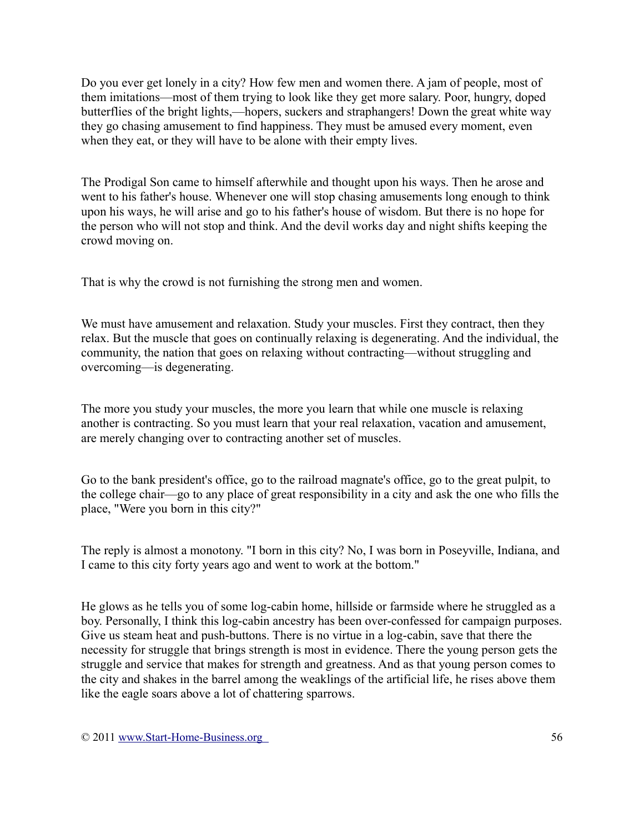Do you ever get lonely in a city? How few men and women there. A jam of people, most of them imitations—most of them trying to look like they get more salary. Poor, hungry, doped butterflies of the bright lights,—hopers, suckers and straphangers! Down the great white way they go chasing amusement to find happiness. They must be amused every moment, even when they eat, or they will have to be alone with their empty lives.

The Prodigal Son came to himself afterwhile and thought upon his ways. Then he arose and went to his father's house. Whenever one will stop chasing amusements long enough to think upon his ways, he will arise and go to his father's house of wisdom. But there is no hope for the person who will not stop and think. And the devil works day and night shifts keeping the crowd moving on.

That is why the crowd is not furnishing the strong men and women.

We must have amusement and relaxation. Study your muscles. First they contract, then they relax. But the muscle that goes on continually relaxing is degenerating. And the individual, the community, the nation that goes on relaxing without contracting—without struggling and overcoming—is degenerating.

The more you study your muscles, the more you learn that while one muscle is relaxing another is contracting. So you must learn that your real relaxation, vacation and amusement, are merely changing over to contracting another set of muscles.

Go to the bank president's office, go to the railroad magnate's office, go to the great pulpit, to the college chair—go to any place of great responsibility in a city and ask the one who fills the place, "Were you born in this city?"

The reply is almost a monotony. "I born in this city? No, I was born in Poseyville, Indiana, and I came to this city forty years ago and went to work at the bottom."

He glows as he tells you of some log-cabin home, hillside or farmside where he struggled as a boy. Personally, I think this log-cabin ancestry has been over-confessed for campaign purposes. Give us steam heat and push-buttons. There is no virtue in a log-cabin, save that there the necessity for struggle that brings strength is most in evidence. There the young person gets the struggle and service that makes for strength and greatness. And as that young person comes to the city and shakes in the barrel among the weaklings of the artificial life, he rises above them like the eagle soars above a lot of chattering sparrows.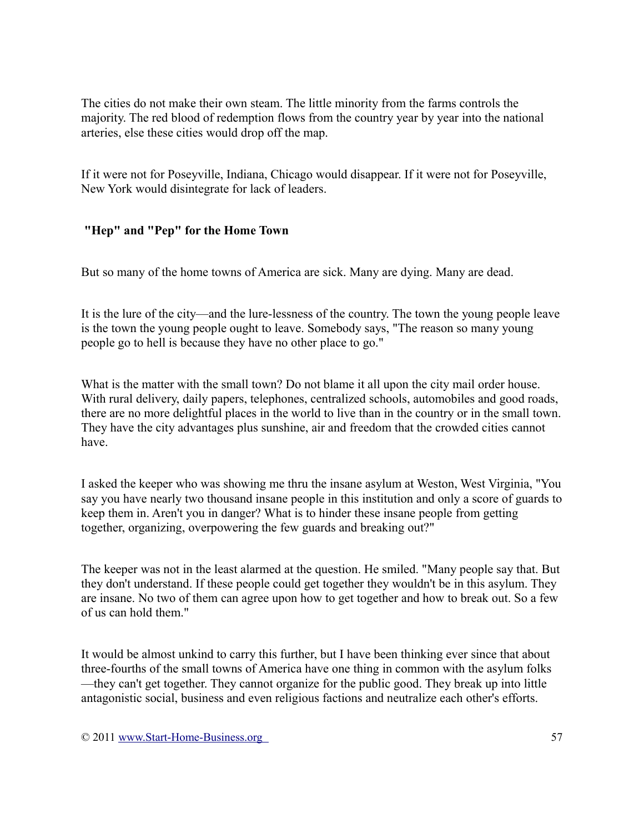The cities do not make their own steam. The little minority from the farms controls the majority. The red blood of redemption flows from the country year by year into the national arteries, else these cities would drop off the map.

If it were not for Poseyville, Indiana, Chicago would disappear. If it were not for Poseyville, New York would disintegrate for lack of leaders.

## **"Hep" and "Pep" for the Home Town**

But so many of the home towns of America are sick. Many are dying. Many are dead.

It is the lure of the city—and the lure-lessness of the country. The town the young people leave is the town the young people ought to leave. Somebody says, "The reason so many young people go to hell is because they have no other place to go."

What is the matter with the small town? Do not blame it all upon the city mail order house. With rural delivery, daily papers, telephones, centralized schools, automobiles and good roads, there are no more delightful places in the world to live than in the country or in the small town. They have the city advantages plus sunshine, air and freedom that the crowded cities cannot have.

I asked the keeper who was showing me thru the insane asylum at Weston, West Virginia, "You say you have nearly two thousand insane people in this institution and only a score of guards to keep them in. Aren't you in danger? What is to hinder these insane people from getting together, organizing, overpowering the few guards and breaking out?"

The keeper was not in the least alarmed at the question. He smiled. "Many people say that. But they don't understand. If these people could get together they wouldn't be in this asylum. They are insane. No two of them can agree upon how to get together and how to break out. So a few of us can hold them."

It would be almost unkind to carry this further, but I have been thinking ever since that about three-fourths of the small towns of America have one thing in common with the asylum folks —they can't get together. They cannot organize for the public good. They break up into little antagonistic social, business and even religious factions and neutralize each other's efforts.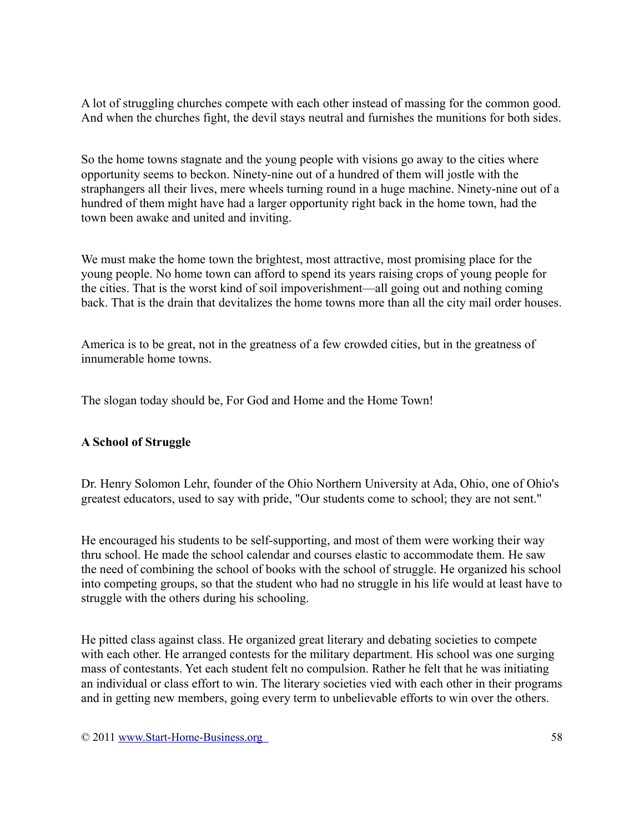A lot of struggling churches compete with each other instead of massing for the common good. And when the churches fight, the devil stays neutral and furnishes the munitions for both sides.

So the home towns stagnate and the young people with visions go away to the cities where opportunity seems to beckon. Ninety-nine out of a hundred of them will jostle with the straphangers all their lives, mere wheels turning round in a huge machine. Ninety-nine out of a hundred of them might have had a larger opportunity right back in the home town, had the town been awake and united and inviting.

We must make the home town the brightest, most attractive, most promising place for the young people. No home town can afford to spend its years raising crops of young people for the cities. That is the worst kind of soil impoverishment—all going out and nothing coming back. That is the drain that devitalizes the home towns more than all the city mail order houses.

America is to be great, not in the greatness of a few crowded cities, but in the greatness of innumerable home towns.

The slogan today should be, For God and Home and the Home Town!

### **A School of Struggle**

Dr. Henry Solomon Lehr, founder of the Ohio Northern University at Ada, Ohio, one of Ohio's greatest educators, used to say with pride, "Our students come to school; they are not sent."

He encouraged his students to be self-supporting, and most of them were working their way thru school. He made the school calendar and courses elastic to accommodate them. He saw the need of combining the school of books with the school of struggle. He organized his school into competing groups, so that the student who had no struggle in his life would at least have to struggle with the others during his schooling.

He pitted class against class. He organized great literary and debating societies to compete with each other. He arranged contests for the military department. His school was one surging mass of contestants. Yet each student felt no compulsion. Rather he felt that he was initiating an individual or class effort to win. The literary societies vied with each other in their programs and in getting new members, going every term to unbelievable efforts to win over the others.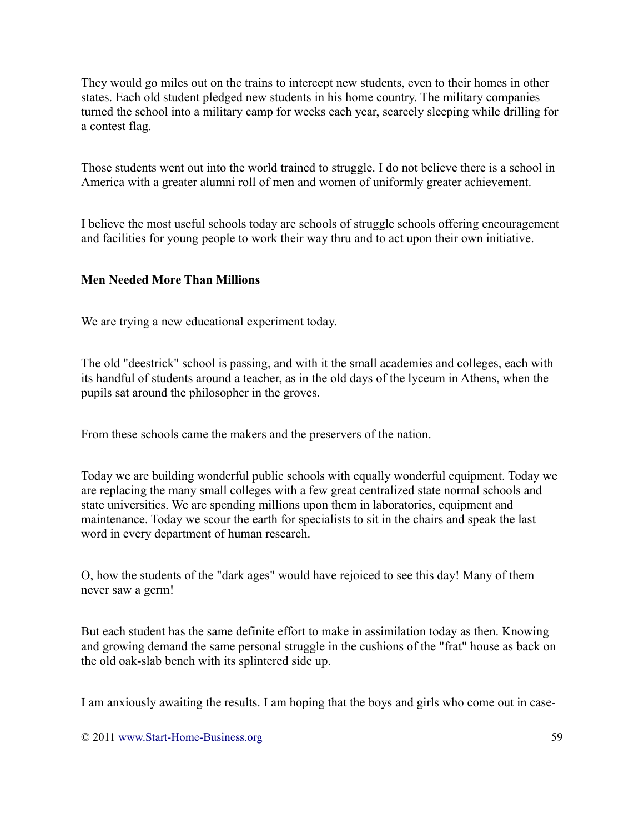They would go miles out on the trains to intercept new students, even to their homes in other states. Each old student pledged new students in his home country. The military companies turned the school into a military camp for weeks each year, scarcely sleeping while drilling for a contest flag.

Those students went out into the world trained to struggle. I do not believe there is a school in America with a greater alumni roll of men and women of uniformly greater achievement.

I believe the most useful schools today are schools of struggle schools offering encouragement and facilities for young people to work their way thru and to act upon their own initiative.

### **Men Needed More Than Millions**

We are trying a new educational experiment today.

The old "deestrick" school is passing, and with it the small academies and colleges, each with its handful of students around a teacher, as in the old days of the lyceum in Athens, when the pupils sat around the philosopher in the groves.

From these schools came the makers and the preservers of the nation.

Today we are building wonderful public schools with equally wonderful equipment. Today we are replacing the many small colleges with a few great centralized state normal schools and state universities. We are spending millions upon them in laboratories, equipment and maintenance. Today we scour the earth for specialists to sit in the chairs and speak the last word in every department of human research.

O, how the students of the "dark ages" would have rejoiced to see this day! Many of them never saw a germ!

But each student has the same definite effort to make in assimilation today as then. Knowing and growing demand the same personal struggle in the cushions of the "frat" house as back on the old oak-slab bench with its splintered side up.

I am anxiously awaiting the results. I am hoping that the boys and girls who come out in case-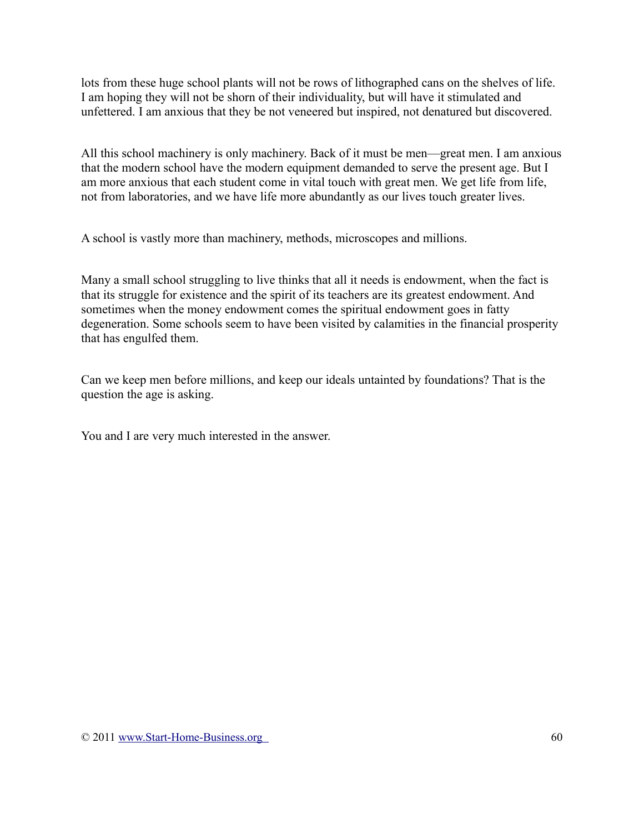lots from these huge school plants will not be rows of lithographed cans on the shelves of life. I am hoping they will not be shorn of their individuality, but will have it stimulated and unfettered. I am anxious that they be not veneered but inspired, not denatured but discovered.

All this school machinery is only machinery. Back of it must be men—great men. I am anxious that the modern school have the modern equipment demanded to serve the present age. But I am more anxious that each student come in vital touch with great men. We get life from life, not from laboratories, and we have life more abundantly as our lives touch greater lives.

A school is vastly more than machinery, methods, microscopes and millions.

Many a small school struggling to live thinks that all it needs is endowment, when the fact is that its struggle for existence and the spirit of its teachers are its greatest endowment. And sometimes when the money endowment comes the spiritual endowment goes in fatty degeneration. Some schools seem to have been visited by calamities in the financial prosperity that has engulfed them.

Can we keep men before millions, and keep our ideals untainted by foundations? That is the question the age is asking.

You and I are very much interested in the answer.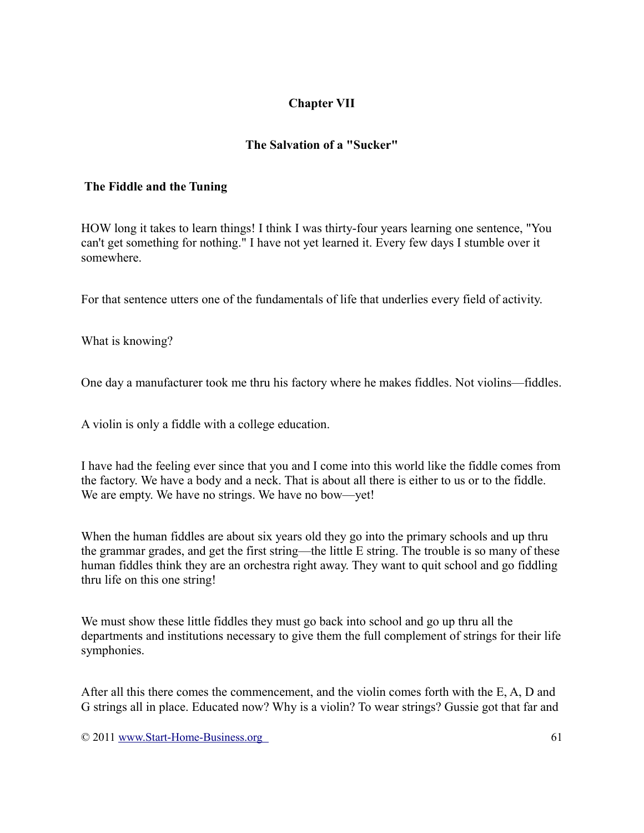# **Chapter VII**

# **The Salvation of a "Sucker"**

#### **The Fiddle and the Tuning**

HOW long it takes to learn things! I think I was thirty-four years learning one sentence, "You can't get something for nothing." I have not yet learned it. Every few days I stumble over it somewhere.

For that sentence utters one of the fundamentals of life that underlies every field of activity.

What is knowing?

One day a manufacturer took me thru his factory where he makes fiddles. Not violins—fiddles.

A violin is only a fiddle with a college education.

I have had the feeling ever since that you and I come into this world like the fiddle comes from the factory. We have a body and a neck. That is about all there is either to us or to the fiddle. We are empty. We have no strings. We have no bow—yet!

When the human fiddles are about six years old they go into the primary schools and up thru the grammar grades, and get the first string—the little E string. The trouble is so many of these human fiddles think they are an orchestra right away. They want to quit school and go fiddling thru life on this one string!

We must show these little fiddles they must go back into school and go up thru all the departments and institutions necessary to give them the full complement of strings for their life symphonies.

After all this there comes the commencement, and the violin comes forth with the E, A, D and G strings all in place. Educated now? Why is a violin? To wear strings? Gussie got that far and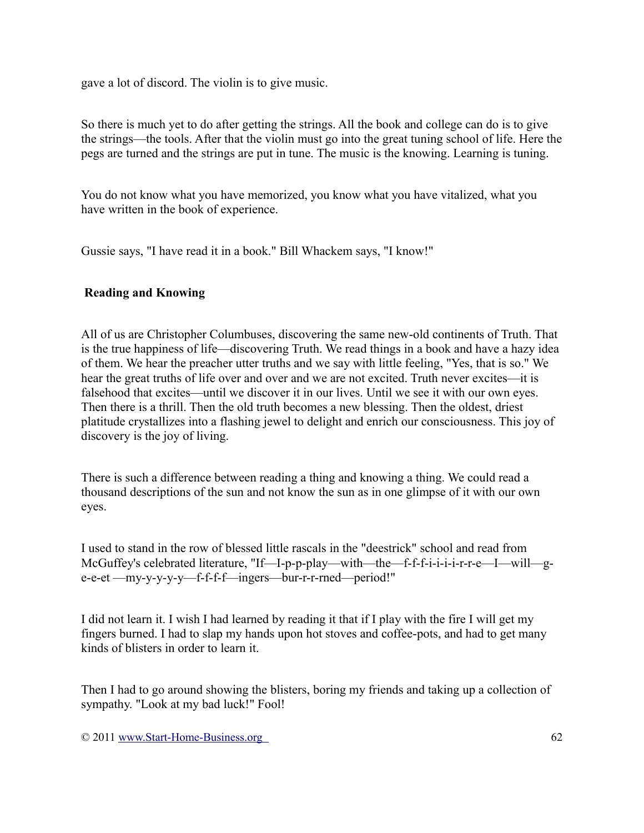gave a lot of discord. The violin is to give music.

So there is much yet to do after getting the strings. All the book and college can do is to give the strings—the tools. After that the violin must go into the great tuning school of life. Here the pegs are turned and the strings are put in tune. The music is the knowing. Learning is tuning.

You do not know what you have memorized, you know what you have vitalized, what you have written in the book of experience.

Gussie says, "I have read it in a book." Bill Whackem says, "I know!"

### **Reading and Knowing**

All of us are Christopher Columbuses, discovering the same new-old continents of Truth. That is the true happiness of life—discovering Truth. We read things in a book and have a hazy idea of them. We hear the preacher utter truths and we say with little feeling, "Yes, that is so." We hear the great truths of life over and over and we are not excited. Truth never excites—it is falsehood that excites—until we discover it in our lives. Until we see it with our own eyes. Then there is a thrill. Then the old truth becomes a new blessing. Then the oldest, driest platitude crystallizes into a flashing jewel to delight and enrich our consciousness. This joy of discovery is the joy of living.

There is such a difference between reading a thing and knowing a thing. We could read a thousand descriptions of the sun and not know the sun as in one glimpse of it with our own eyes.

I used to stand in the row of blessed little rascals in the "deestrick" school and read from McGuffey's celebrated literature, "If—I-p-p-play—with—the—f-f-f-i-i-i-i-r-r-e—I—will—ge-e-et —my-y-y-y-y—f-f-f-f—ingers—bur-r-r-rned—period!"

I did not learn it. I wish I had learned by reading it that if I play with the fire I will get my fingers burned. I had to slap my hands upon hot stoves and coffee-pots, and had to get many kinds of blisters in order to learn it.

Then I had to go around showing the blisters, boring my friends and taking up a collection of sympathy. "Look at my bad luck!" Fool!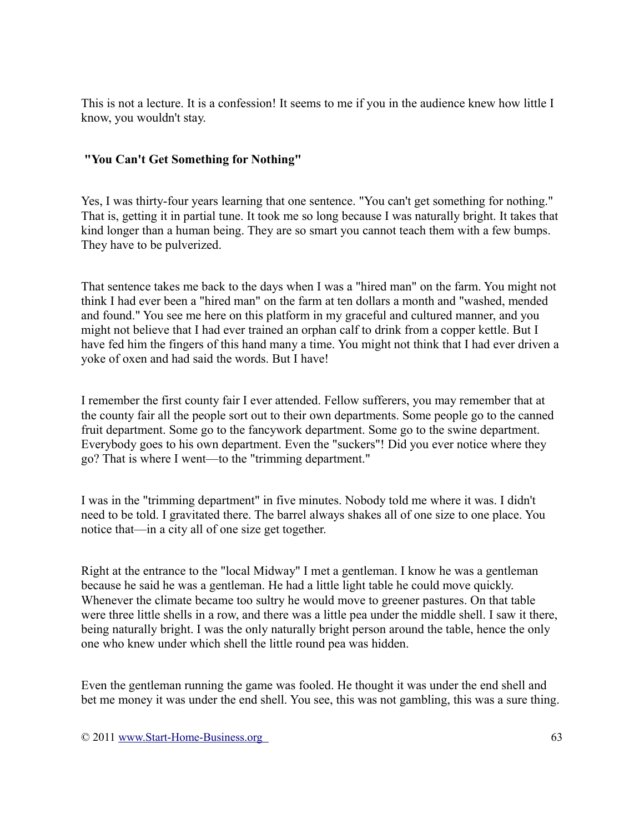This is not a lecture. It is a confession! It seems to me if you in the audience knew how little I know, you wouldn't stay.

### **"You Can't Get Something for Nothing"**

Yes, I was thirty-four years learning that one sentence. "You can't get something for nothing." That is, getting it in partial tune. It took me so long because I was naturally bright. It takes that kind longer than a human being. They are so smart you cannot teach them with a few bumps. They have to be pulverized.

That sentence takes me back to the days when I was a "hired man" on the farm. You might not think I had ever been a "hired man" on the farm at ten dollars a month and "washed, mended and found." You see me here on this platform in my graceful and cultured manner, and you might not believe that I had ever trained an orphan calf to drink from a copper kettle. But I have fed him the fingers of this hand many a time. You might not think that I had ever driven a yoke of oxen and had said the words. But I have!

I remember the first county fair I ever attended. Fellow sufferers, you may remember that at the county fair all the people sort out to their own departments. Some people go to the canned fruit department. Some go to the fancywork department. Some go to the swine department. Everybody goes to his own department. Even the "suckers"! Did you ever notice where they go? That is where I went—to the "trimming department."

I was in the "trimming department" in five minutes. Nobody told me where it was. I didn't need to be told. I gravitated there. The barrel always shakes all of one size to one place. You notice that—in a city all of one size get together.

Right at the entrance to the "local Midway" I met a gentleman. I know he was a gentleman because he said he was a gentleman. He had a little light table he could move quickly. Whenever the climate became too sultry he would move to greener pastures. On that table were three little shells in a row, and there was a little pea under the middle shell. I saw it there, being naturally bright. I was the only naturally bright person around the table, hence the only one who knew under which shell the little round pea was hidden.

Even the gentleman running the game was fooled. He thought it was under the end shell and bet me money it was under the end shell. You see, this was not gambling, this was a sure thing.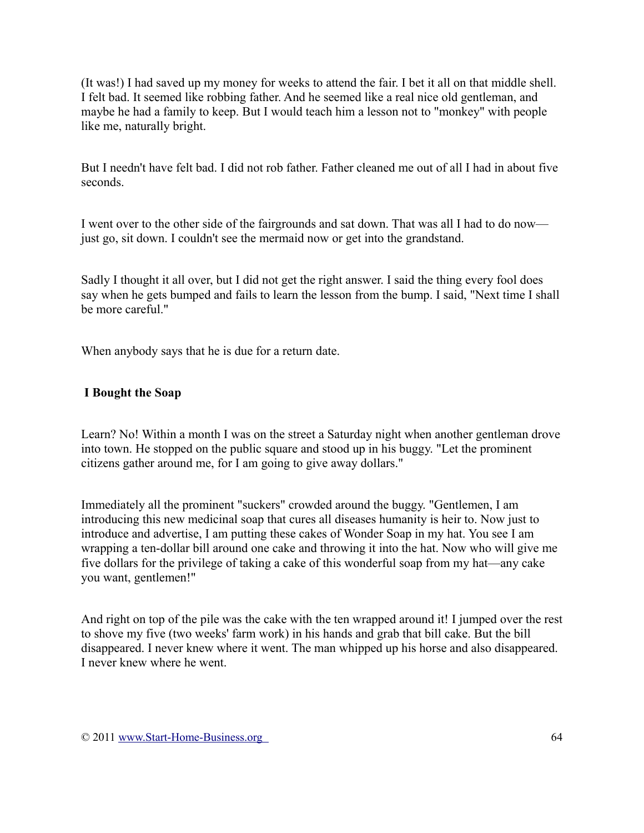(It was!) I had saved up my money for weeks to attend the fair. I bet it all on that middle shell. I felt bad. It seemed like robbing father. And he seemed like a real nice old gentleman, and maybe he had a family to keep. But I would teach him a lesson not to "monkey" with people like me, naturally bright.

But I needn't have felt bad. I did not rob father. Father cleaned me out of all I had in about five seconds.

I went over to the other side of the fairgrounds and sat down. That was all I had to do now just go, sit down. I couldn't see the mermaid now or get into the grandstand.

Sadly I thought it all over, but I did not get the right answer. I said the thing every fool does say when he gets bumped and fails to learn the lesson from the bump. I said, "Next time I shall be more careful."

When anybody says that he is due for a return date.

## **I Bought the Soap**

Learn? No! Within a month I was on the street a Saturday night when another gentleman drove into town. He stopped on the public square and stood up in his buggy. "Let the prominent citizens gather around me, for I am going to give away dollars."

Immediately all the prominent "suckers" crowded around the buggy. "Gentlemen, I am introducing this new medicinal soap that cures all diseases humanity is heir to. Now just to introduce and advertise, I am putting these cakes of Wonder Soap in my hat. You see I am wrapping a ten-dollar bill around one cake and throwing it into the hat. Now who will give me five dollars for the privilege of taking a cake of this wonderful soap from my hat—any cake you want, gentlemen!"

And right on top of the pile was the cake with the ten wrapped around it! I jumped over the rest to shove my five (two weeks' farm work) in his hands and grab that bill cake. But the bill disappeared. I never knew where it went. The man whipped up his horse and also disappeared. I never knew where he went.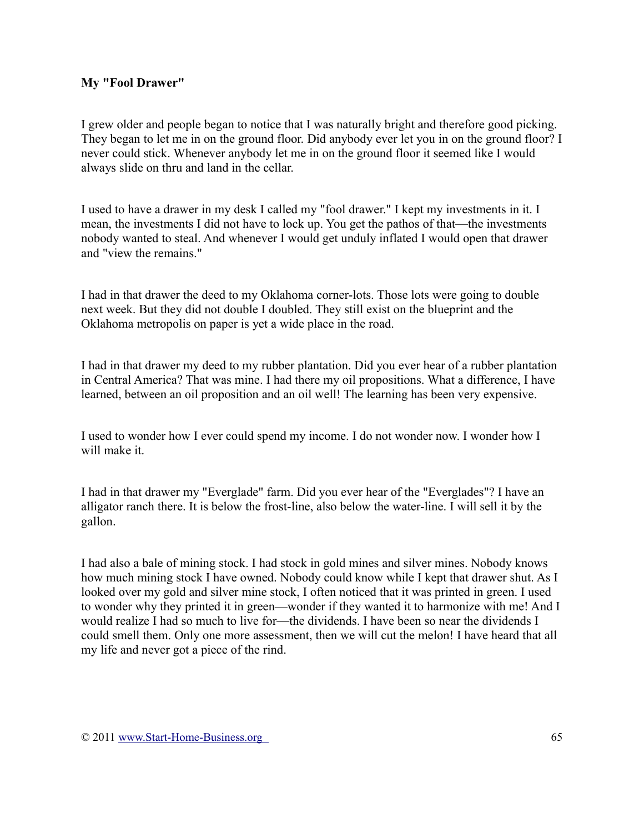### **My "Fool Drawer"**

I grew older and people began to notice that I was naturally bright and therefore good picking. They began to let me in on the ground floor. Did anybody ever let you in on the ground floor? I never could stick. Whenever anybody let me in on the ground floor it seemed like I would always slide on thru and land in the cellar.

I used to have a drawer in my desk I called my "fool drawer." I kept my investments in it. I mean, the investments I did not have to lock up. You get the pathos of that—the investments nobody wanted to steal. And whenever I would get unduly inflated I would open that drawer and "view the remains."

I had in that drawer the deed to my Oklahoma corner-lots. Those lots were going to double next week. But they did not double I doubled. They still exist on the blueprint and the Oklahoma metropolis on paper is yet a wide place in the road.

I had in that drawer my deed to my rubber plantation. Did you ever hear of a rubber plantation in Central America? That was mine. I had there my oil propositions. What a difference, I have learned, between an oil proposition and an oil well! The learning has been very expensive.

I used to wonder how I ever could spend my income. I do not wonder now. I wonder how I will make it.

I had in that drawer my "Everglade" farm. Did you ever hear of the "Everglades"? I have an alligator ranch there. It is below the frost-line, also below the water-line. I will sell it by the gallon.

I had also a bale of mining stock. I had stock in gold mines and silver mines. Nobody knows how much mining stock I have owned. Nobody could know while I kept that drawer shut. As I looked over my gold and silver mine stock, I often noticed that it was printed in green. I used to wonder why they printed it in green—wonder if they wanted it to harmonize with me! And I would realize I had so much to live for—the dividends. I have been so near the dividends I could smell them. Only one more assessment, then we will cut the melon! I have heard that all my life and never got a piece of the rind.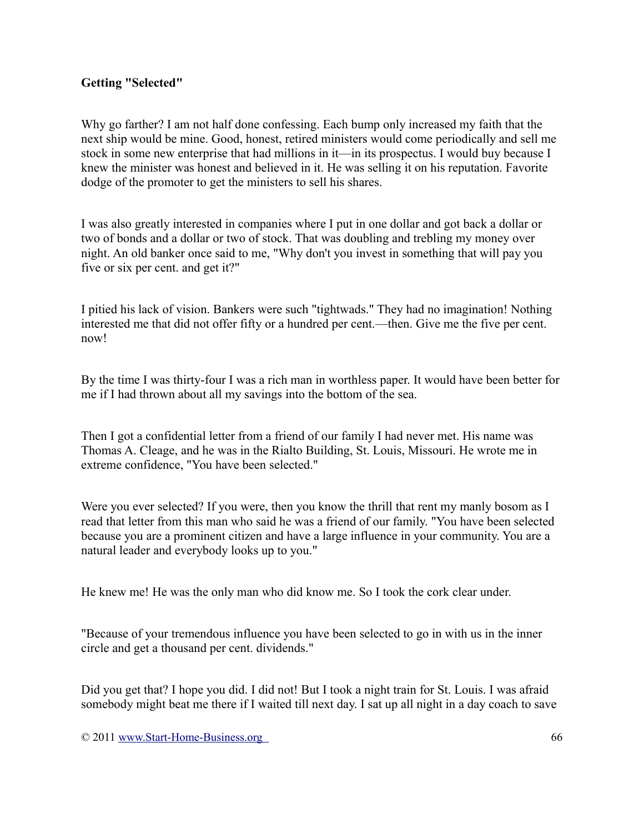### **Getting "Selected"**

Why go farther? I am not half done confessing. Each bump only increased my faith that the next ship would be mine. Good, honest, retired ministers would come periodically and sell me stock in some new enterprise that had millions in it—in its prospectus. I would buy because I knew the minister was honest and believed in it. He was selling it on his reputation. Favorite dodge of the promoter to get the ministers to sell his shares.

I was also greatly interested in companies where I put in one dollar and got back a dollar or two of bonds and a dollar or two of stock. That was doubling and trebling my money over night. An old banker once said to me, "Why don't you invest in something that will pay you five or six per cent. and get it?"

I pitied his lack of vision. Bankers were such "tightwads." They had no imagination! Nothing interested me that did not offer fifty or a hundred per cent.—then. Give me the five per cent. now!

By the time I was thirty-four I was a rich man in worthless paper. It would have been better for me if I had thrown about all my savings into the bottom of the sea.

Then I got a confidential letter from a friend of our family I had never met. His name was Thomas A. Cleage, and he was in the Rialto Building, St. Louis, Missouri. He wrote me in extreme confidence, "You have been selected."

Were you ever selected? If you were, then you know the thrill that rent my manly bosom as I read that letter from this man who said he was a friend of our family. "You have been selected because you are a prominent citizen and have a large influence in your community. You are a natural leader and everybody looks up to you."

He knew me! He was the only man who did know me. So I took the cork clear under.

"Because of your tremendous influence you have been selected to go in with us in the inner circle and get a thousand per cent. dividends."

Did you get that? I hope you did. I did not! But I took a night train for St. Louis. I was afraid somebody might beat me there if I waited till next day. I sat up all night in a day coach to save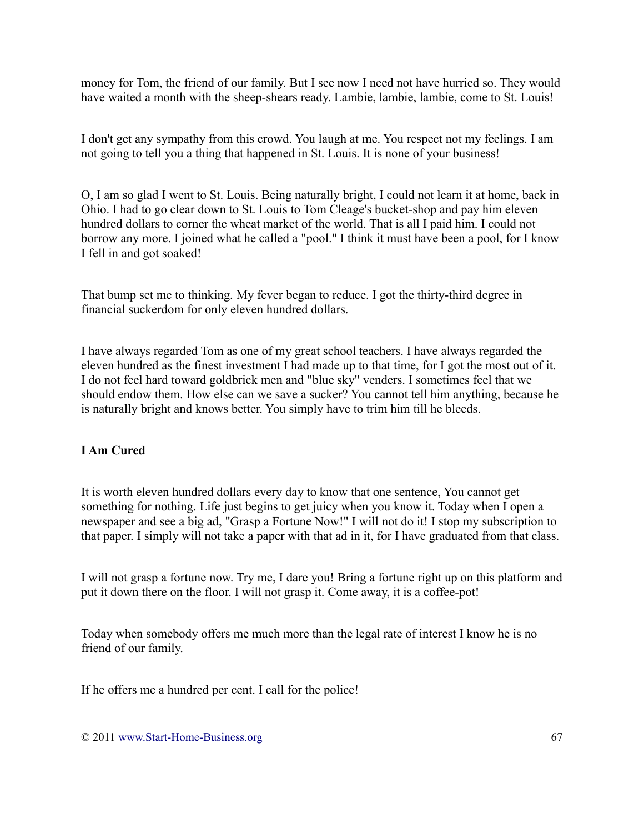money for Tom, the friend of our family. But I see now I need not have hurried so. They would have waited a month with the sheep-shears ready. Lambie, lambie, lambie, come to St. Louis!

I don't get any sympathy from this crowd. You laugh at me. You respect not my feelings. I am not going to tell you a thing that happened in St. Louis. It is none of your business!

O, I am so glad I went to St. Louis. Being naturally bright, I could not learn it at home, back in Ohio. I had to go clear down to St. Louis to Tom Cleage's bucket-shop and pay him eleven hundred dollars to corner the wheat market of the world. That is all I paid him. I could not borrow any more. I joined what he called a "pool." I think it must have been a pool, for I know I fell in and got soaked!

That bump set me to thinking. My fever began to reduce. I got the thirty-third degree in financial suckerdom for only eleven hundred dollars.

I have always regarded Tom as one of my great school teachers. I have always regarded the eleven hundred as the finest investment I had made up to that time, for I got the most out of it. I do not feel hard toward goldbrick men and "blue sky" venders. I sometimes feel that we should endow them. How else can we save a sucker? You cannot tell him anything, because he is naturally bright and knows better. You simply have to trim him till he bleeds.

# **I Am Cured**

It is worth eleven hundred dollars every day to know that one sentence, You cannot get something for nothing. Life just begins to get juicy when you know it. Today when I open a newspaper and see a big ad, "Grasp a Fortune Now!" I will not do it! I stop my subscription to that paper. I simply will not take a paper with that ad in it, for I have graduated from that class.

I will not grasp a fortune now. Try me, I dare you! Bring a fortune right up on this platform and put it down there on the floor. I will not grasp it. Come away, it is a coffee-pot!

Today when somebody offers me much more than the legal rate of interest I know he is no friend of our family.

If he offers me a hundred per cent. I call for the police!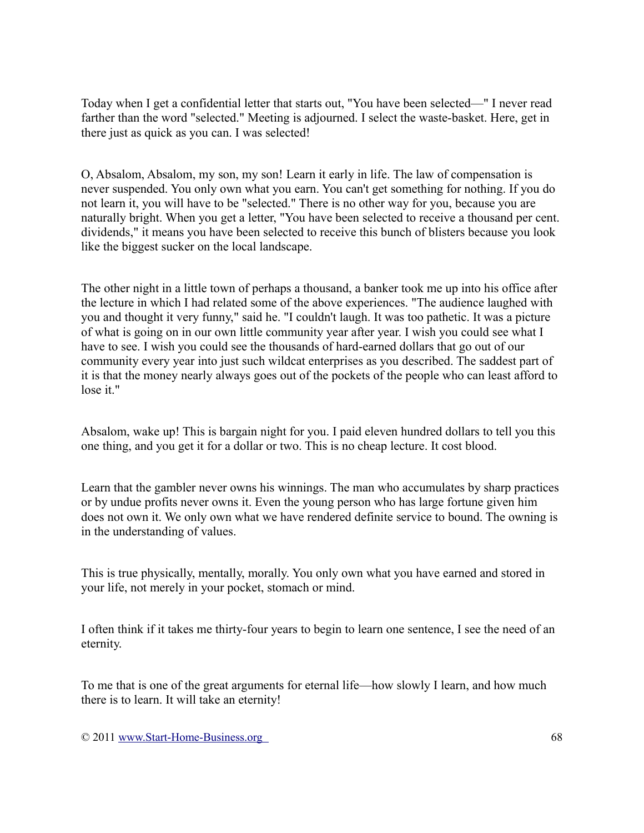Today when I get a confidential letter that starts out, "You have been selected—" I never read farther than the word "selected." Meeting is adjourned. I select the waste-basket. Here, get in there just as quick as you can. I was selected!

O, Absalom, Absalom, my son, my son! Learn it early in life. The law of compensation is never suspended. You only own what you earn. You can't get something for nothing. If you do not learn it, you will have to be "selected." There is no other way for you, because you are naturally bright. When you get a letter, "You have been selected to receive a thousand per cent. dividends," it means you have been selected to receive this bunch of blisters because you look like the biggest sucker on the local landscape.

The other night in a little town of perhaps a thousand, a banker took me up into his office after the lecture in which I had related some of the above experiences. "The audience laughed with you and thought it very funny," said he. "I couldn't laugh. It was too pathetic. It was a picture of what is going on in our own little community year after year. I wish you could see what I have to see. I wish you could see the thousands of hard-earned dollars that go out of our community every year into just such wildcat enterprises as you described. The saddest part of it is that the money nearly always goes out of the pockets of the people who can least afford to lose it."

Absalom, wake up! This is bargain night for you. I paid eleven hundred dollars to tell you this one thing, and you get it for a dollar or two. This is no cheap lecture. It cost blood.

Learn that the gambler never owns his winnings. The man who accumulates by sharp practices or by undue profits never owns it. Even the young person who has large fortune given him does not own it. We only own what we have rendered definite service to bound. The owning is in the understanding of values.

This is true physically, mentally, morally. You only own what you have earned and stored in your life, not merely in your pocket, stomach or mind.

I often think if it takes me thirty-four years to begin to learn one sentence, I see the need of an eternity.

To me that is one of the great arguments for eternal life—how slowly I learn, and how much there is to learn. It will take an eternity!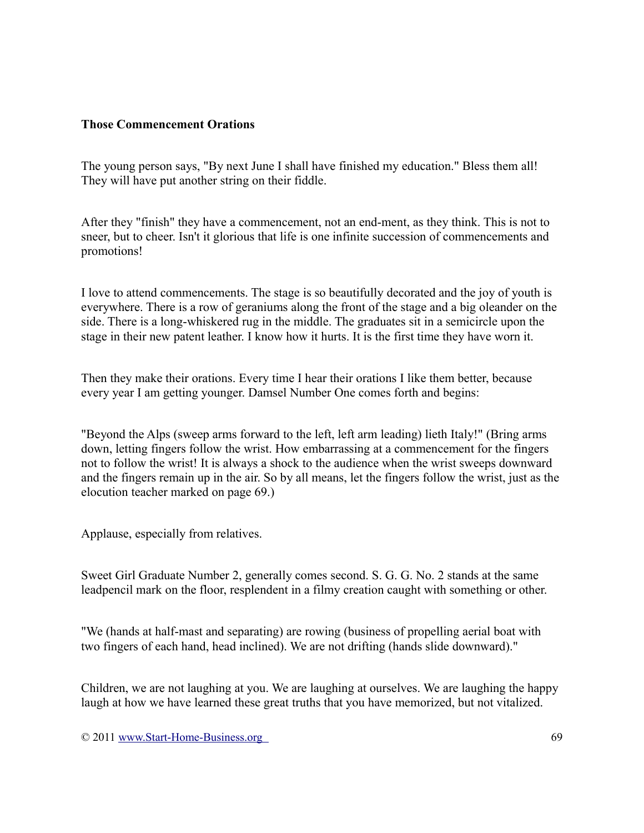#### **Those Commencement Orations**

The young person says, "By next June I shall have finished my education." Bless them all! They will have put another string on their fiddle.

After they "finish" they have a commencement, not an end-ment, as they think. This is not to sneer, but to cheer. Isn't it glorious that life is one infinite succession of commencements and promotions!

I love to attend commencements. The stage is so beautifully decorated and the joy of youth is everywhere. There is a row of geraniums along the front of the stage and a big oleander on the side. There is a long-whiskered rug in the middle. The graduates sit in a semicircle upon the stage in their new patent leather. I know how it hurts. It is the first time they have worn it.

Then they make their orations. Every time I hear their orations I like them better, because every year I am getting younger. Damsel Number One comes forth and begins:

"Beyond the Alps (sweep arms forward to the left, left arm leading) lieth Italy!" (Bring arms down, letting fingers follow the wrist. How embarrassing at a commencement for the fingers not to follow the wrist! It is always a shock to the audience when the wrist sweeps downward and the fingers remain up in the air. So by all means, let the fingers follow the wrist, just as the elocution teacher marked on page 69.)

Applause, especially from relatives.

Sweet Girl Graduate Number 2, generally comes second. S. G. G. No. 2 stands at the same leadpencil mark on the floor, resplendent in a filmy creation caught with something or other.

"We (hands at half-mast and separating) are rowing (business of propelling aerial boat with two fingers of each hand, head inclined). We are not drifting (hands slide downward)."

Children, we are not laughing at you. We are laughing at ourselves. We are laughing the happy laugh at how we have learned these great truths that you have memorized, but not vitalized.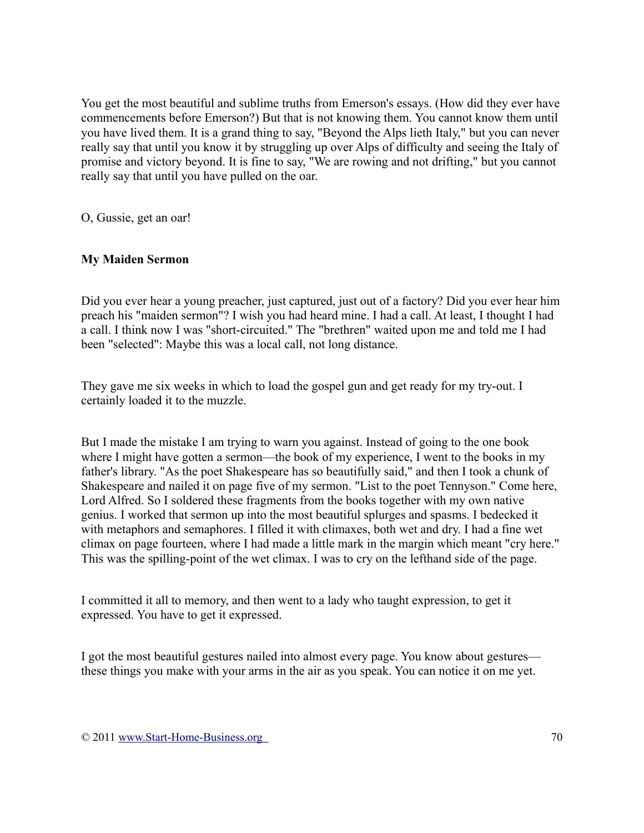You get the most beautiful and sublime truths from Emerson's essays. (How did they ever have commencements before Emerson?) But that is not knowing them. You cannot know them until you have lived them. It is a grand thing to say, "Beyond the Alps lieth Italy," but you can never really say that until you know it by struggling up over Alps of difficulty and seeing the Italy of promise and victory beyond. It is fine to say, "We are rowing and not drifting," but you cannot really say that until you have pulled on the oar.

O, Gussie, get an oar!

### **My Maiden Sermon**

Did you ever hear a young preacher, just captured, just out of a factory? Did you ever hear him preach his "maiden sermon"? I wish you had heard mine. I had a call. At least, I thought I had a call. I think now I was "short-circuited." The "brethren" waited upon me and told me I had been "selected": Maybe this was a local call, not long distance.

They gave me six weeks in which to load the gospel gun and get ready for my try-out. I certainly loaded it to the muzzle.

But I made the mistake I am trying to warn you against. Instead of going to the one book where I might have gotten a sermon—the book of my experience, I went to the books in my father's library. "As the poet Shakespeare has so beautifully said," and then I took a chunk of Shakespeare and nailed it on page five of my sermon. "List to the poet Tennyson." Come here, Lord Alfred. So I soldered these fragments from the books together with my own native genius. I worked that sermon up into the most beautiful splurges and spasms. I bedecked it with metaphors and semaphores. I filled it with climaxes, both wet and dry. I had a fine wet climax on page fourteen, where I had made a little mark in the margin which meant "cry here." This was the spilling-point of the wet climax. I was to cry on the lefthand side of the page.

I committed it all to memory, and then went to a lady who taught expression, to get it expressed. You have to get it expressed.

I got the most beautiful gestures nailed into almost every page. You know about gestures these things you make with your arms in the air as you speak. You can notice it on me yet.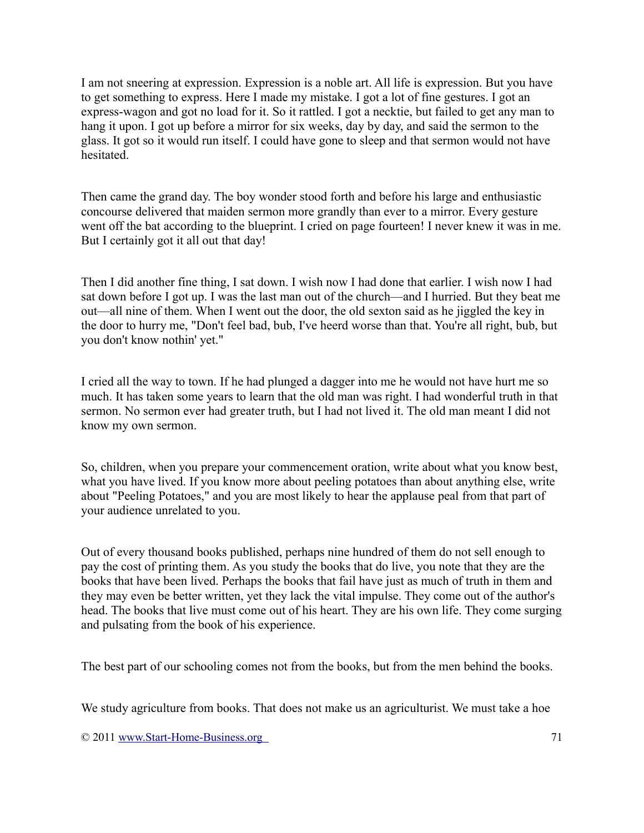I am not sneering at expression. Expression is a noble art. All life is expression. But you have to get something to express. Here I made my mistake. I got a lot of fine gestures. I got an express-wagon and got no load for it. So it rattled. I got a necktie, but failed to get any man to hang it upon. I got up before a mirror for six weeks, day by day, and said the sermon to the glass. It got so it would run itself. I could have gone to sleep and that sermon would not have hesitated.

Then came the grand day. The boy wonder stood forth and before his large and enthusiastic concourse delivered that maiden sermon more grandly than ever to a mirror. Every gesture went off the bat according to the blueprint. I cried on page fourteen! I never knew it was in me. But I certainly got it all out that day!

Then I did another fine thing, I sat down. I wish now I had done that earlier. I wish now I had sat down before I got up. I was the last man out of the church—and I hurried. But they beat me out—all nine of them. When I went out the door, the old sexton said as he jiggled the key in the door to hurry me, "Don't feel bad, bub, I've heerd worse than that. You're all right, bub, but you don't know nothin' yet."

I cried all the way to town. If he had plunged a dagger into me he would not have hurt me so much. It has taken some years to learn that the old man was right. I had wonderful truth in that sermon. No sermon ever had greater truth, but I had not lived it. The old man meant I did not know my own sermon.

So, children, when you prepare your commencement oration, write about what you know best, what you have lived. If you know more about peeling potatoes than about anything else, write about "Peeling Potatoes," and you are most likely to hear the applause peal from that part of your audience unrelated to you.

Out of every thousand books published, perhaps nine hundred of them do not sell enough to pay the cost of printing them. As you study the books that do live, you note that they are the books that have been lived. Perhaps the books that fail have just as much of truth in them and they may even be better written, yet they lack the vital impulse. They come out of the author's head. The books that live must come out of his heart. They are his own life. They come surging and pulsating from the book of his experience.

The best part of our schooling comes not from the books, but from the men behind the books.

We study agriculture from books. That does not make us an agriculturist. We must take a hoe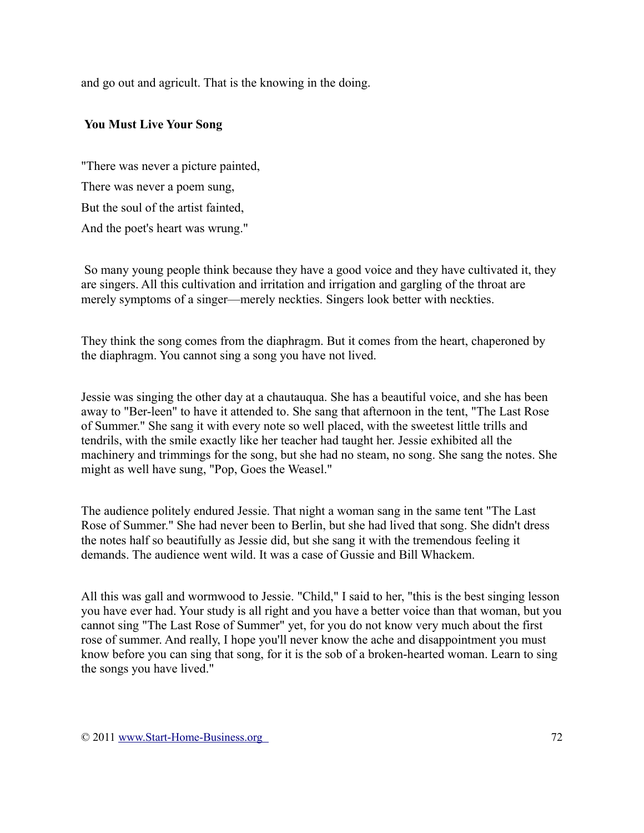and go out and agricult. That is the knowing in the doing.

### **You Must Live Your Song**

"There was never a picture painted, There was never a poem sung, But the soul of the artist fainted, And the poet's heart was wrung."

So many young people think because they have a good voice and they have cultivated it, they are singers. All this cultivation and irritation and irrigation and gargling of the throat are merely symptoms of a singer—merely neckties. Singers look better with neckties.

They think the song comes from the diaphragm. But it comes from the heart, chaperoned by the diaphragm. You cannot sing a song you have not lived.

Jessie was singing the other day at a chautauqua. She has a beautiful voice, and she has been away to "Ber-leen" to have it attended to. She sang that afternoon in the tent, "The Last Rose of Summer." She sang it with every note so well placed, with the sweetest little trills and tendrils, with the smile exactly like her teacher had taught her. Jessie exhibited all the machinery and trimmings for the song, but she had no steam, no song. She sang the notes. She might as well have sung, "Pop, Goes the Weasel."

The audience politely endured Jessie. That night a woman sang in the same tent "The Last Rose of Summer." She had never been to Berlin, but she had lived that song. She didn't dress the notes half so beautifully as Jessie did, but she sang it with the tremendous feeling it demands. The audience went wild. It was a case of Gussie and Bill Whackem.

All this was gall and wormwood to Jessie. "Child," I said to her, "this is the best singing lesson you have ever had. Your study is all right and you have a better voice than that woman, but you cannot sing "The Last Rose of Summer" yet, for you do not know very much about the first rose of summer. And really, I hope you'll never know the ache and disappointment you must know before you can sing that song, for it is the sob of a broken-hearted woman. Learn to sing the songs you have lived."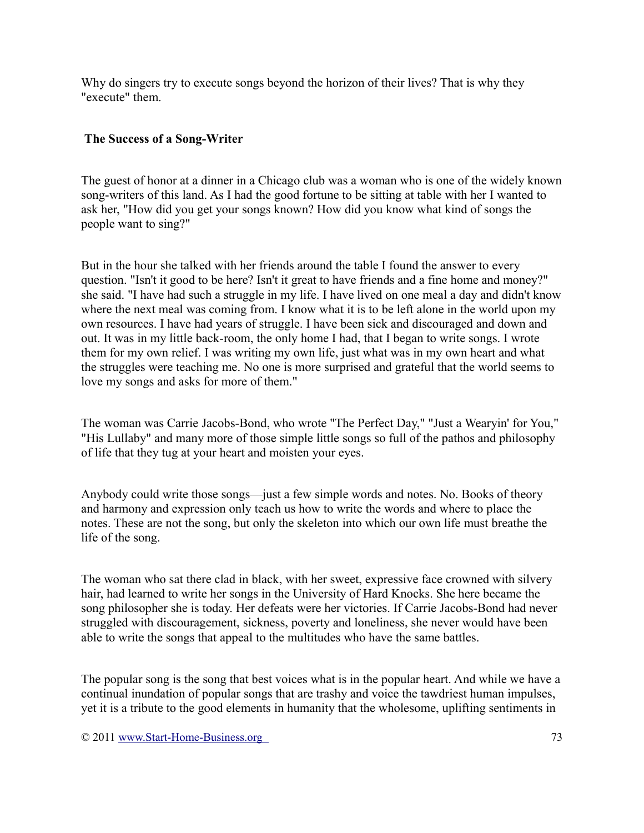Why do singers try to execute songs beyond the horizon of their lives? That is why they "execute" them.

### **The Success of a Song-Writer**

The guest of honor at a dinner in a Chicago club was a woman who is one of the widely known song-writers of this land. As I had the good fortune to be sitting at table with her I wanted to ask her, "How did you get your songs known? How did you know what kind of songs the people want to sing?"

But in the hour she talked with her friends around the table I found the answer to every question. "Isn't it good to be here? Isn't it great to have friends and a fine home and money?" she said. "I have had such a struggle in my life. I have lived on one meal a day and didn't know where the next meal was coming from. I know what it is to be left alone in the world upon my own resources. I have had years of struggle. I have been sick and discouraged and down and out. It was in my little back-room, the only home I had, that I began to write songs. I wrote them for my own relief. I was writing my own life, just what was in my own heart and what the struggles were teaching me. No one is more surprised and grateful that the world seems to love my songs and asks for more of them."

The woman was Carrie Jacobs-Bond, who wrote "The Perfect Day," "Just a Wearyin' for You," "His Lullaby" and many more of those simple little songs so full of the pathos and philosophy of life that they tug at your heart and moisten your eyes.

Anybody could write those songs—just a few simple words and notes. No. Books of theory and harmony and expression only teach us how to write the words and where to place the notes. These are not the song, but only the skeleton into which our own life must breathe the life of the song.

The woman who sat there clad in black, with her sweet, expressive face crowned with silvery hair, had learned to write her songs in the University of Hard Knocks. She here became the song philosopher she is today. Her defeats were her victories. If Carrie Jacobs-Bond had never struggled with discouragement, sickness, poverty and loneliness, she never would have been able to write the songs that appeal to the multitudes who have the same battles.

The popular song is the song that best voices what is in the popular heart. And while we have a continual inundation of popular songs that are trashy and voice the tawdriest human impulses, yet it is a tribute to the good elements in humanity that the wholesome, uplifting sentiments in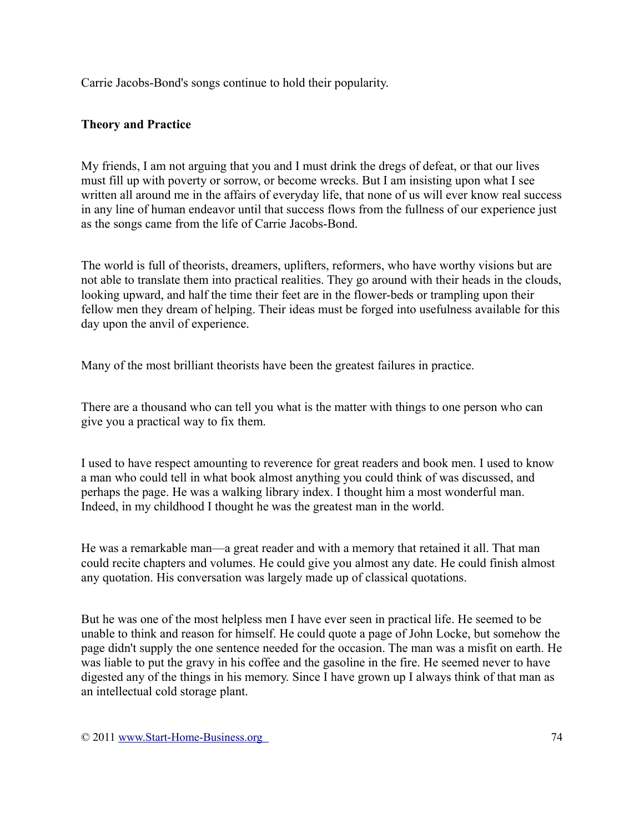Carrie Jacobs-Bond's songs continue to hold their popularity.

## **Theory and Practice**

My friends, I am not arguing that you and I must drink the dregs of defeat, or that our lives must fill up with poverty or sorrow, or become wrecks. But I am insisting upon what I see written all around me in the affairs of everyday life, that none of us will ever know real success in any line of human endeavor until that success flows from the fullness of our experience just as the songs came from the life of Carrie Jacobs-Bond.

The world is full of theorists, dreamers, uplifters, reformers, who have worthy visions but are not able to translate them into practical realities. They go around with their heads in the clouds, looking upward, and half the time their feet are in the flower-beds or trampling upon their fellow men they dream of helping. Their ideas must be forged into usefulness available for this day upon the anvil of experience.

Many of the most brilliant theorists have been the greatest failures in practice.

There are a thousand who can tell you what is the matter with things to one person who can give you a practical way to fix them.

I used to have respect amounting to reverence for great readers and book men. I used to know a man who could tell in what book almost anything you could think of was discussed, and perhaps the page. He was a walking library index. I thought him a most wonderful man. Indeed, in my childhood I thought he was the greatest man in the world.

He was a remarkable man—a great reader and with a memory that retained it all. That man could recite chapters and volumes. He could give you almost any date. He could finish almost any quotation. His conversation was largely made up of classical quotations.

But he was one of the most helpless men I have ever seen in practical life. He seemed to be unable to think and reason for himself. He could quote a page of John Locke, but somehow the page didn't supply the one sentence needed for the occasion. The man was a misfit on earth. He was liable to put the gravy in his coffee and the gasoline in the fire. He seemed never to have digested any of the things in his memory. Since I have grown up I always think of that man as an intellectual cold storage plant.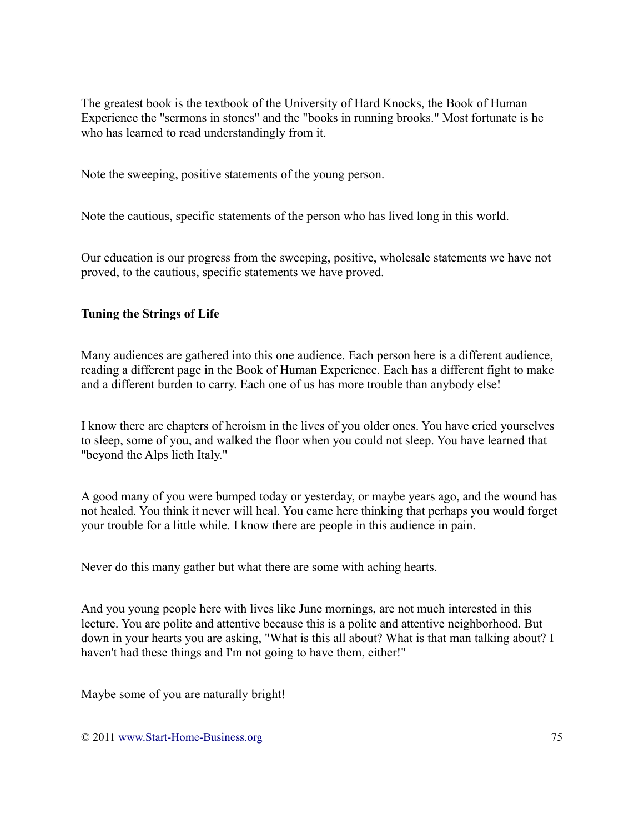The greatest book is the textbook of the University of Hard Knocks, the Book of Human Experience the "sermons in stones" and the "books in running brooks." Most fortunate is he who has learned to read understandingly from it.

Note the sweeping, positive statements of the young person.

Note the cautious, specific statements of the person who has lived long in this world.

Our education is our progress from the sweeping, positive, wholesale statements we have not proved, to the cautious, specific statements we have proved.

## **Tuning the Strings of Life**

Many audiences are gathered into this one audience. Each person here is a different audience, reading a different page in the Book of Human Experience. Each has a different fight to make and a different burden to carry. Each one of us has more trouble than anybody else!

I know there are chapters of heroism in the lives of you older ones. You have cried yourselves to sleep, some of you, and walked the floor when you could not sleep. You have learned that "beyond the Alps lieth Italy."

A good many of you were bumped today or yesterday, or maybe years ago, and the wound has not healed. You think it never will heal. You came here thinking that perhaps you would forget your trouble for a little while. I know there are people in this audience in pain.

Never do this many gather but what there are some with aching hearts.

And you young people here with lives like June mornings, are not much interested in this lecture. You are polite and attentive because this is a polite and attentive neighborhood. But down in your hearts you are asking, "What is this all about? What is that man talking about? I haven't had these things and I'm not going to have them, either!"

Maybe some of you are naturally bright!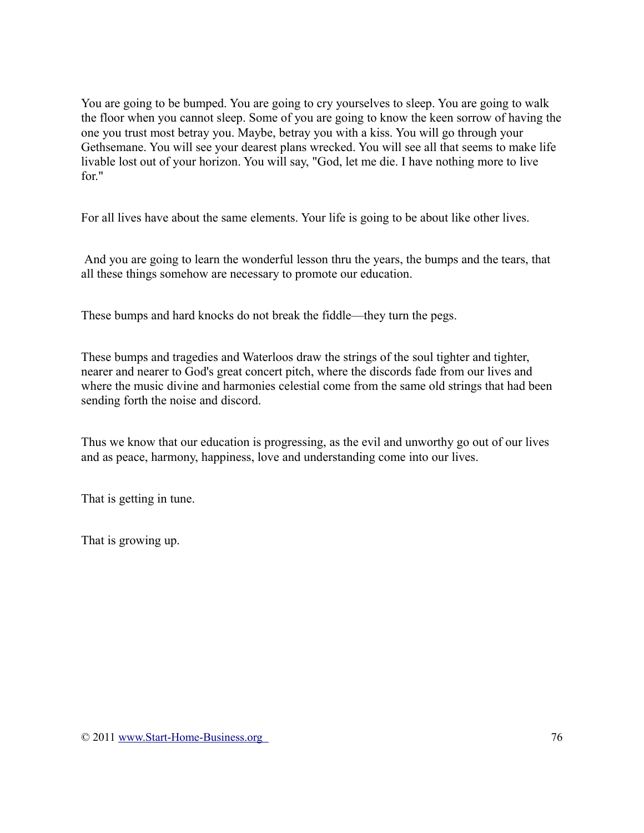You are going to be bumped. You are going to cry yourselves to sleep. You are going to walk the floor when you cannot sleep. Some of you are going to know the keen sorrow of having the one you trust most betray you. Maybe, betray you with a kiss. You will go through your Gethsemane. You will see your dearest plans wrecked. You will see all that seems to make life livable lost out of your horizon. You will say, "God, let me die. I have nothing more to live for"

For all lives have about the same elements. Your life is going to be about like other lives.

And you are going to learn the wonderful lesson thru the years, the bumps and the tears, that all these things somehow are necessary to promote our education.

These bumps and hard knocks do not break the fiddle—they turn the pegs.

These bumps and tragedies and Waterloos draw the strings of the soul tighter and tighter, nearer and nearer to God's great concert pitch, where the discords fade from our lives and where the music divine and harmonies celestial come from the same old strings that had been sending forth the noise and discord.

Thus we know that our education is progressing, as the evil and unworthy go out of our lives and as peace, harmony, happiness, love and understanding come into our lives.

That is getting in tune.

That is growing up.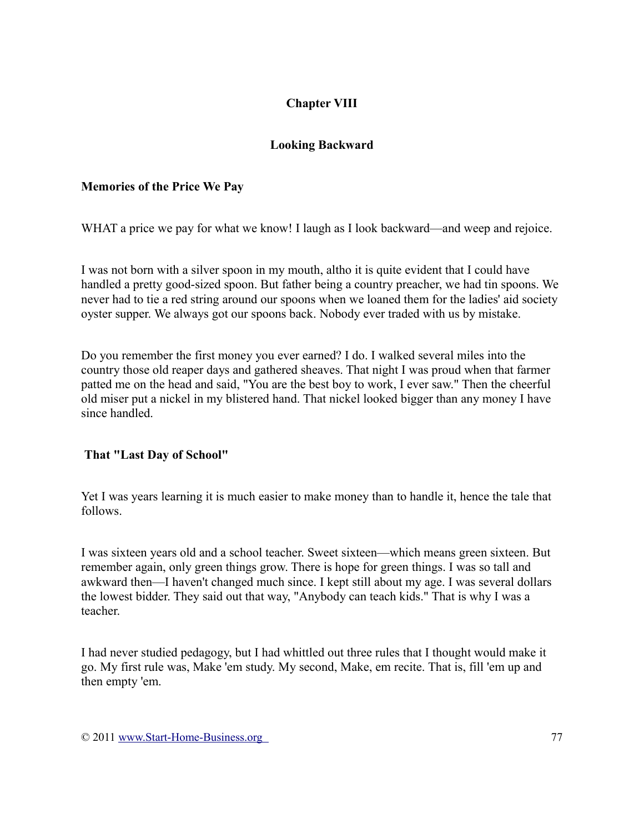# **Chapter VIII**

## **Looking Backward**

## **Memories of the Price We Pay**

WHAT a price we pay for what we know! I laugh as I look backward—and weep and rejoice.

I was not born with a silver spoon in my mouth, altho it is quite evident that I could have handled a pretty good-sized spoon. But father being a country preacher, we had tin spoons. We never had to tie a red string around our spoons when we loaned them for the ladies' aid society oyster supper. We always got our spoons back. Nobody ever traded with us by mistake.

Do you remember the first money you ever earned? I do. I walked several miles into the country those old reaper days and gathered sheaves. That night I was proud when that farmer patted me on the head and said, "You are the best boy to work, I ever saw." Then the cheerful old miser put a nickel in my blistered hand. That nickel looked bigger than any money I have since handled.

## **That "Last Day of School"**

Yet I was years learning it is much easier to make money than to handle it, hence the tale that follows.

I was sixteen years old and a school teacher. Sweet sixteen—which means green sixteen. But remember again, only green things grow. There is hope for green things. I was so tall and awkward then—I haven't changed much since. I kept still about my age. I was several dollars the lowest bidder. They said out that way, "Anybody can teach kids." That is why I was a teacher.

I had never studied pedagogy, but I had whittled out three rules that I thought would make it go. My first rule was, Make 'em study. My second, Make, em recite. That is, fill 'em up and then empty 'em.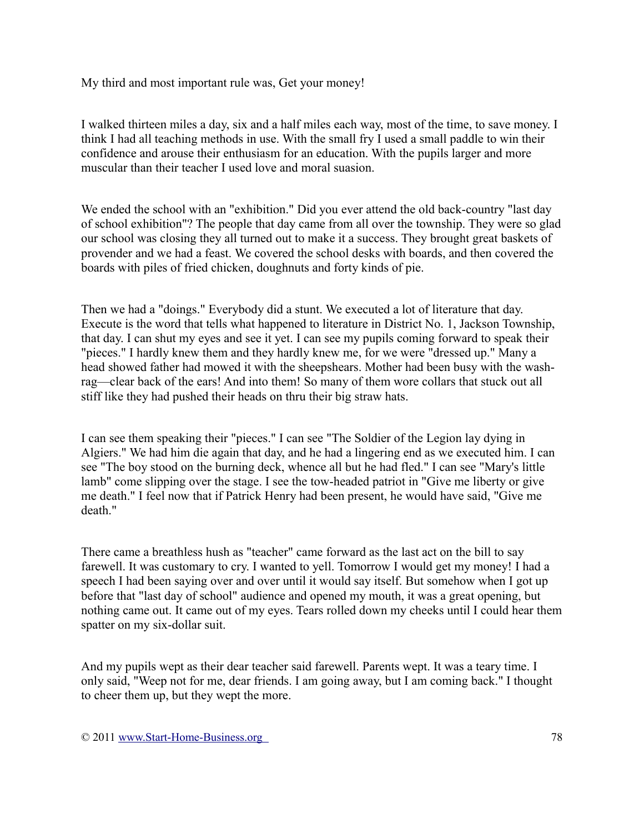My third and most important rule was, Get your money!

I walked thirteen miles a day, six and a half miles each way, most of the time, to save money. I think I had all teaching methods in use. With the small fry I used a small paddle to win their confidence and arouse their enthusiasm for an education. With the pupils larger and more muscular than their teacher I used love and moral suasion.

We ended the school with an "exhibition." Did you ever attend the old back-country "last day of school exhibition"? The people that day came from all over the township. They were so glad our school was closing they all turned out to make it a success. They brought great baskets of provender and we had a feast. We covered the school desks with boards, and then covered the boards with piles of fried chicken, doughnuts and forty kinds of pie.

Then we had a "doings." Everybody did a stunt. We executed a lot of literature that day. Execute is the word that tells what happened to literature in District No. 1, Jackson Township, that day. I can shut my eyes and see it yet. I can see my pupils coming forward to speak their "pieces." I hardly knew them and they hardly knew me, for we were "dressed up." Many a head showed father had mowed it with the sheepshears. Mother had been busy with the washrag—clear back of the ears! And into them! So many of them wore collars that stuck out all stiff like they had pushed their heads on thru their big straw hats.

I can see them speaking their "pieces." I can see "The Soldier of the Legion lay dying in Algiers." We had him die again that day, and he had a lingering end as we executed him. I can see "The boy stood on the burning deck, whence all but he had fled." I can see "Mary's little lamb" come slipping over the stage. I see the tow-headed patriot in "Give me liberty or give me death." I feel now that if Patrick Henry had been present, he would have said, "Give me death."

There came a breathless hush as "teacher" came forward as the last act on the bill to say farewell. It was customary to cry. I wanted to yell. Tomorrow I would get my money! I had a speech I had been saying over and over until it would say itself. But somehow when I got up before that "last day of school" audience and opened my mouth, it was a great opening, but nothing came out. It came out of my eyes. Tears rolled down my cheeks until I could hear them spatter on my six-dollar suit.

And my pupils wept as their dear teacher said farewell. Parents wept. It was a teary time. I only said, "Weep not for me, dear friends. I am going away, but I am coming back." I thought to cheer them up, but they wept the more.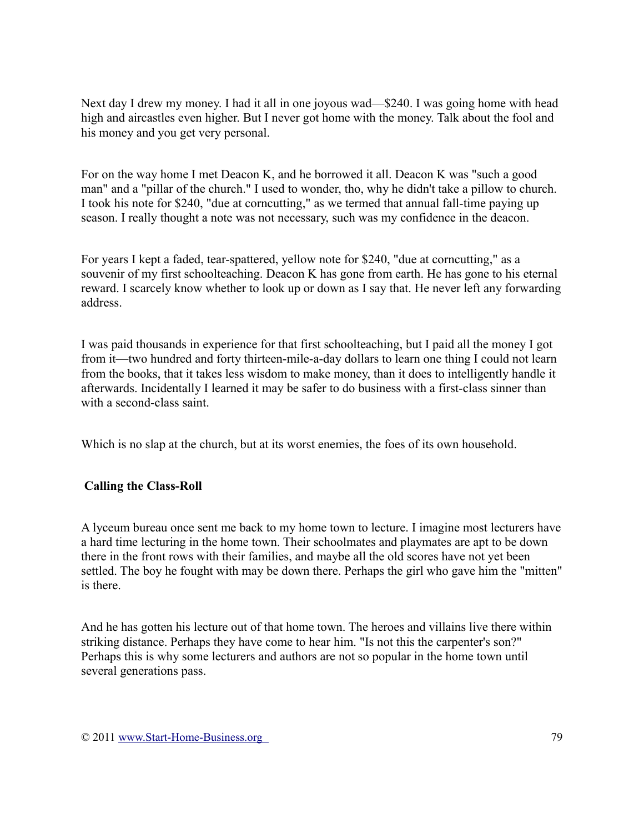Next day I drew my money. I had it all in one joyous wad—\$240. I was going home with head high and aircastles even higher. But I never got home with the money. Talk about the fool and his money and you get very personal.

For on the way home I met Deacon K, and he borrowed it all. Deacon K was "such a good man" and a "pillar of the church." I used to wonder, tho, why he didn't take a pillow to church. I took his note for \$240, "due at corncutting," as we termed that annual fall-time paying up season. I really thought a note was not necessary, such was my confidence in the deacon.

For years I kept a faded, tear-spattered, yellow note for \$240, "due at corncutting," as a souvenir of my first schoolteaching. Deacon K has gone from earth. He has gone to his eternal reward. I scarcely know whether to look up or down as I say that. He never left any forwarding address.

I was paid thousands in experience for that first schoolteaching, but I paid all the money I got from it—two hundred and forty thirteen-mile-a-day dollars to learn one thing I could not learn from the books, that it takes less wisdom to make money, than it does to intelligently handle it afterwards. Incidentally I learned it may be safer to do business with a first-class sinner than with a second-class saint.

Which is no slap at the church, but at its worst enemies, the foes of its own household.

## **Calling the Class-Roll**

A lyceum bureau once sent me back to my home town to lecture. I imagine most lecturers have a hard time lecturing in the home town. Their schoolmates and playmates are apt to be down there in the front rows with their families, and maybe all the old scores have not yet been settled. The boy he fought with may be down there. Perhaps the girl who gave him the "mitten" is there.

And he has gotten his lecture out of that home town. The heroes and villains live there within striking distance. Perhaps they have come to hear him. "Is not this the carpenter's son?" Perhaps this is why some lecturers and authors are not so popular in the home town until several generations pass.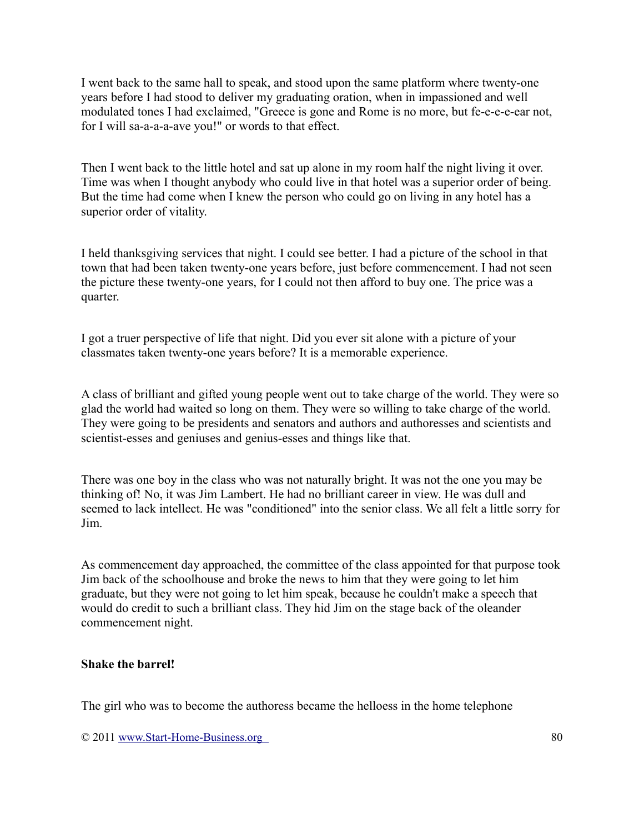I went back to the same hall to speak, and stood upon the same platform where twenty-one years before I had stood to deliver my graduating oration, when in impassioned and well modulated tones I had exclaimed, "Greece is gone and Rome is no more, but fe-e-e-e-ear not, for I will sa-a-a-a-ave you!" or words to that effect.

Then I went back to the little hotel and sat up alone in my room half the night living it over. Time was when I thought anybody who could live in that hotel was a superior order of being. But the time had come when I knew the person who could go on living in any hotel has a superior order of vitality.

I held thanksgiving services that night. I could see better. I had a picture of the school in that town that had been taken twenty-one years before, just before commencement. I had not seen the picture these twenty-one years, for I could not then afford to buy one. The price was a quarter.

I got a truer perspective of life that night. Did you ever sit alone with a picture of your classmates taken twenty-one years before? It is a memorable experience.

A class of brilliant and gifted young people went out to take charge of the world. They were so glad the world had waited so long on them. They were so willing to take charge of the world. They were going to be presidents and senators and authors and authoresses and scientists and scientist-esses and geniuses and genius-esses and things like that.

There was one boy in the class who was not naturally bright. It was not the one you may be thinking of! No, it was Jim Lambert. He had no brilliant career in view. He was dull and seemed to lack intellect. He was "conditioned" into the senior class. We all felt a little sorry for Jim.

As commencement day approached, the committee of the class appointed for that purpose took Jim back of the schoolhouse and broke the news to him that they were going to let him graduate, but they were not going to let him speak, because he couldn't make a speech that would do credit to such a brilliant class. They hid Jim on the stage back of the oleander commencement night.

#### **Shake the barrel!**

The girl who was to become the authoress became the helloess in the home telephone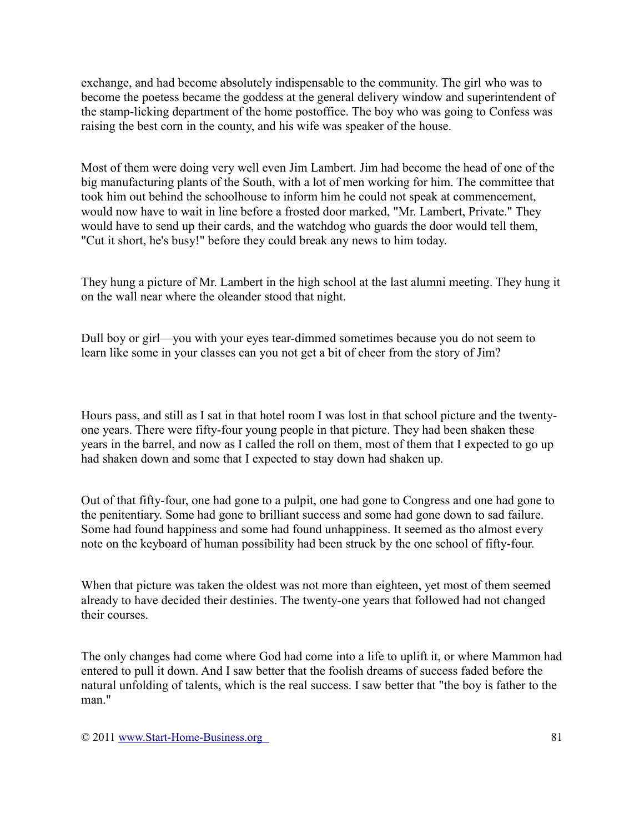exchange, and had become absolutely indispensable to the community. The girl who was to become the poetess became the goddess at the general delivery window and superintendent of the stamp-licking department of the home postoffice. The boy who was going to Confess was raising the best corn in the county, and his wife was speaker of the house.

Most of them were doing very well even Jim Lambert. Jim had become the head of one of the big manufacturing plants of the South, with a lot of men working for him. The committee that took him out behind the schoolhouse to inform him he could not speak at commencement, would now have to wait in line before a frosted door marked, "Mr. Lambert, Private." They would have to send up their cards, and the watchdog who guards the door would tell them, "Cut it short, he's busy!" before they could break any news to him today.

They hung a picture of Mr. Lambert in the high school at the last alumni meeting. They hung it on the wall near where the oleander stood that night.

Dull boy or girl—you with your eyes tear-dimmed sometimes because you do not seem to learn like some in your classes can you not get a bit of cheer from the story of Jim?

Hours pass, and still as I sat in that hotel room I was lost in that school picture and the twentyone years. There were fifty-four young people in that picture. They had been shaken these years in the barrel, and now as I called the roll on them, most of them that I expected to go up had shaken down and some that I expected to stay down had shaken up.

Out of that fifty-four, one had gone to a pulpit, one had gone to Congress and one had gone to the penitentiary. Some had gone to brilliant success and some had gone down to sad failure. Some had found happiness and some had found unhappiness. It seemed as tho almost every note on the keyboard of human possibility had been struck by the one school of fifty-four.

When that picture was taken the oldest was not more than eighteen, yet most of them seemed already to have decided their destinies. The twenty-one years that followed had not changed their courses.

The only changes had come where God had come into a life to uplift it, or where Mammon had entered to pull it down. And I saw better that the foolish dreams of success faded before the natural unfolding of talents, which is the real success. I saw better that "the boy is father to the man."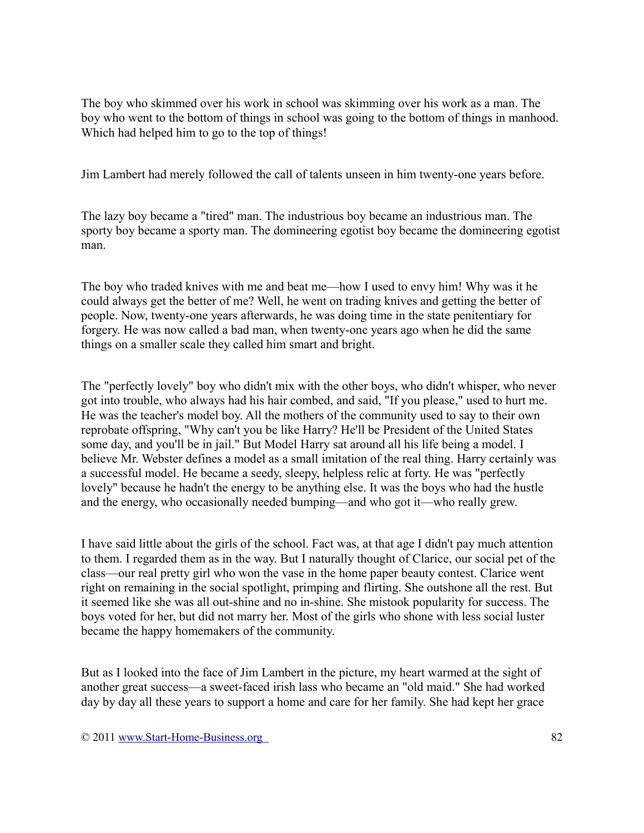The boy who skimmed over his work in school was skimming over his work as a man. The boy who went to the bottom of things in school was going to the bottom of things in manhood. Which had helped him to go to the top of things!

Jim Lambert had merely followed the call of talents unseen in him twenty-one years before.

The lazy boy became a "tired" man. The industrious boy became an industrious man. The sporty boy became a sporty man. The domineering egotist boy became the domineering egotist man.

The boy who traded knives with me and beat me—how I used to envy him! Why was it he could always get the better of me? Well, he went on trading knives and getting the better of people. Now, twenty-one years afterwards, he was doing time in the state penitentiary for forgery. He was now called a bad man, when twenty-one years ago when he did the same things on a smaller scale they called him smart and bright.

The "perfectly lovely" boy who didn't mix with the other boys, who didn't whisper, who never got into trouble, who always had his hair combed, and said, "If you please," used to hurt me. He was the teacher's model boy. All the mothers of the community used to say to their own reprobate offspring, "Why can't you be like Harry? He'll be President of the United States some day, and you'll be in jail." But Model Harry sat around all his life being a model. I believe Mr. Webster defines a model as a small imitation of the real thing. Harry certainly was a successful model. He became a seedy, sleepy, helpless relic at forty. He was "perfectly lovely" because he hadn't the energy to be anything else. It was the boys who had the hustle and the energy, who occasionally needed bumping—and who got it—who really grew.

I have said little about the girls of the school. Fact was, at that age I didn't pay much attention to them. I regarded them as in the way. But I naturally thought of Clarice, our social pet of the class—our real pretty girl who won the vase in the home paper beauty contest. Clarice went right on remaining in the social spotlight, primping and flirting. She outshone all the rest. But it seemed like she was all out-shine and no in-shine. She mistook popularity for success. The boys voted for her, but did not marry her. Most of the girls who shone with less social luster became the happy homemakers of the community.

But as I looked into the face of Jim Lambert in the picture, my heart warmed at the sight of another great success—a sweet-faced irish lass who became an "old maid." She had worked day by day all these years to support a home and care for her family. She had kept her grace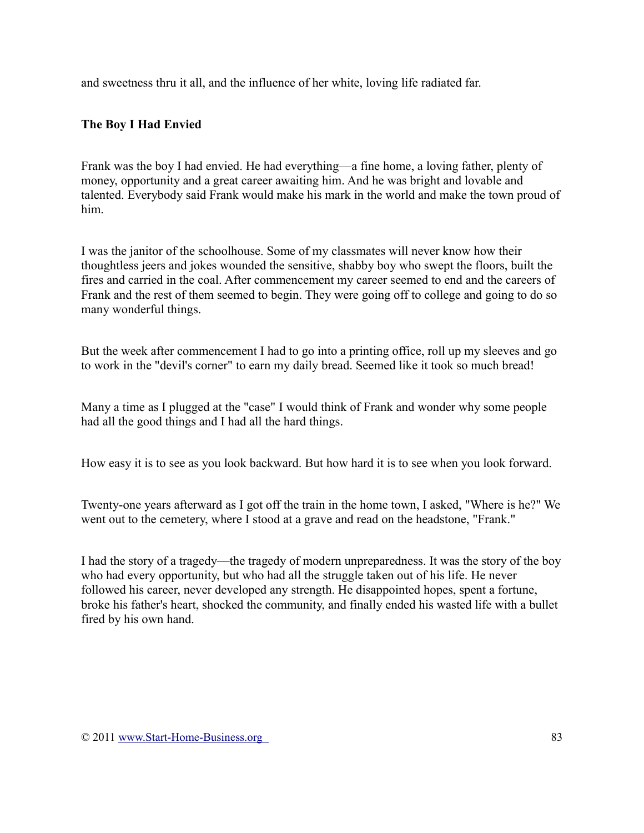and sweetness thru it all, and the influence of her white, loving life radiated far.

## **The Boy I Had Envied**

Frank was the boy I had envied. He had everything—a fine home, a loving father, plenty of money, opportunity and a great career awaiting him. And he was bright and lovable and talented. Everybody said Frank would make his mark in the world and make the town proud of him.

I was the janitor of the schoolhouse. Some of my classmates will never know how their thoughtless jeers and jokes wounded the sensitive, shabby boy who swept the floors, built the fires and carried in the coal. After commencement my career seemed to end and the careers of Frank and the rest of them seemed to begin. They were going off to college and going to do so many wonderful things.

But the week after commencement I had to go into a printing office, roll up my sleeves and go to work in the "devil's corner" to earn my daily bread. Seemed like it took so much bread!

Many a time as I plugged at the "case" I would think of Frank and wonder why some people had all the good things and I had all the hard things.

How easy it is to see as you look backward. But how hard it is to see when you look forward.

Twenty-one years afterward as I got off the train in the home town, I asked, "Where is he?" We went out to the cemetery, where I stood at a grave and read on the headstone, "Frank."

I had the story of a tragedy—the tragedy of modern unpreparedness. It was the story of the boy who had every opportunity, but who had all the struggle taken out of his life. He never followed his career, never developed any strength. He disappointed hopes, spent a fortune, broke his father's heart, shocked the community, and finally ended his wasted life with a bullet fired by his own hand.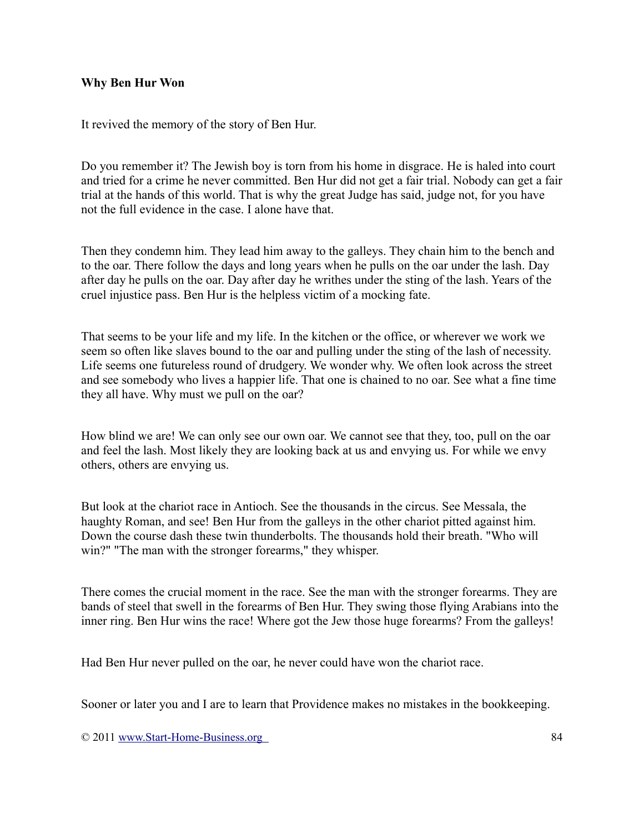#### **Why Ben Hur Won**

It revived the memory of the story of Ben Hur.

Do you remember it? The Jewish boy is torn from his home in disgrace. He is haled into court and tried for a crime he never committed. Ben Hur did not get a fair trial. Nobody can get a fair trial at the hands of this world. That is why the great Judge has said, judge not, for you have not the full evidence in the case. I alone have that.

Then they condemn him. They lead him away to the galleys. They chain him to the bench and to the oar. There follow the days and long years when he pulls on the oar under the lash. Day after day he pulls on the oar. Day after day he writhes under the sting of the lash. Years of the cruel injustice pass. Ben Hur is the helpless victim of a mocking fate.

That seems to be your life and my life. In the kitchen or the office, or wherever we work we seem so often like slaves bound to the oar and pulling under the sting of the lash of necessity. Life seems one futureless round of drudgery. We wonder why. We often look across the street and see somebody who lives a happier life. That one is chained to no oar. See what a fine time they all have. Why must we pull on the oar?

How blind we are! We can only see our own oar. We cannot see that they, too, pull on the oar and feel the lash. Most likely they are looking back at us and envying us. For while we envy others, others are envying us.

But look at the chariot race in Antioch. See the thousands in the circus. See Messala, the haughty Roman, and see! Ben Hur from the galleys in the other chariot pitted against him. Down the course dash these twin thunderbolts. The thousands hold their breath. "Who will win?" "The man with the stronger forearms," they whisper.

There comes the crucial moment in the race. See the man with the stronger forearms. They are bands of steel that swell in the forearms of Ben Hur. They swing those flying Arabians into the inner ring. Ben Hur wins the race! Where got the Jew those huge forearms? From the galleys!

Had Ben Hur never pulled on the oar, he never could have won the chariot race.

Sooner or later you and I are to learn that Providence makes no mistakes in the bookkeeping.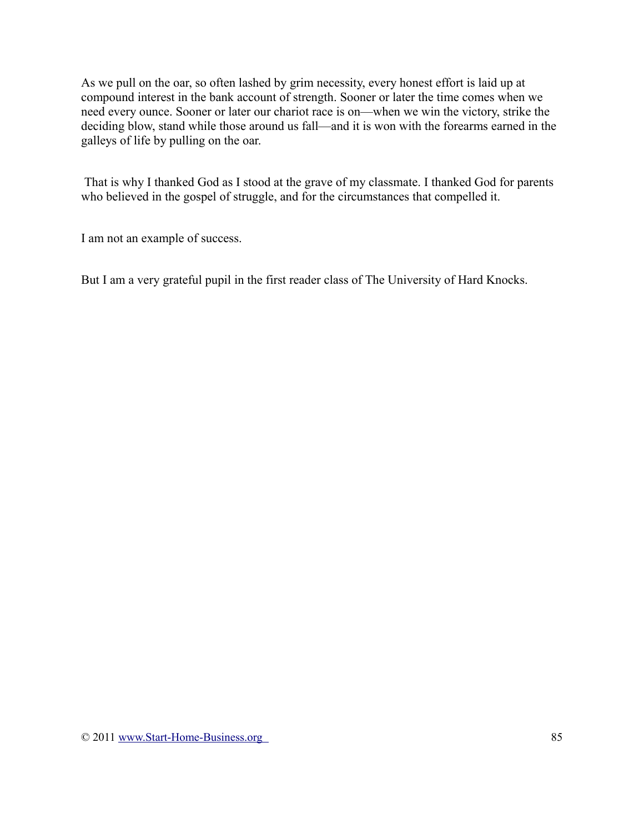As we pull on the oar, so often lashed by grim necessity, every honest effort is laid up at compound interest in the bank account of strength. Sooner or later the time comes when we need every ounce. Sooner or later our chariot race is on—when we win the victory, strike the deciding blow, stand while those around us fall—and it is won with the forearms earned in the galleys of life by pulling on the oar.

That is why I thanked God as I stood at the grave of my classmate. I thanked God for parents who believed in the gospel of struggle, and for the circumstances that compelled it.

I am not an example of success.

But I am a very grateful pupil in the first reader class of The University of Hard Knocks.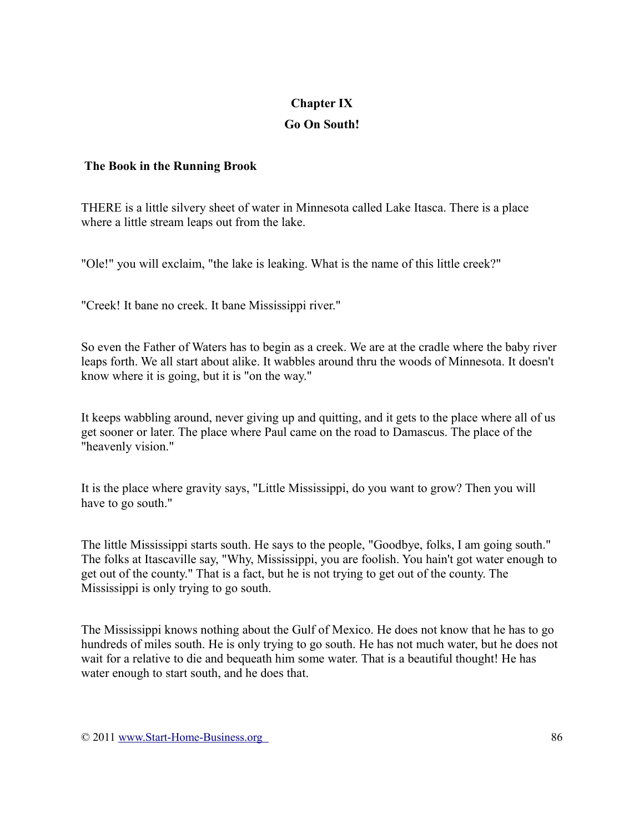## **Chapter IX**

## **Go On South!**

## **The Book in the Running Brook**

THERE is a little silvery sheet of water in Minnesota called Lake Itasca. There is a place where a little stream leaps out from the lake.

"Ole!" you will exclaim, "the lake is leaking. What is the name of this little creek?"

"Creek! It bane no creek. It bane Mississippi river."

So even the Father of Waters has to begin as a creek. We are at the cradle where the baby river leaps forth. We all start about alike. It wabbles around thru the woods of Minnesota. It doesn't know where it is going, but it is "on the way."

It keeps wabbling around, never giving up and quitting, and it gets to the place where all of us get sooner or later. The place where Paul came on the road to Damascus. The place of the "heavenly vision."

It is the place where gravity says, "Little Mississippi, do you want to grow? Then you will have to go south."

The little Mississippi starts south. He says to the people, "Goodbye, folks, I am going south." The folks at Itascaville say, "Why, Mississippi, you are foolish. You hain't got water enough to get out of the county." That is a fact, but he is not trying to get out of the county. The Mississippi is only trying to go south.

The Mississippi knows nothing about the Gulf of Mexico. He does not know that he has to go hundreds of miles south. He is only trying to go south. He has not much water, but he does not wait for a relative to die and bequeath him some water. That is a beautiful thought! He has water enough to start south, and he does that.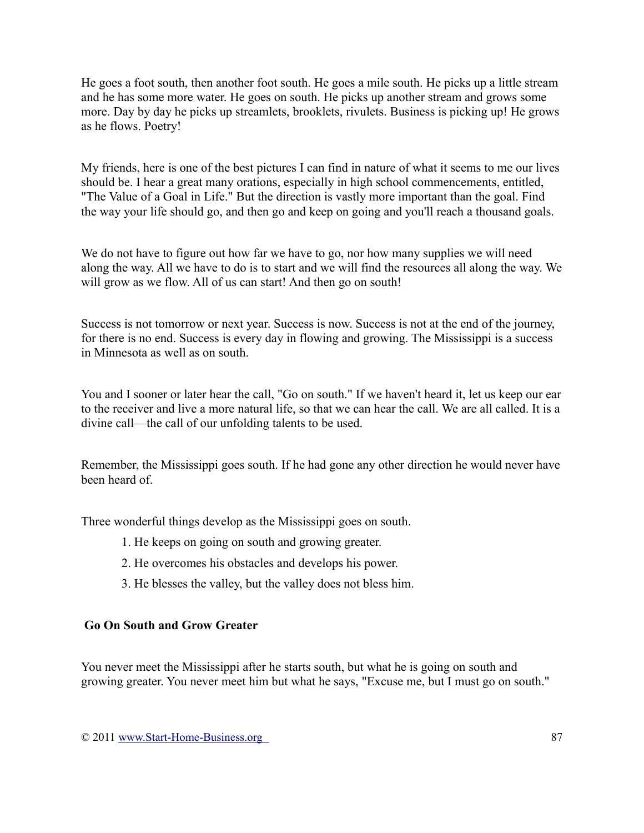He goes a foot south, then another foot south. He goes a mile south. He picks up a little stream and he has some more water. He goes on south. He picks up another stream and grows some more. Day by day he picks up streamlets, brooklets, rivulets. Business is picking up! He grows as he flows. Poetry!

My friends, here is one of the best pictures I can find in nature of what it seems to me our lives should be. I hear a great many orations, especially in high school commencements, entitled, "The Value of a Goal in Life." But the direction is vastly more important than the goal. Find the way your life should go, and then go and keep on going and you'll reach a thousand goals.

We do not have to figure out how far we have to go, nor how many supplies we will need along the way. All we have to do is to start and we will find the resources all along the way. We will grow as we flow. All of us can start! And then go on south!

Success is not tomorrow or next year. Success is now. Success is not at the end of the journey, for there is no end. Success is every day in flowing and growing. The Mississippi is a success in Minnesota as well as on south.

You and I sooner or later hear the call, "Go on south." If we haven't heard it, let us keep our ear to the receiver and live a more natural life, so that we can hear the call. We are all called. It is a divine call—the call of our unfolding talents to be used.

Remember, the Mississippi goes south. If he had gone any other direction he would never have been heard of.

Three wonderful things develop as the Mississippi goes on south.

- 1. He keeps on going on south and growing greater.
- 2. He overcomes his obstacles and develops his power.
- 3. He blesses the valley, but the valley does not bless him.

## **Go On South and Grow Greater**

You never meet the Mississippi after he starts south, but what he is going on south and growing greater. You never meet him but what he says, "Excuse me, but I must go on south."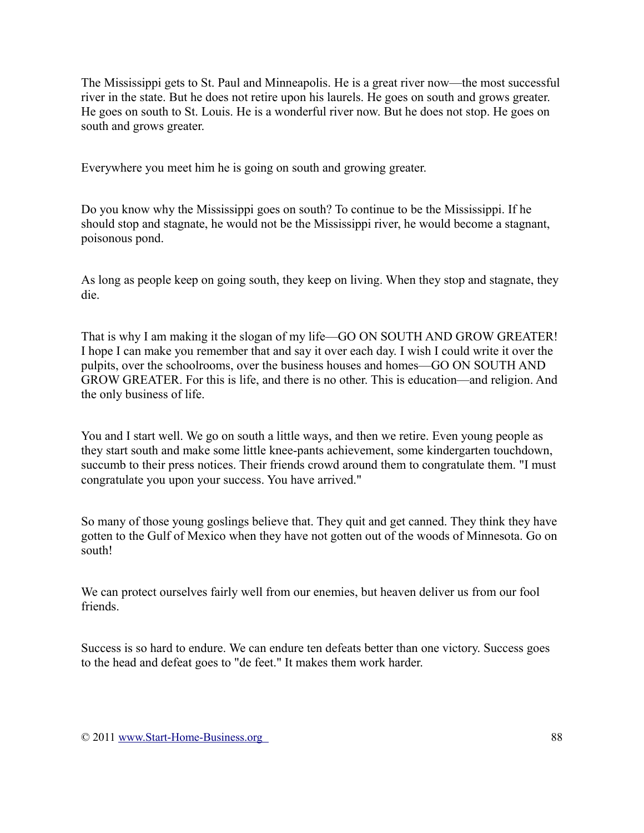The Mississippi gets to St. Paul and Minneapolis. He is a great river now—the most successful river in the state. But he does not retire upon his laurels. He goes on south and grows greater. He goes on south to St. Louis. He is a wonderful river now. But he does not stop. He goes on south and grows greater.

Everywhere you meet him he is going on south and growing greater.

Do you know why the Mississippi goes on south? To continue to be the Mississippi. If he should stop and stagnate, he would not be the Mississippi river, he would become a stagnant, poisonous pond.

As long as people keep on going south, they keep on living. When they stop and stagnate, they die.

That is why I am making it the slogan of my life—GO ON SOUTH AND GROW GREATER! I hope I can make you remember that and say it over each day. I wish I could write it over the pulpits, over the schoolrooms, over the business houses and homes—GO ON SOUTH AND GROW GREATER. For this is life, and there is no other. This is education—and religion. And the only business of life.

You and I start well. We go on south a little ways, and then we retire. Even young people as they start south and make some little knee-pants achievement, some kindergarten touchdown, succumb to their press notices. Their friends crowd around them to congratulate them. "I must congratulate you upon your success. You have arrived."

So many of those young goslings believe that. They quit and get canned. They think they have gotten to the Gulf of Mexico when they have not gotten out of the woods of Minnesota. Go on south!

We can protect ourselves fairly well from our enemies, but heaven deliver us from our fool friends.

Success is so hard to endure. We can endure ten defeats better than one victory. Success goes to the head and defeat goes to "de feet." It makes them work harder.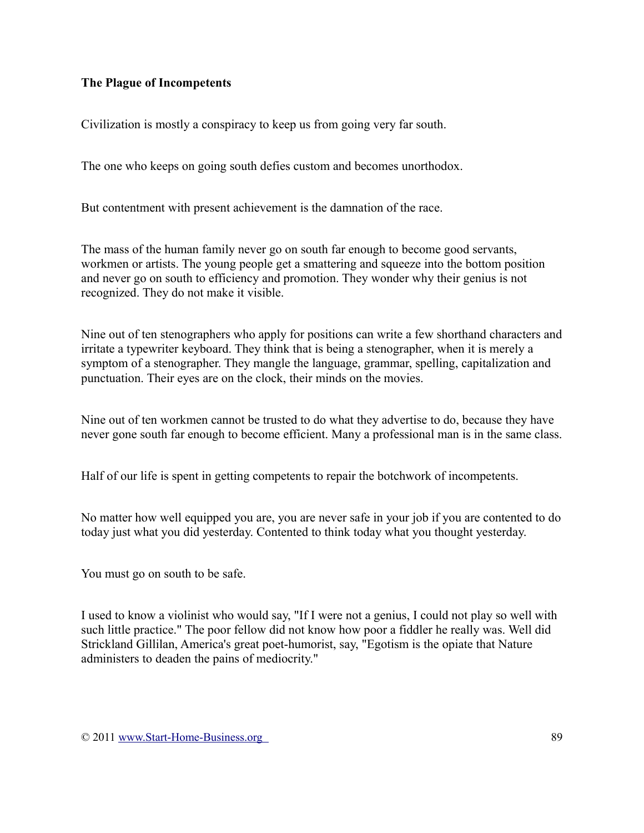## **The Plague of Incompetents**

Civilization is mostly a conspiracy to keep us from going very far south.

The one who keeps on going south defies custom and becomes unorthodox.

But contentment with present achievement is the damnation of the race.

The mass of the human family never go on south far enough to become good servants, workmen or artists. The young people get a smattering and squeeze into the bottom position and never go on south to efficiency and promotion. They wonder why their genius is not recognized. They do not make it visible.

Nine out of ten stenographers who apply for positions can write a few shorthand characters and irritate a typewriter keyboard. They think that is being a stenographer, when it is merely a symptom of a stenographer. They mangle the language, grammar, spelling, capitalization and punctuation. Their eyes are on the clock, their minds on the movies.

Nine out of ten workmen cannot be trusted to do what they advertise to do, because they have never gone south far enough to become efficient. Many a professional man is in the same class.

Half of our life is spent in getting competents to repair the botchwork of incompetents.

No matter how well equipped you are, you are never safe in your job if you are contented to do today just what you did yesterday. Contented to think today what you thought yesterday.

You must go on south to be safe.

I used to know a violinist who would say, "If I were not a genius, I could not play so well with such little practice." The poor fellow did not know how poor a fiddler he really was. Well did Strickland Gillilan, America's great poet-humorist, say, "Egotism is the opiate that Nature administers to deaden the pains of mediocrity."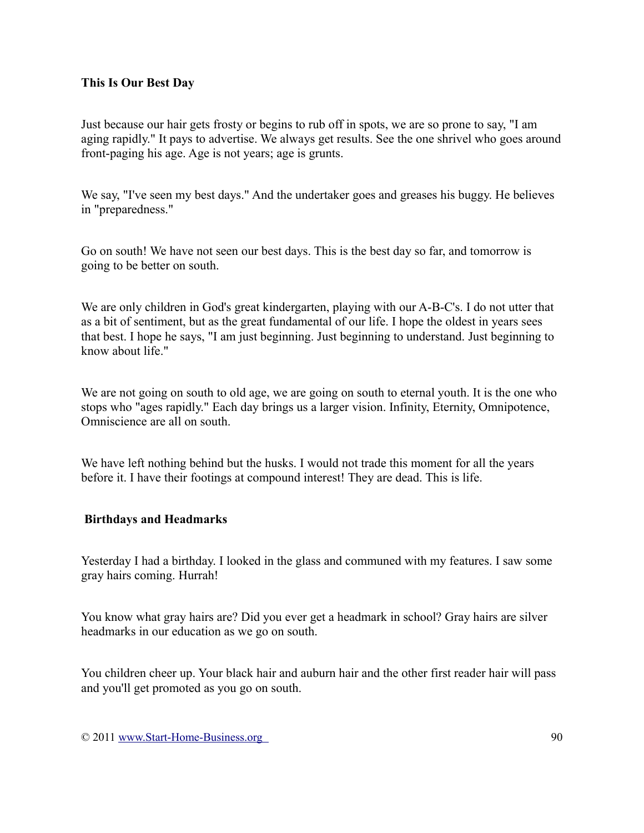### **This Is Our Best Day**

Just because our hair gets frosty or begins to rub off in spots, we are so prone to say, "I am aging rapidly." It pays to advertise. We always get results. See the one shrivel who goes around front-paging his age. Age is not years; age is grunts.

We say, "I've seen my best days." And the undertaker goes and greases his buggy. He believes in "preparedness."

Go on south! We have not seen our best days. This is the best day so far, and tomorrow is going to be better on south.

We are only children in God's great kindergarten, playing with our A-B-C's. I do not utter that as a bit of sentiment, but as the great fundamental of our life. I hope the oldest in years sees that best. I hope he says, "I am just beginning. Just beginning to understand. Just beginning to know about life."

We are not going on south to old age, we are going on south to eternal youth. It is the one who stops who "ages rapidly." Each day brings us a larger vision. Infinity, Eternity, Omnipotence, Omniscience are all on south.

We have left nothing behind but the husks. I would not trade this moment for all the years before it. I have their footings at compound interest! They are dead. This is life.

#### **Birthdays and Headmarks**

Yesterday I had a birthday. I looked in the glass and communed with my features. I saw some gray hairs coming. Hurrah!

You know what gray hairs are? Did you ever get a headmark in school? Gray hairs are silver headmarks in our education as we go on south.

You children cheer up. Your black hair and auburn hair and the other first reader hair will pass and you'll get promoted as you go on south.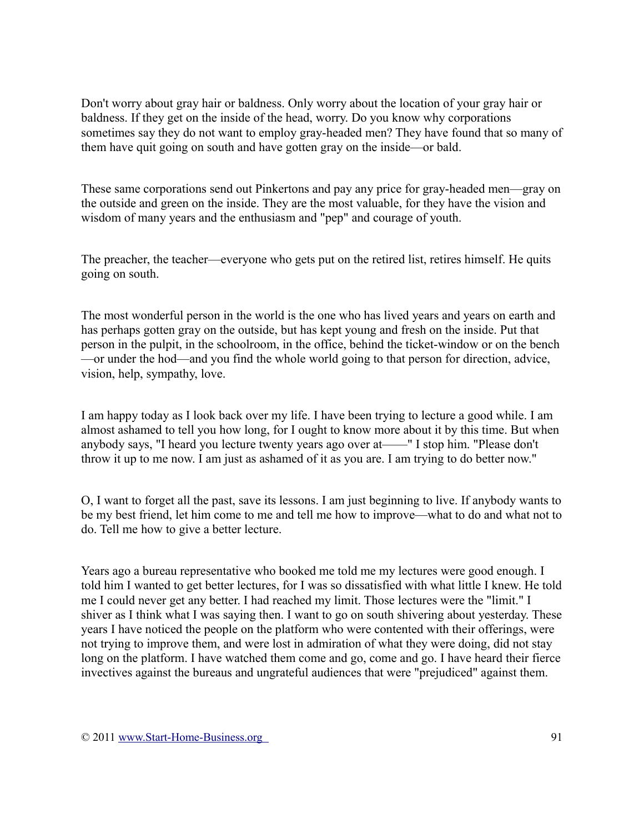Don't worry about gray hair or baldness. Only worry about the location of your gray hair or baldness. If they get on the inside of the head, worry. Do you know why corporations sometimes say they do not want to employ gray-headed men? They have found that so many of them have quit going on south and have gotten gray on the inside—or bald.

These same corporations send out Pinkertons and pay any price for gray-headed men—gray on the outside and green on the inside. They are the most valuable, for they have the vision and wisdom of many years and the enthusiasm and "pep" and courage of youth.

The preacher, the teacher—everyone who gets put on the retired list, retires himself. He quits going on south.

The most wonderful person in the world is the one who has lived years and years on earth and has perhaps gotten gray on the outside, but has kept young and fresh on the inside. Put that person in the pulpit, in the schoolroom, in the office, behind the ticket-window or on the bench —or under the hod—and you find the whole world going to that person for direction, advice, vision, help, sympathy, love.

I am happy today as I look back over my life. I have been trying to lecture a good while. I am almost ashamed to tell you how long, for I ought to know more about it by this time. But when anybody says, "I heard you lecture twenty years ago over at——" I stop him. "Please don't throw it up to me now. I am just as ashamed of it as you are. I am trying to do better now."

O, I want to forget all the past, save its lessons. I am just beginning to live. If anybody wants to be my best friend, let him come to me and tell me how to improve—what to do and what not to do. Tell me how to give a better lecture.

Years ago a bureau representative who booked me told me my lectures were good enough. I told him I wanted to get better lectures, for I was so dissatisfied with what little I knew. He told me I could never get any better. I had reached my limit. Those lectures were the "limit." I shiver as I think what I was saying then. I want to go on south shivering about yesterday. These years I have noticed the people on the platform who were contented with their offerings, were not trying to improve them, and were lost in admiration of what they were doing, did not stay long on the platform. I have watched them come and go, come and go. I have heard their fierce invectives against the bureaus and ungrateful audiences that were "prejudiced" against them.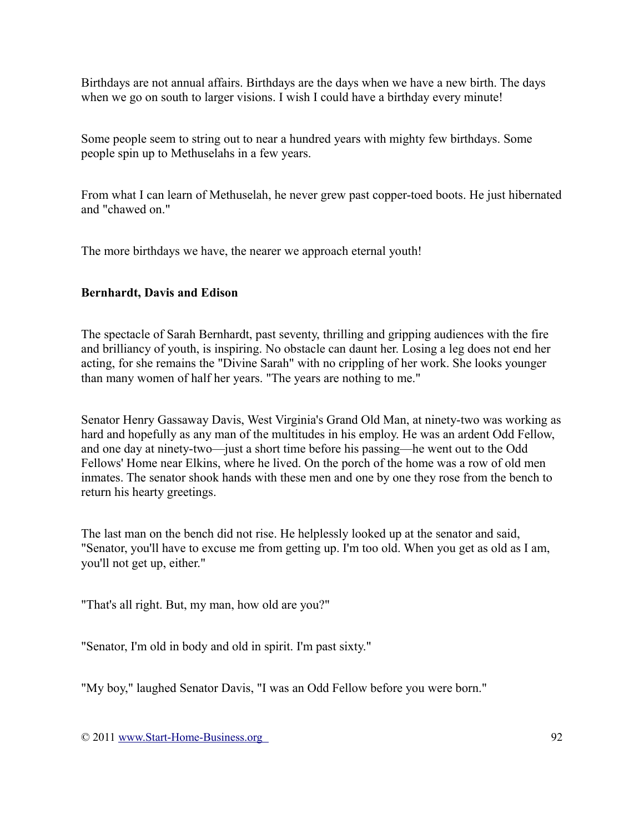Birthdays are not annual affairs. Birthdays are the days when we have a new birth. The days when we go on south to larger visions. I wish I could have a birthday every minute!

Some people seem to string out to near a hundred years with mighty few birthdays. Some people spin up to Methuselahs in a few years.

From what I can learn of Methuselah, he never grew past copper-toed boots. He just hibernated and "chawed on."

The more birthdays we have, the nearer we approach eternal youth!

## **Bernhardt, Davis and Edison**

The spectacle of Sarah Bernhardt, past seventy, thrilling and gripping audiences with the fire and brilliancy of youth, is inspiring. No obstacle can daunt her. Losing a leg does not end her acting, for she remains the "Divine Sarah" with no crippling of her work. She looks younger than many women of half her years. "The years are nothing to me."

Senator Henry Gassaway Davis, West Virginia's Grand Old Man, at ninety-two was working as hard and hopefully as any man of the multitudes in his employ. He was an ardent Odd Fellow, and one day at ninety-two—just a short time before his passing—he went out to the Odd Fellows' Home near Elkins, where he lived. On the porch of the home was a row of old men inmates. The senator shook hands with these men and one by one they rose from the bench to return his hearty greetings.

The last man on the bench did not rise. He helplessly looked up at the senator and said, "Senator, you'll have to excuse me from getting up. I'm too old. When you get as old as I am, you'll not get up, either."

"That's all right. But, my man, how old are you?"

"Senator, I'm old in body and old in spirit. I'm past sixty."

"My boy," laughed Senator Davis, "I was an Odd Fellow before you were born."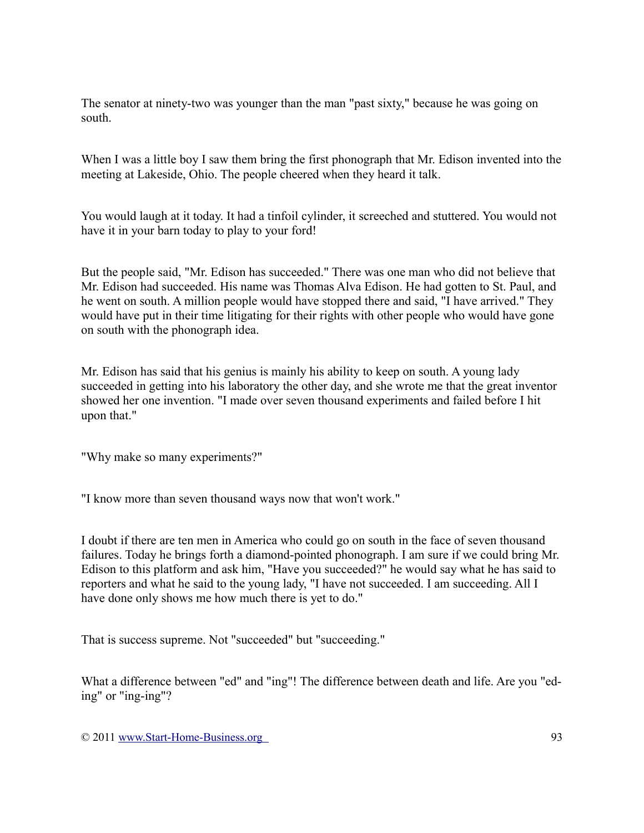The senator at ninety-two was younger than the man "past sixty," because he was going on south.

When I was a little boy I saw them bring the first phonograph that Mr. Edison invented into the meeting at Lakeside, Ohio. The people cheered when they heard it talk.

You would laugh at it today. It had a tinfoil cylinder, it screeched and stuttered. You would not have it in your barn today to play to your ford!

But the people said, "Mr. Edison has succeeded." There was one man who did not believe that Mr. Edison had succeeded. His name was Thomas Alva Edison. He had gotten to St. Paul, and he went on south. A million people would have stopped there and said, "I have arrived." They would have put in their time litigating for their rights with other people who would have gone on south with the phonograph idea.

Mr. Edison has said that his genius is mainly his ability to keep on south. A young lady succeeded in getting into his laboratory the other day, and she wrote me that the great inventor showed her one invention. "I made over seven thousand experiments and failed before I hit upon that."

"Why make so many experiments?"

"I know more than seven thousand ways now that won't work."

I doubt if there are ten men in America who could go on south in the face of seven thousand failures. Today he brings forth a diamond-pointed phonograph. I am sure if we could bring Mr. Edison to this platform and ask him, "Have you succeeded?" he would say what he has said to reporters and what he said to the young lady, "I have not succeeded. I am succeeding. All I have done only shows me how much there is yet to do."

That is success supreme. Not "succeeded" but "succeeding."

What a difference between "ed" and "ing"! The difference between death and life. Are you "eding" or "ing-ing"?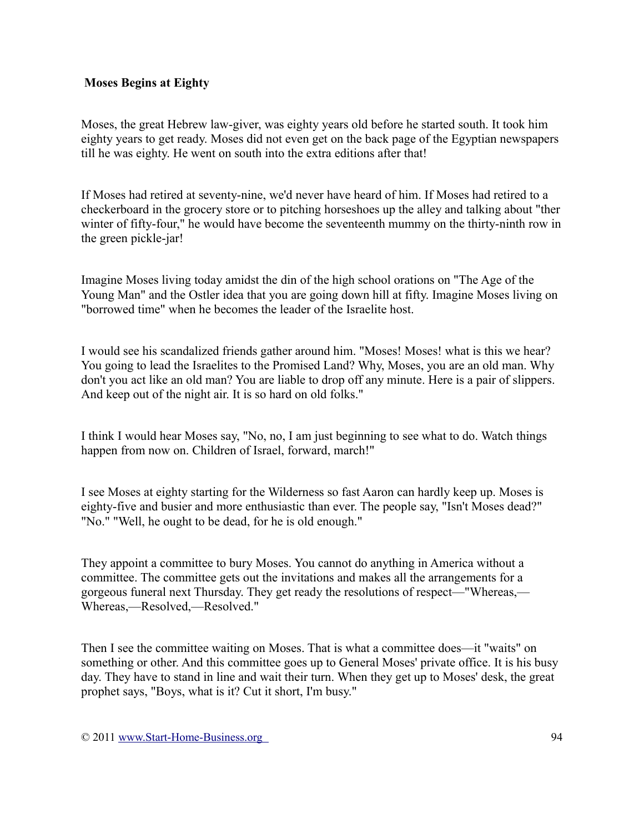## **Moses Begins at Eighty**

Moses, the great Hebrew law-giver, was eighty years old before he started south. It took him eighty years to get ready. Moses did not even get on the back page of the Egyptian newspapers till he was eighty. He went on south into the extra editions after that!

If Moses had retired at seventy-nine, we'd never have heard of him. If Moses had retired to a checkerboard in the grocery store or to pitching horseshoes up the alley and talking about "ther winter of fifty-four," he would have become the seventeenth mummy on the thirty-ninth row in the green pickle-jar!

Imagine Moses living today amidst the din of the high school orations on "The Age of the Young Man" and the Ostler idea that you are going down hill at fifty. Imagine Moses living on "borrowed time" when he becomes the leader of the Israelite host.

I would see his scandalized friends gather around him. "Moses! Moses! what is this we hear? You going to lead the Israelites to the Promised Land? Why, Moses, you are an old man. Why don't you act like an old man? You are liable to drop off any minute. Here is a pair of slippers. And keep out of the night air. It is so hard on old folks."

I think I would hear Moses say, "No, no, I am just beginning to see what to do. Watch things happen from now on. Children of Israel, forward, march!"

I see Moses at eighty starting for the Wilderness so fast Aaron can hardly keep up. Moses is eighty-five and busier and more enthusiastic than ever. The people say, "Isn't Moses dead?" "No." "Well, he ought to be dead, for he is old enough."

They appoint a committee to bury Moses. You cannot do anything in America without a committee. The committee gets out the invitations and makes all the arrangements for a gorgeous funeral next Thursday. They get ready the resolutions of respect—"Whereas,— Whereas,—Resolved,—Resolved."

Then I see the committee waiting on Moses. That is what a committee does—it "waits" on something or other. And this committee goes up to General Moses' private office. It is his busy day. They have to stand in line and wait their turn. When they get up to Moses' desk, the great prophet says, "Boys, what is it? Cut it short, I'm busy."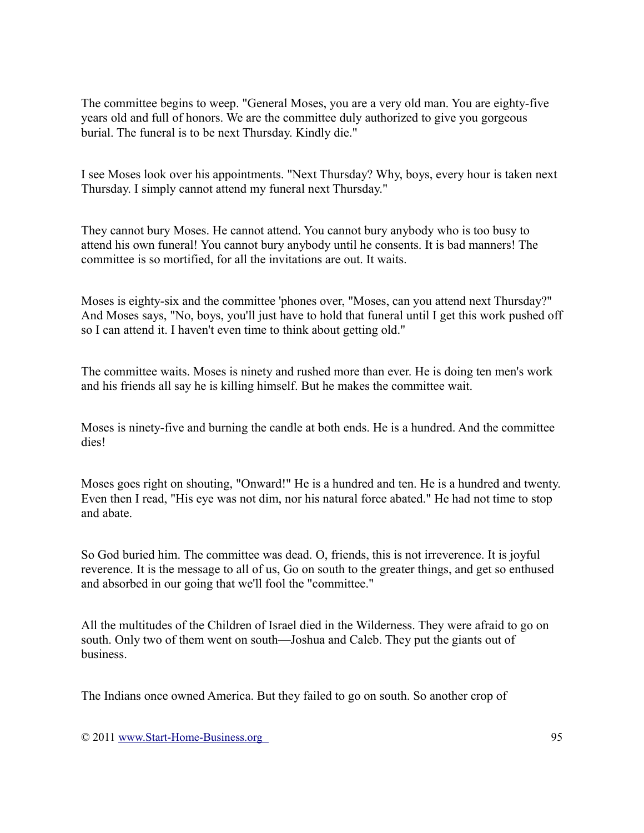The committee begins to weep. "General Moses, you are a very old man. You are eighty-five years old and full of honors. We are the committee duly authorized to give you gorgeous burial. The funeral is to be next Thursday. Kindly die."

I see Moses look over his appointments. "Next Thursday? Why, boys, every hour is taken next Thursday. I simply cannot attend my funeral next Thursday."

They cannot bury Moses. He cannot attend. You cannot bury anybody who is too busy to attend his own funeral! You cannot bury anybody until he consents. It is bad manners! The committee is so mortified, for all the invitations are out. It waits.

Moses is eighty-six and the committee 'phones over, "Moses, can you attend next Thursday?" And Moses says, "No, boys, you'll just have to hold that funeral until I get this work pushed off so I can attend it. I haven't even time to think about getting old."

The committee waits. Moses is ninety and rushed more than ever. He is doing ten men's work and his friends all say he is killing himself. But he makes the committee wait.

Moses is ninety-five and burning the candle at both ends. He is a hundred. And the committee dies!

Moses goes right on shouting, "Onward!" He is a hundred and ten. He is a hundred and twenty. Even then I read, "His eye was not dim, nor his natural force abated." He had not time to stop and abate.

So God buried him. The committee was dead. O, friends, this is not irreverence. It is joyful reverence. It is the message to all of us, Go on south to the greater things, and get so enthused and absorbed in our going that we'll fool the "committee."

All the multitudes of the Children of Israel died in the Wilderness. They were afraid to go on south. Only two of them went on south—Joshua and Caleb. They put the giants out of business.

The Indians once owned America. But they failed to go on south. So another crop of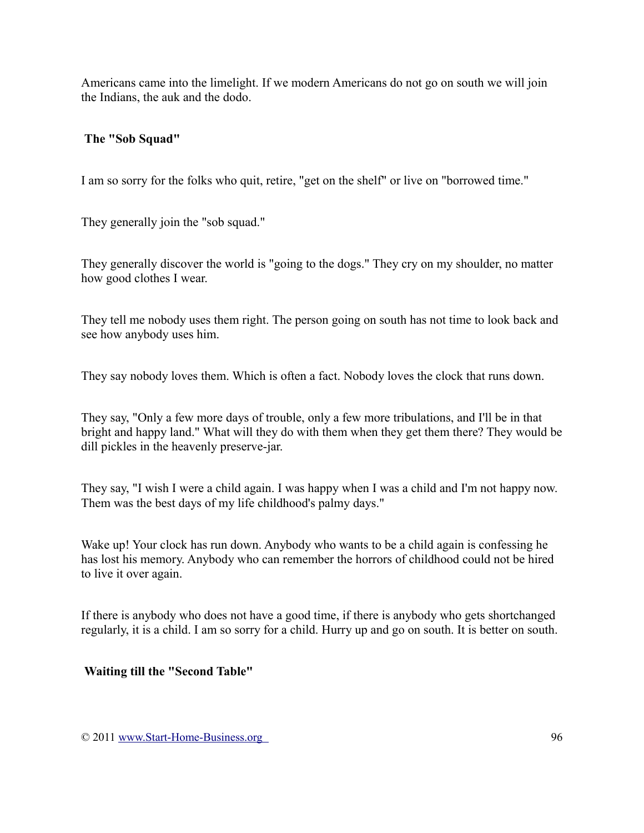Americans came into the limelight. If we modern Americans do not go on south we will join the Indians, the auk and the dodo.

### **The "Sob Squad"**

I am so sorry for the folks who quit, retire, "get on the shelf" or live on "borrowed time."

They generally join the "sob squad."

They generally discover the world is "going to the dogs." They cry on my shoulder, no matter how good clothes I wear.

They tell me nobody uses them right. The person going on south has not time to look back and see how anybody uses him.

They say nobody loves them. Which is often a fact. Nobody loves the clock that runs down.

They say, "Only a few more days of trouble, only a few more tribulations, and I'll be in that bright and happy land." What will they do with them when they get them there? They would be dill pickles in the heavenly preserve-jar.

They say, "I wish I were a child again. I was happy when I was a child and I'm not happy now. Them was the best days of my life childhood's palmy days."

Wake up! Your clock has run down. Anybody who wants to be a child again is confessing he has lost his memory. Anybody who can remember the horrors of childhood could not be hired to live it over again.

If there is anybody who does not have a good time, if there is anybody who gets shortchanged regularly, it is a child. I am so sorry for a child. Hurry up and go on south. It is better on south.

## **Waiting till the "Second Table"**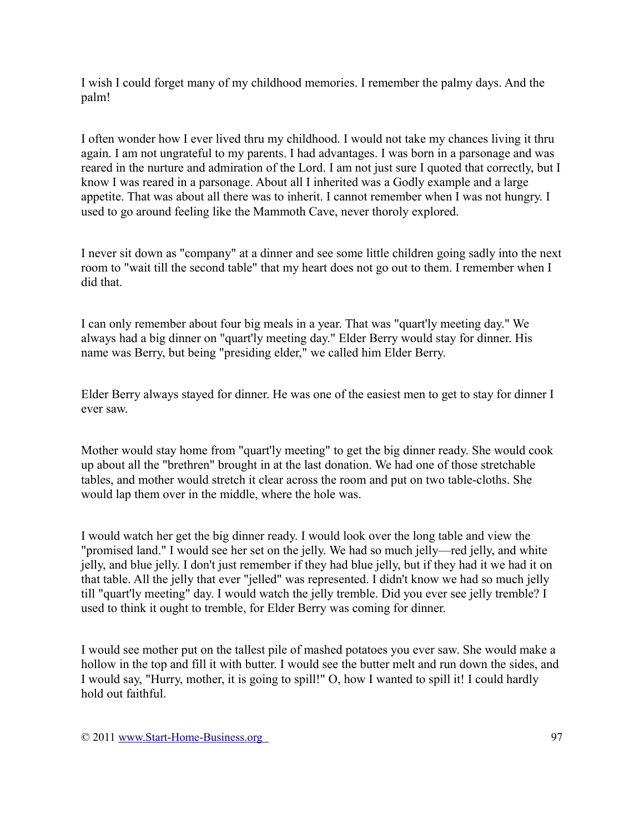I wish I could forget many of my childhood memories. I remember the palmy days. And the palm!

I often wonder how I ever lived thru my childhood. I would not take my chances living it thru again. I am not ungrateful to my parents. I had advantages. I was born in a parsonage and was reared in the nurture and admiration of the Lord. I am not just sure I quoted that correctly, but I know I was reared in a parsonage. About all I inherited was a Godly example and a large appetite. That was about all there was to inherit. I cannot remember when I was not hungry. I used to go around feeling like the Mammoth Cave, never thoroly explored.

I never sit down as "company" at a dinner and see some little children going sadly into the next room to "wait till the second table" that my heart does not go out to them. I remember when I did that.

I can only remember about four big meals in a year. That was "quart'ly meeting day." We always had a big dinner on "quart'ly meeting day." Elder Berry would stay for dinner. His name was Berry, but being "presiding elder," we called him Elder Berry.

Elder Berry always stayed for dinner. He was one of the easiest men to get to stay for dinner I ever saw.

Mother would stay home from "quart'ly meeting" to get the big dinner ready. She would cook up about all the "brethren" brought in at the last donation. We had one of those stretchable tables, and mother would stretch it clear across the room and put on two table-cloths. She would lap them over in the middle, where the hole was.

I would watch her get the big dinner ready. I would look over the long table and view the "promised land." I would see her set on the jelly. We had so much jelly—red jelly, and white jelly, and blue jelly. I don't just remember if they had blue jelly, but if they had it we had it on that table. All the jelly that ever "jelled" was represented. I didn't know we had so much jelly till "quart'ly meeting" day. I would watch the jelly tremble. Did you ever see jelly tremble? I used to think it ought to tremble, for Elder Berry was coming for dinner.

I would see mother put on the tallest pile of mashed potatoes you ever saw. She would make a hollow in the top and fill it with butter. I would see the butter melt and run down the sides, and I would say, "Hurry, mother, it is going to spill!" O, how I wanted to spill it! I could hardly hold out faithful.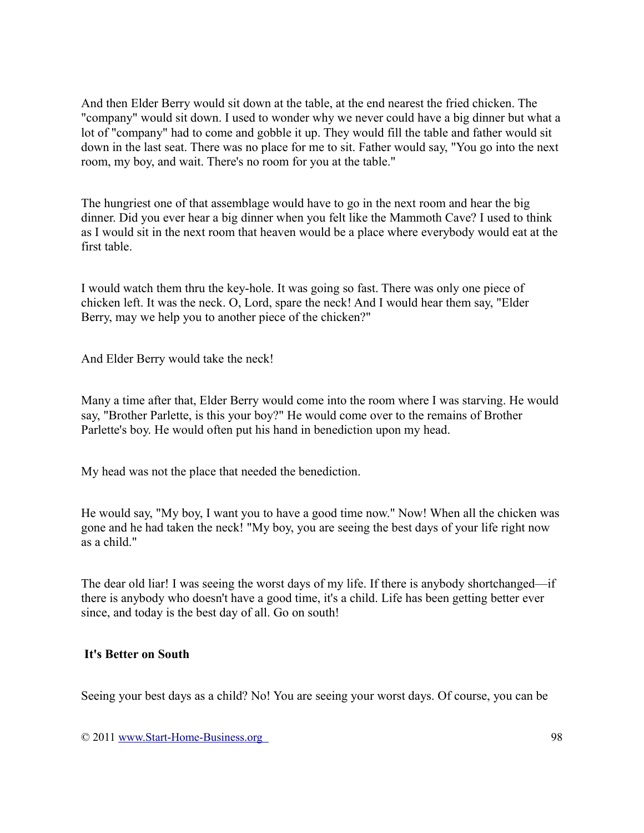And then Elder Berry would sit down at the table, at the end nearest the fried chicken. The "company" would sit down. I used to wonder why we never could have a big dinner but what a lot of "company" had to come and gobble it up. They would fill the table and father would sit down in the last seat. There was no place for me to sit. Father would say, "You go into the next room, my boy, and wait. There's no room for you at the table."

The hungriest one of that assemblage would have to go in the next room and hear the big dinner. Did you ever hear a big dinner when you felt like the Mammoth Cave? I used to think as I would sit in the next room that heaven would be a place where everybody would eat at the first table.

I would watch them thru the key-hole. It was going so fast. There was only one piece of chicken left. It was the neck. O, Lord, spare the neck! And I would hear them say, "Elder Berry, may we help you to another piece of the chicken?"

And Elder Berry would take the neck!

Many a time after that, Elder Berry would come into the room where I was starving. He would say, "Brother Parlette, is this your boy?" He would come over to the remains of Brother Parlette's boy. He would often put his hand in benediction upon my head.

My head was not the place that needed the benediction.

He would say, "My boy, I want you to have a good time now." Now! When all the chicken was gone and he had taken the neck! "My boy, you are seeing the best days of your life right now as a child."

The dear old liar! I was seeing the worst days of my life. If there is anybody shortchanged—if there is anybody who doesn't have a good time, it's a child. Life has been getting better ever since, and today is the best day of all. Go on south!

#### **It's Better on South**

Seeing your best days as a child? No! You are seeing your worst days. Of course, you can be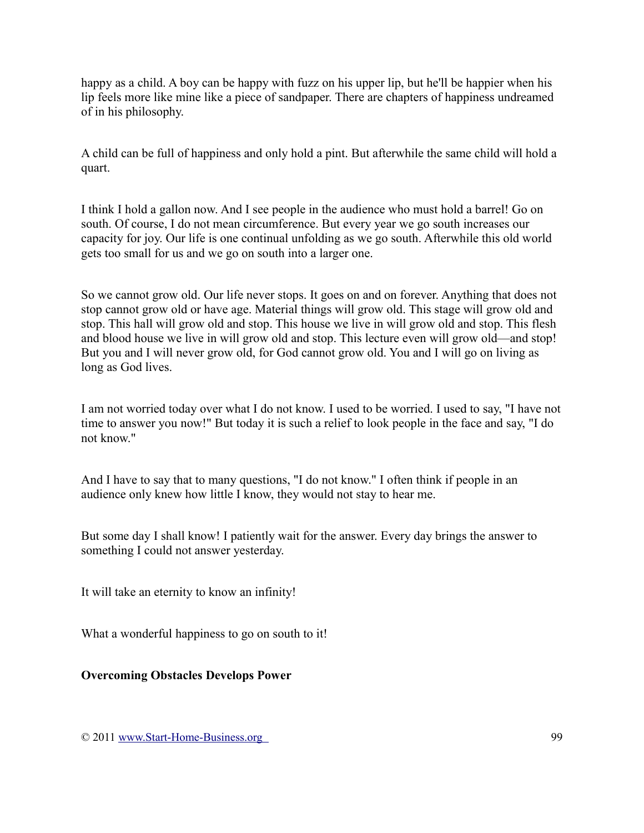happy as a child. A boy can be happy with fuzz on his upper lip, but he'll be happier when his lip feels more like mine like a piece of sandpaper. There are chapters of happiness undreamed of in his philosophy.

A child can be full of happiness and only hold a pint. But afterwhile the same child will hold a quart.

I think I hold a gallon now. And I see people in the audience who must hold a barrel! Go on south. Of course, I do not mean circumference. But every year we go south increases our capacity for joy. Our life is one continual unfolding as we go south. Afterwhile this old world gets too small for us and we go on south into a larger one.

So we cannot grow old. Our life never stops. It goes on and on forever. Anything that does not stop cannot grow old or have age. Material things will grow old. This stage will grow old and stop. This hall will grow old and stop. This house we live in will grow old and stop. This flesh and blood house we live in will grow old and stop. This lecture even will grow old—and stop! But you and I will never grow old, for God cannot grow old. You and I will go on living as long as God lives.

I am not worried today over what I do not know. I used to be worried. I used to say, "I have not time to answer you now!" But today it is such a relief to look people in the face and say, "I do not know."

And I have to say that to many questions, "I do not know." I often think if people in an audience only knew how little I know, they would not stay to hear me.

But some day I shall know! I patiently wait for the answer. Every day brings the answer to something I could not answer yesterday.

It will take an eternity to know an infinity!

What a wonderful happiness to go on south to it!

**Overcoming Obstacles Develops Power**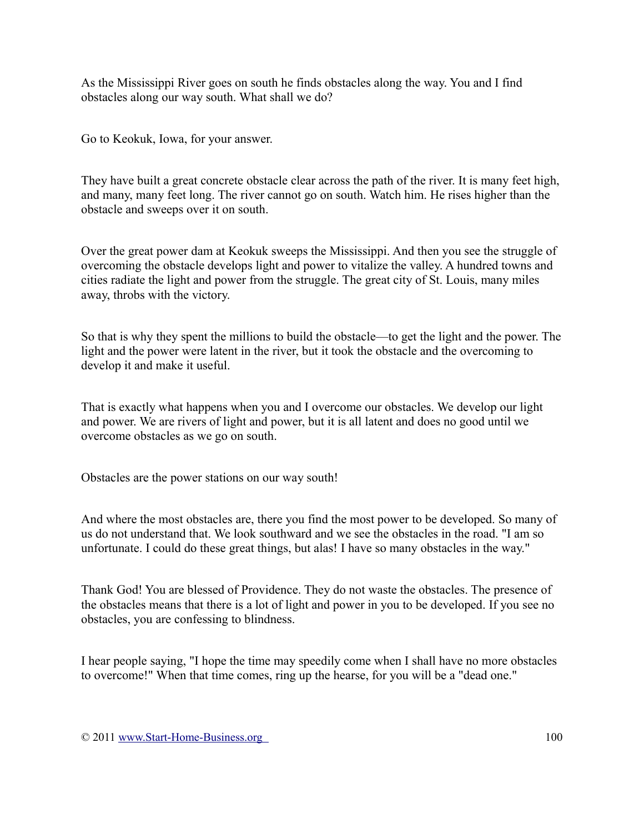As the Mississippi River goes on south he finds obstacles along the way. You and I find obstacles along our way south. What shall we do?

Go to Keokuk, Iowa, for your answer.

They have built a great concrete obstacle clear across the path of the river. It is many feet high, and many, many feet long. The river cannot go on south. Watch him. He rises higher than the obstacle and sweeps over it on south.

Over the great power dam at Keokuk sweeps the Mississippi. And then you see the struggle of overcoming the obstacle develops light and power to vitalize the valley. A hundred towns and cities radiate the light and power from the struggle. The great city of St. Louis, many miles away, throbs with the victory.

So that is why they spent the millions to build the obstacle—to get the light and the power. The light and the power were latent in the river, but it took the obstacle and the overcoming to develop it and make it useful.

That is exactly what happens when you and I overcome our obstacles. We develop our light and power. We are rivers of light and power, but it is all latent and does no good until we overcome obstacles as we go on south.

Obstacles are the power stations on our way south!

And where the most obstacles are, there you find the most power to be developed. So many of us do not understand that. We look southward and we see the obstacles in the road. "I am so unfortunate. I could do these great things, but alas! I have so many obstacles in the way."

Thank God! You are blessed of Providence. They do not waste the obstacles. The presence of the obstacles means that there is a lot of light and power in you to be developed. If you see no obstacles, you are confessing to blindness.

I hear people saying, "I hope the time may speedily come when I shall have no more obstacles to overcome!" When that time comes, ring up the hearse, for you will be a "dead one."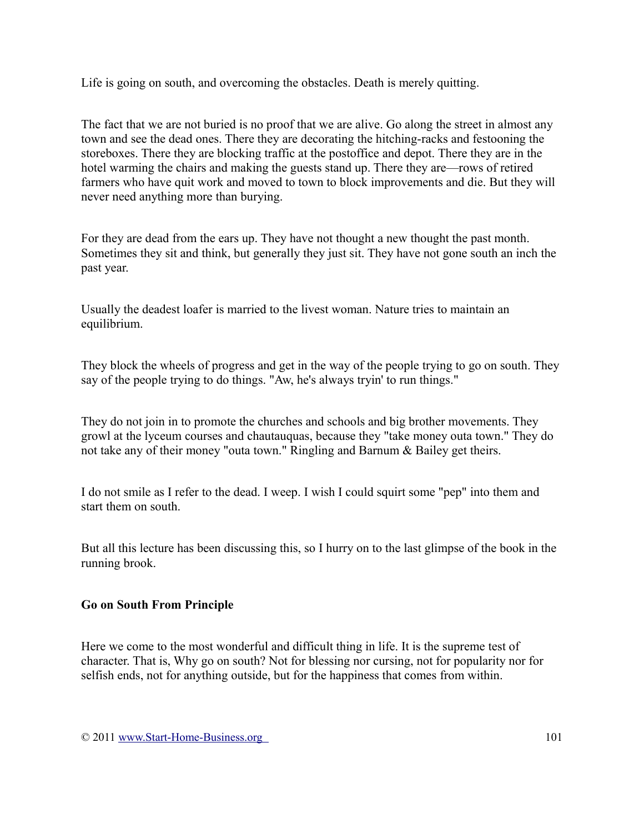Life is going on south, and overcoming the obstacles. Death is merely quitting.

The fact that we are not buried is no proof that we are alive. Go along the street in almost any town and see the dead ones. There they are decorating the hitching-racks and festooning the storeboxes. There they are blocking traffic at the postoffice and depot. There they are in the hotel warming the chairs and making the guests stand up. There they are—rows of retired farmers who have quit work and moved to town to block improvements and die. But they will never need anything more than burying.

For they are dead from the ears up. They have not thought a new thought the past month. Sometimes they sit and think, but generally they just sit. They have not gone south an inch the past year.

Usually the deadest loafer is married to the livest woman. Nature tries to maintain an equilibrium.

They block the wheels of progress and get in the way of the people trying to go on south. They say of the people trying to do things. "Aw, he's always tryin' to run things."

They do not join in to promote the churches and schools and big brother movements. They growl at the lyceum courses and chautauquas, because they "take money outa town." They do not take any of their money "outa town." Ringling and Barnum & Bailey get theirs.

I do not smile as I refer to the dead. I weep. I wish I could squirt some "pep" into them and start them on south.

But all this lecture has been discussing this, so I hurry on to the last glimpse of the book in the running brook.

## **Go on South From Principle**

Here we come to the most wonderful and difficult thing in life. It is the supreme test of character. That is, Why go on south? Not for blessing nor cursing, not for popularity nor for selfish ends, not for anything outside, but for the happiness that comes from within.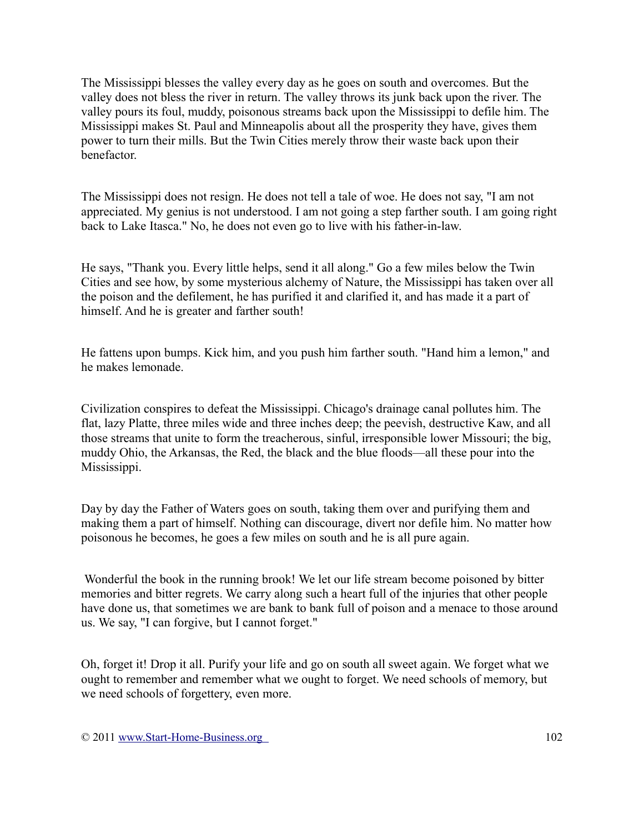The Mississippi blesses the valley every day as he goes on south and overcomes. But the valley does not bless the river in return. The valley throws its junk back upon the river. The valley pours its foul, muddy, poisonous streams back upon the Mississippi to defile him. The Mississippi makes St. Paul and Minneapolis about all the prosperity they have, gives them power to turn their mills. But the Twin Cities merely throw their waste back upon their benefactor.

The Mississippi does not resign. He does not tell a tale of woe. He does not say, "I am not appreciated. My genius is not understood. I am not going a step farther south. I am going right back to Lake Itasca." No, he does not even go to live with his father-in-law.

He says, "Thank you. Every little helps, send it all along." Go a few miles below the Twin Cities and see how, by some mysterious alchemy of Nature, the Mississippi has taken over all the poison and the defilement, he has purified it and clarified it, and has made it a part of himself. And he is greater and farther south!

He fattens upon bumps. Kick him, and you push him farther south. "Hand him a lemon," and he makes lemonade.

Civilization conspires to defeat the Mississippi. Chicago's drainage canal pollutes him. The flat, lazy Platte, three miles wide and three inches deep; the peevish, destructive Kaw, and all those streams that unite to form the treacherous, sinful, irresponsible lower Missouri; the big, muddy Ohio, the Arkansas, the Red, the black and the blue floods—all these pour into the Mississippi.

Day by day the Father of Waters goes on south, taking them over and purifying them and making them a part of himself. Nothing can discourage, divert nor defile him. No matter how poisonous he becomes, he goes a few miles on south and he is all pure again.

Wonderful the book in the running brook! We let our life stream become poisoned by bitter memories and bitter regrets. We carry along such a heart full of the injuries that other people have done us, that sometimes we are bank to bank full of poison and a menace to those around us. We say, "I can forgive, but I cannot forget."

Oh, forget it! Drop it all. Purify your life and go on south all sweet again. We forget what we ought to remember and remember what we ought to forget. We need schools of memory, but we need schools of forgettery, even more.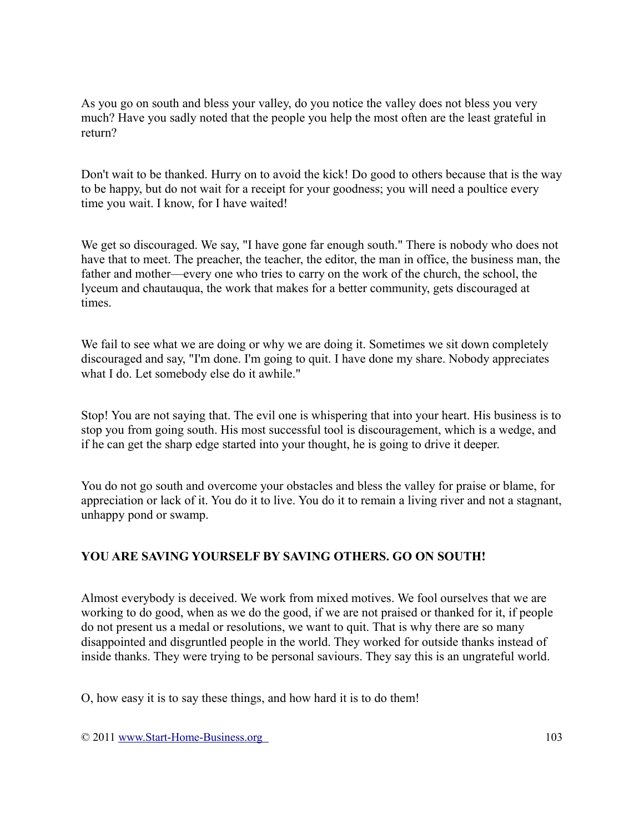As you go on south and bless your valley, do you notice the valley does not bless you very much? Have you sadly noted that the people you help the most often are the least grateful in return?

Don't wait to be thanked. Hurry on to avoid the kick! Do good to others because that is the way to be happy, but do not wait for a receipt for your goodness; you will need a poultice every time you wait. I know, for I have waited!

We get so discouraged. We say, "I have gone far enough south." There is nobody who does not have that to meet. The preacher, the teacher, the editor, the man in office, the business man, the father and mother—every one who tries to carry on the work of the church, the school, the lyceum and chautauqua, the work that makes for a better community, gets discouraged at times.

We fail to see what we are doing or why we are doing it. Sometimes we sit down completely discouraged and say, "I'm done. I'm going to quit. I have done my share. Nobody appreciates what I do. Let somebody else do it awhile."

Stop! You are not saying that. The evil one is whispering that into your heart. His business is to stop you from going south. His most successful tool is discouragement, which is a wedge, and if he can get the sharp edge started into your thought, he is going to drive it deeper.

You do not go south and overcome your obstacles and bless the valley for praise or blame, for appreciation or lack of it. You do it to live. You do it to remain a living river and not a stagnant, unhappy pond or swamp.

## **YOU ARE SAVING YOURSELF BY SAVING OTHERS. GO ON SOUTH!**

Almost everybody is deceived. We work from mixed motives. We fool ourselves that we are working to do good, when as we do the good, if we are not praised or thanked for it, if people do not present us a medal or resolutions, we want to quit. That is why there are so many disappointed and disgruntled people in the world. They worked for outside thanks instead of inside thanks. They were trying to be personal saviours. They say this is an ungrateful world.

O, how easy it is to say these things, and how hard it is to do them!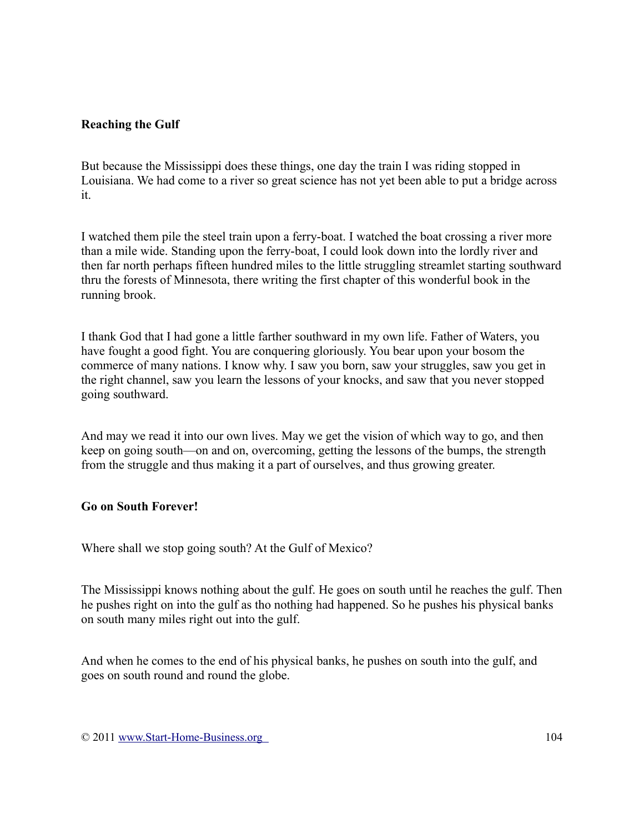## **Reaching the Gulf**

But because the Mississippi does these things, one day the train I was riding stopped in Louisiana. We had come to a river so great science has not yet been able to put a bridge across it.

I watched them pile the steel train upon a ferry-boat. I watched the boat crossing a river more than a mile wide. Standing upon the ferry-boat, I could look down into the lordly river and then far north perhaps fifteen hundred miles to the little struggling streamlet starting southward thru the forests of Minnesota, there writing the first chapter of this wonderful book in the running brook.

I thank God that I had gone a little farther southward in my own life. Father of Waters, you have fought a good fight. You are conquering gloriously. You bear upon your bosom the commerce of many nations. I know why. I saw you born, saw your struggles, saw you get in the right channel, saw you learn the lessons of your knocks, and saw that you never stopped going southward.

And may we read it into our own lives. May we get the vision of which way to go, and then keep on going south—on and on, overcoming, getting the lessons of the bumps, the strength from the struggle and thus making it a part of ourselves, and thus growing greater.

## **Go on South Forever!**

Where shall we stop going south? At the Gulf of Mexico?

The Mississippi knows nothing about the gulf. He goes on south until he reaches the gulf. Then he pushes right on into the gulf as tho nothing had happened. So he pushes his physical banks on south many miles right out into the gulf.

And when he comes to the end of his physical banks, he pushes on south into the gulf, and goes on south round and round the globe.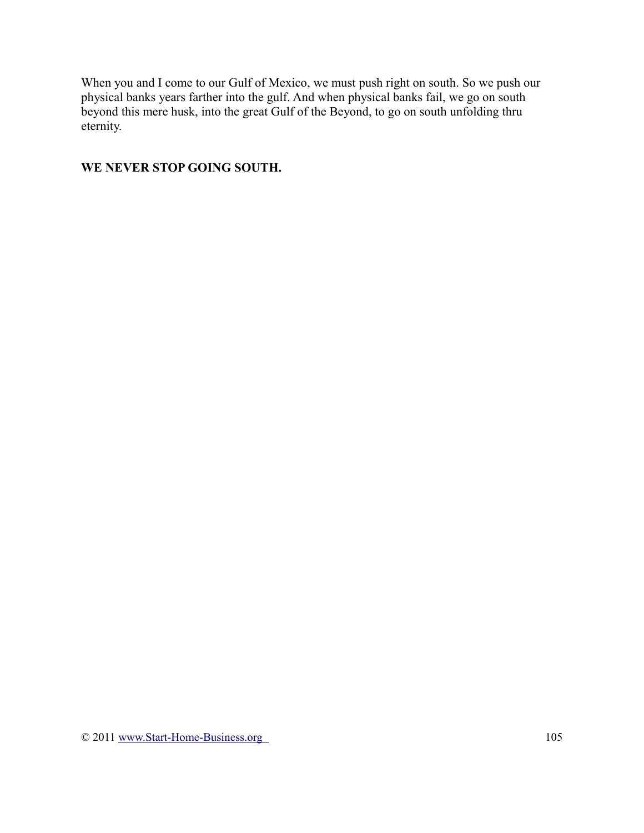When you and I come to our Gulf of Mexico, we must push right on south. So we push our physical banks years farther into the gulf. And when physical banks fail, we go on south beyond this mere husk, into the great Gulf of the Beyond, to go on south unfolding thru eternity.

### **WE NEVER STOP GOING SOUTH.**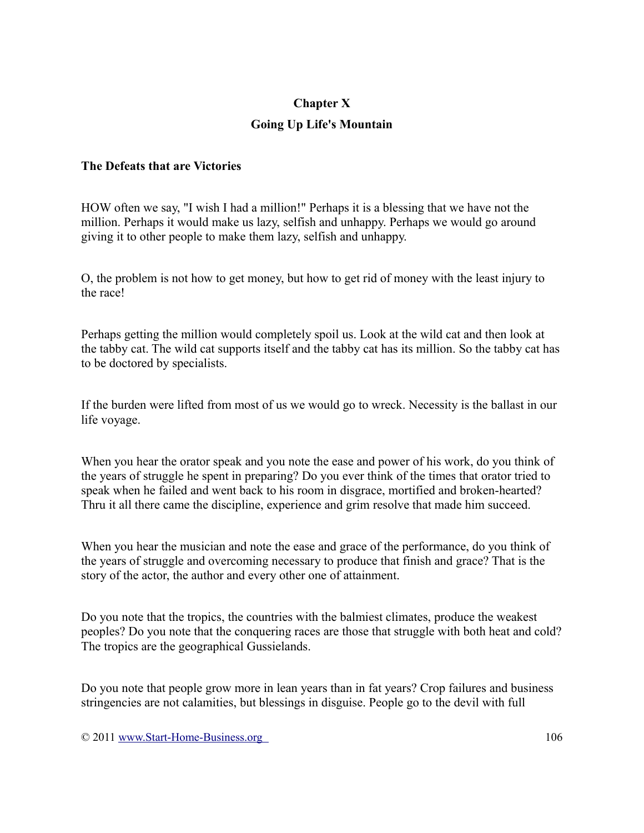### **Chapter X**

## **Going Up Life's Mountain**

#### **The Defeats that are Victories**

HOW often we say, "I wish I had a million!" Perhaps it is a blessing that we have not the million. Perhaps it would make us lazy, selfish and unhappy. Perhaps we would go around giving it to other people to make them lazy, selfish and unhappy.

O, the problem is not how to get money, but how to get rid of money with the least injury to the race!

Perhaps getting the million would completely spoil us. Look at the wild cat and then look at the tabby cat. The wild cat supports itself and the tabby cat has its million. So the tabby cat has to be doctored by specialists.

If the burden were lifted from most of us we would go to wreck. Necessity is the ballast in our life voyage.

When you hear the orator speak and you note the ease and power of his work, do you think of the years of struggle he spent in preparing? Do you ever think of the times that orator tried to speak when he failed and went back to his room in disgrace, mortified and broken-hearted? Thru it all there came the discipline, experience and grim resolve that made him succeed.

When you hear the musician and note the ease and grace of the performance, do you think of the years of struggle and overcoming necessary to produce that finish and grace? That is the story of the actor, the author and every other one of attainment.

Do you note that the tropics, the countries with the balmiest climates, produce the weakest peoples? Do you note that the conquering races are those that struggle with both heat and cold? The tropics are the geographical Gussielands.

Do you note that people grow more in lean years than in fat years? Crop failures and business stringencies are not calamities, but blessings in disguise. People go to the devil with full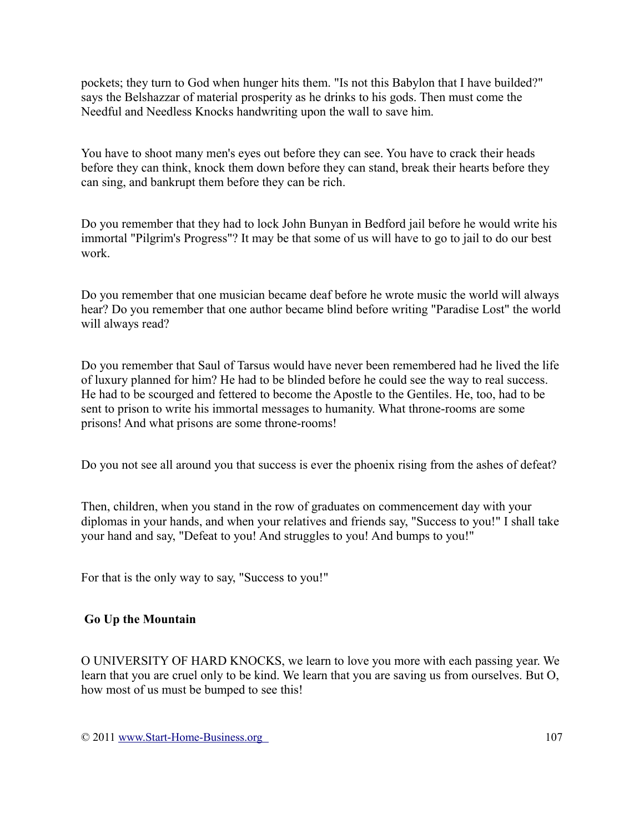pockets; they turn to God when hunger hits them. "Is not this Babylon that I have builded?" says the Belshazzar of material prosperity as he drinks to his gods. Then must come the Needful and Needless Knocks handwriting upon the wall to save him.

You have to shoot many men's eyes out before they can see. You have to crack their heads before they can think, knock them down before they can stand, break their hearts before they can sing, and bankrupt them before they can be rich.

Do you remember that they had to lock John Bunyan in Bedford jail before he would write his immortal "Pilgrim's Progress"? It may be that some of us will have to go to jail to do our best work.

Do you remember that one musician became deaf before he wrote music the world will always hear? Do you remember that one author became blind before writing "Paradise Lost" the world will always read?

Do you remember that Saul of Tarsus would have never been remembered had he lived the life of luxury planned for him? He had to be blinded before he could see the way to real success. He had to be scourged and fettered to become the Apostle to the Gentiles. He, too, had to be sent to prison to write his immortal messages to humanity. What throne-rooms are some prisons! And what prisons are some throne-rooms!

Do you not see all around you that success is ever the phoenix rising from the ashes of defeat?

Then, children, when you stand in the row of graduates on commencement day with your diplomas in your hands, and when your relatives and friends say, "Success to you!" I shall take your hand and say, "Defeat to you! And struggles to you! And bumps to you!"

For that is the only way to say, "Success to you!"

## **Go Up the Mountain**

O UNIVERSITY OF HARD KNOCKS, we learn to love you more with each passing year. We learn that you are cruel only to be kind. We learn that you are saving us from ourselves. But O, how most of us must be bumped to see this!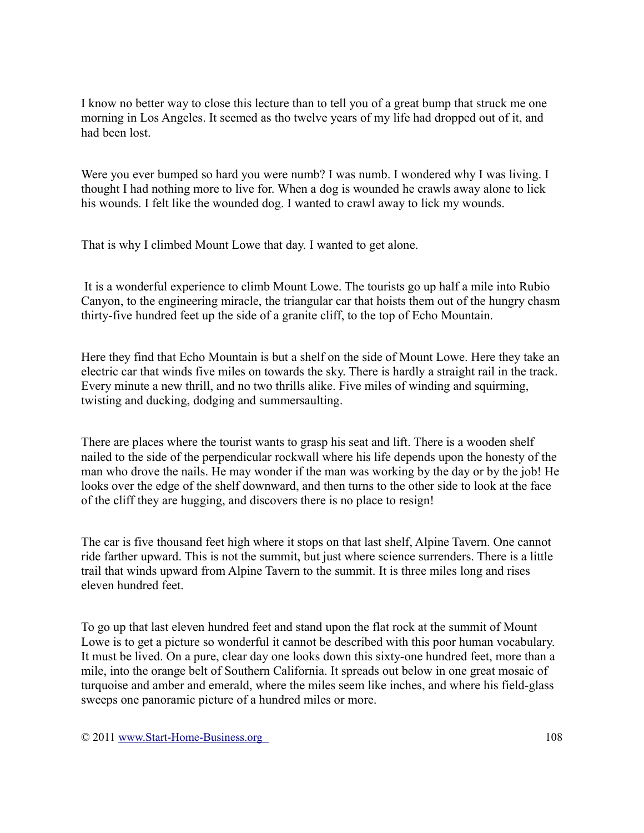I know no better way to close this lecture than to tell you of a great bump that struck me one morning in Los Angeles. It seemed as tho twelve years of my life had dropped out of it, and had been lost.

Were you ever bumped so hard you were numb? I was numb. I wondered why I was living. I thought I had nothing more to live for. When a dog is wounded he crawls away alone to lick his wounds. I felt like the wounded dog. I wanted to crawl away to lick my wounds.

That is why I climbed Mount Lowe that day. I wanted to get alone.

It is a wonderful experience to climb Mount Lowe. The tourists go up half a mile into Rubio Canyon, to the engineering miracle, the triangular car that hoists them out of the hungry chasm thirty-five hundred feet up the side of a granite cliff, to the top of Echo Mountain.

Here they find that Echo Mountain is but a shelf on the side of Mount Lowe. Here they take an electric car that winds five miles on towards the sky. There is hardly a straight rail in the track. Every minute a new thrill, and no two thrills alike. Five miles of winding and squirming, twisting and ducking, dodging and summersaulting.

There are places where the tourist wants to grasp his seat and lift. There is a wooden shelf nailed to the side of the perpendicular rockwall where his life depends upon the honesty of the man who drove the nails. He may wonder if the man was working by the day or by the job! He looks over the edge of the shelf downward, and then turns to the other side to look at the face of the cliff they are hugging, and discovers there is no place to resign!

The car is five thousand feet high where it stops on that last shelf, Alpine Tavern. One cannot ride farther upward. This is not the summit, but just where science surrenders. There is a little trail that winds upward from Alpine Tavern to the summit. It is three miles long and rises eleven hundred feet.

To go up that last eleven hundred feet and stand upon the flat rock at the summit of Mount Lowe is to get a picture so wonderful it cannot be described with this poor human vocabulary. It must be lived. On a pure, clear day one looks down this sixty-one hundred feet, more than a mile, into the orange belt of Southern California. It spreads out below in one great mosaic of turquoise and amber and emerald, where the miles seem like inches, and where his field-glass sweeps one panoramic picture of a hundred miles or more.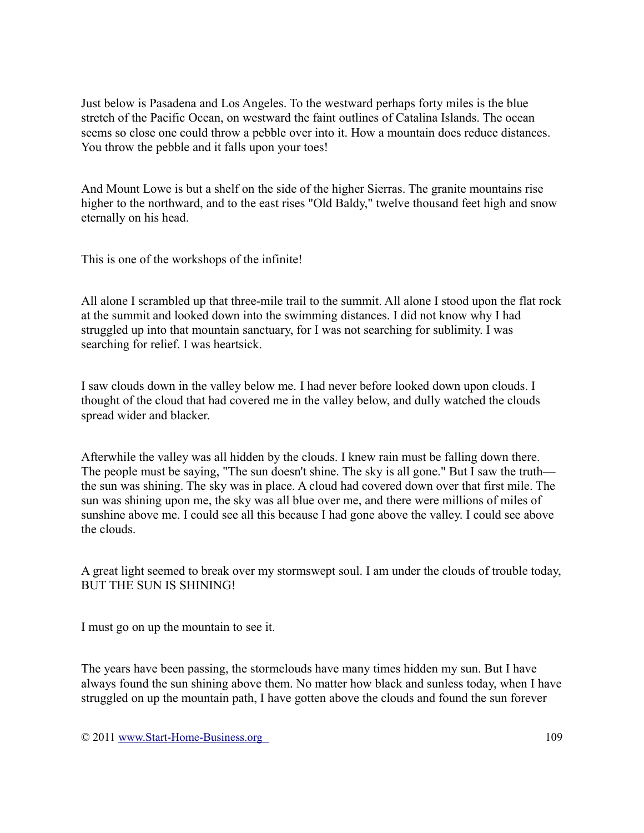Just below is Pasadena and Los Angeles. To the westward perhaps forty miles is the blue stretch of the Pacific Ocean, on westward the faint outlines of Catalina Islands. The ocean seems so close one could throw a pebble over into it. How a mountain does reduce distances. You throw the pebble and it falls upon your toes!

And Mount Lowe is but a shelf on the side of the higher Sierras. The granite mountains rise higher to the northward, and to the east rises "Old Baldy," twelve thousand feet high and snow eternally on his head.

This is one of the workshops of the infinite!

All alone I scrambled up that three-mile trail to the summit. All alone I stood upon the flat rock at the summit and looked down into the swimming distances. I did not know why I had struggled up into that mountain sanctuary, for I was not searching for sublimity. I was searching for relief. I was heartsick.

I saw clouds down in the valley below me. I had never before looked down upon clouds. I thought of the cloud that had covered me in the valley below, and dully watched the clouds spread wider and blacker.

Afterwhile the valley was all hidden by the clouds. I knew rain must be falling down there. The people must be saying, "The sun doesn't shine. The sky is all gone." But I saw the truth the sun was shining. The sky was in place. A cloud had covered down over that first mile. The sun was shining upon me, the sky was all blue over me, and there were millions of miles of sunshine above me. I could see all this because I had gone above the valley. I could see above the clouds.

A great light seemed to break over my stormswept soul. I am under the clouds of trouble today, BUT THE SUN IS SHINING!

I must go on up the mountain to see it.

The years have been passing, the stormclouds have many times hidden my sun. But I have always found the sun shining above them. No matter how black and sunless today, when I have struggled on up the mountain path, I have gotten above the clouds and found the sun forever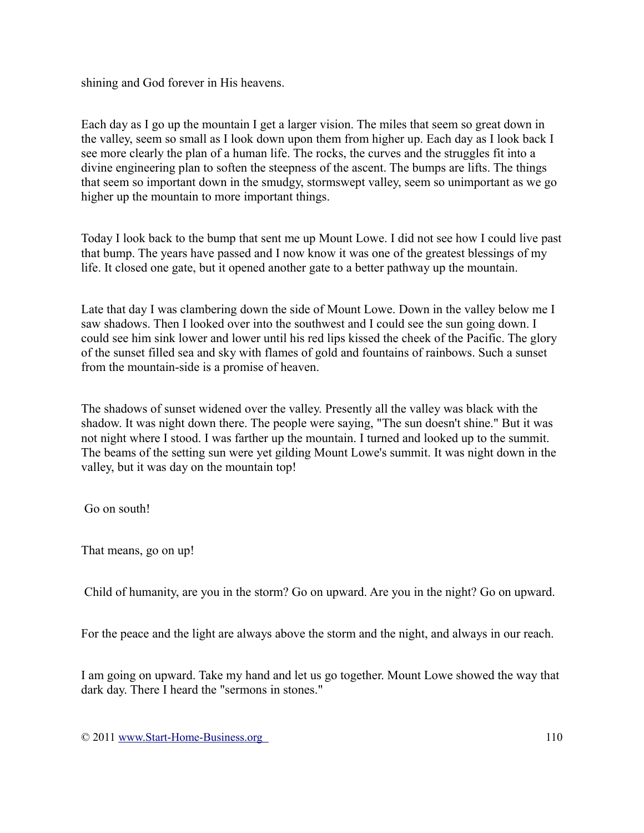shining and God forever in His heavens.

Each day as I go up the mountain I get a larger vision. The miles that seem so great down in the valley, seem so small as I look down upon them from higher up. Each day as I look back I see more clearly the plan of a human life. The rocks, the curves and the struggles fit into a divine engineering plan to soften the steepness of the ascent. The bumps are lifts. The things that seem so important down in the smudgy, stormswept valley, seem so unimportant as we go higher up the mountain to more important things.

Today I look back to the bump that sent me up Mount Lowe. I did not see how I could live past that bump. The years have passed and I now know it was one of the greatest blessings of my life. It closed one gate, but it opened another gate to a better pathway up the mountain.

Late that day I was clambering down the side of Mount Lowe. Down in the valley below me I saw shadows. Then I looked over into the southwest and I could see the sun going down. I could see him sink lower and lower until his red lips kissed the cheek of the Pacific. The glory of the sunset filled sea and sky with flames of gold and fountains of rainbows. Such a sunset from the mountain-side is a promise of heaven.

The shadows of sunset widened over the valley. Presently all the valley was black with the shadow. It was night down there. The people were saying, "The sun doesn't shine." But it was not night where I stood. I was farther up the mountain. I turned and looked up to the summit. The beams of the setting sun were yet gilding Mount Lowe's summit. It was night down in the valley, but it was day on the mountain top!

Go on south!

That means, go on up!

Child of humanity, are you in the storm? Go on upward. Are you in the night? Go on upward.

For the peace and the light are always above the storm and the night, and always in our reach.

I am going on upward. Take my hand and let us go together. Mount Lowe showed the way that dark day. There I heard the "sermons in stones."